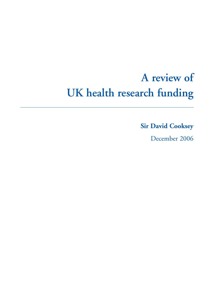# **A review of UK health research funding**

**Sir David Cooksey**

December 2006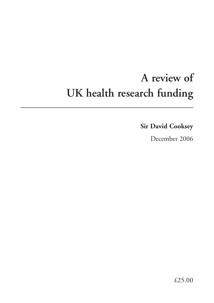# **A review of UK health research funding**

**Sir David Cooksey**

December 2006

£25.00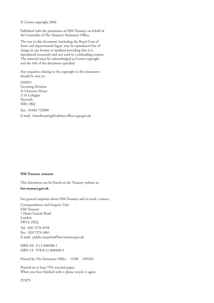© Crown copyright 2006

Published with the permission of HM Treasury on behalf of the Controller of Her Majesty's Stationery Office.

The text in this document (excluding the Royal Coat of Arms and departmental logos) may be reproduced free of charge in any format or medium providing that it is reproduced accurately and not used in a misleading context. The material must be acknowledged as Crown copyright and the title of the document specified.

Any enquiries relating to the copyright in this document should be sent to:

**HMSO** Licensing Division St Clements House 2-16 Colegate Norwich NR3 1BQ

Fax: 01603 723000

E-mail: hmsolicensing@cabinet-office.x.gsi.gov.uk

#### **HM Treasury contacts**

This document can be found on the Treasury website at:

**hm-treasury.gov.uk**

For general enquiries about HM Treasury and its work, contact: Correspondence and Enquiry Unit HM Treasury 1 Horse Guards Road London SW1A 2HQ Tel: 020 7270 4558 Fax: 020 7270 4861 E-mail: public.enquiries@hm-treasury.gov.uk

ISBN-10: 0-11-840488-1 ISBN-13: 978-0-11-840488-4

Printed by The Stationery Office 12/06 349456

Printed on at least 75% recycled paper. When you have finished with it please recycle it again.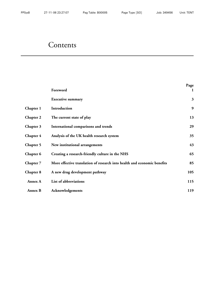### Contents

|                  | Foreword                                                                 | Page<br>-1 |
|------------------|--------------------------------------------------------------------------|------------|
|                  | <b>Executive summary</b>                                                 | 3          |
| Chapter 1        | Introduction                                                             | 9          |
| <b>Chapter 2</b> | The current state of play                                                | 13         |
| Chapter 3        | International comparisons and trends                                     | 29         |
| Chapter 4        | Analysis of the UK health research system                                | 35         |
| Chapter 5        | New institutional arrangements                                           | 43         |
| Chapter 6        | Creating a research-friendly culture in the NHS                          | 65         |
| Chapter 7        | More effective translation of research into health and economic benefits | 85         |
| Chapter 8        | A new drug development pathway                                           | 105        |
| Annex A          | List of abbreviations                                                    | 115        |
| <b>Annex B</b>   | Acknowledgements                                                         | 119        |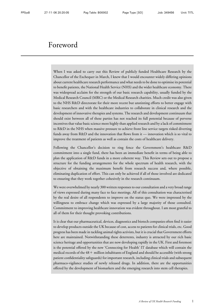### Foreword

When I was asked to carry out this Review of publicly funded Healthcare Research by the Chancellor of the Exchequer in March, I knew that I would encounter widely differing opinions about current healthcare research performance and what needs to be done to optimise its potential to benefit patients, the National Health Service (NHS) and the wider healthcare economy. There was widespread acclaim for the strength of our basic research capability, usually funded by the Medical Research Council (MRC) or the Medical Research charities. Much credit was also given to the NHS R&D directorate for their more recent but unstinting efforts to better engage with basic researchers and with the healthcare industries to collaborate in clinical research and the development of innovative therapies and systems. The research and development continuum that should exist between all of these parties has not reached its full potential because of perverse incentives that value basic science more highly than applied research and by a lack of commitment to R&D in the NHS when massive pressure to achieve front line service targets risked diverting funds away from R&D and the innovation that flows from it — innovation which is so vital to improve the treatment of patients as well as contain the costs of healthcare delivery.

Following the Chancellor's decision to ring fence the Government's healthcare R&D commitment into a single fund, there has been an immediate benefit in terms of being able to plan the application of R&D funds in a more coherent way. This Review sets out to propose a structure for the funding arrangements for the whole spectrum of health research, with the objective of obtaining the maximum benefit from research success and, where possible, eliminating duplication of effort. This can only be achieved if all of those involved are dedicated to ensuring that they work together cohesively in the research continuum.

We were overwhelmed by nearly 300 written responses to our consultation and a very broad range of views expressed during many face to face meetings. All of this consultation was characterised by the real desire of all respondents to improve on the status quo. We were impressed by the willingness to embrace change which was expressed by a large majority of those consulted. Commitment to improving healthcare innovation was evident throughout. I am most grateful to all of them for their thought provoking contributions.

It is clear that our pharmaceutical, devices, diagnostics and biotech companies often find it easier to develop products outside the UK because of cost, access to patients for clinical trials, etc. Good progress has been made in tackling animal rights activists, but it is crucial that Government efforts here are maintained. Notwithstanding these deterrents, industry is attracted by our rich basic science heritage and opportunities that are now developing rapidly in the UK. First and foremost is the potential offered by the new 'Connecting for Health' IT database which will contain the medical records of the  $48 +$  million inhabitants of England and should be accessible (with strong patient confidentiality safeguards) for important research, including clinical trials and subsequent pharmaco-vigilance studies of newly released drugs. In addition, there are the opportunities offered by the development of biomarkers and the emerging research into stem cell therapies.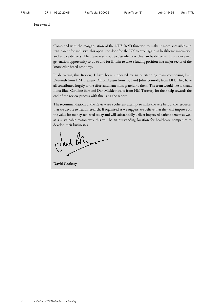Foreword

Combined with the reorganisation of the NHS R&D function to make it more accessible and transparent for industry, this opens the door for the UK to excel again in healthcare innovation and service delivery. The Review sets out to describe how this can be delivered. It is a once in a generation opportunity to do so and for Britain to take a leading position in a major sector of the knowledge based economy.

In delivering this Review, I have been supported by an outstanding team comprising Paul Devenish from HM Treasury, Alison Austin from OSI and John Connolly from DH. They have all contributed hugely to the effort and I am most grateful to them. The team would like to thank Ilona Blue, Caroline Barr and Dan Micklethwaite from HM Treasury for their help towards the end of the review process with finalising the report.

The recommendations of the Review are a coherent attempt to make the very best of the resources that we devote to health research. If organised as we suggest, we believe that they will improve on the value for money achieved today and will substantially deliver improved patient benefit as well as a sustainable reason why this will be an outstanding location for healthcare companies to develop their businesses.

**David Cooksey**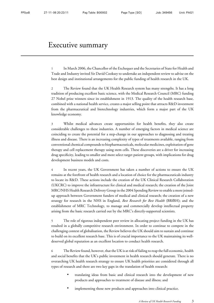1 In March 2006, the Chancellor of the Exchequer and the Secretaries of State for Health and Trade and Industry invited Sir David Cooksey to undertake an independent review to advise on the best design and institutional arrangements for the public funding of health research in the UK.

2 The Review found that the UK Health Research system has many strengths. It has a long tradition of producing excellent basic science, with the Medical Research Council (MRC) funding 27 Nobel prize winners since its establishment in 1913. The quality of the health research base, combined with a national health service, creates a major selling point that attracts R&D investment from the pharmaceutical and biotechnology industries, which form a major part of the UK knowledge economy.

3 Whilst medical advances create opportunities for health benefits, they also create considerable challenges to these industries. A number of emerging factors in medical science are coinciding to create the potential for a step-change in our approaches to diagnosing and treating illness and disease. There is an increasing complexity of types of treatments available, ranging from conventional chemical compounds to biopharmaceuticals, molecular medicines, exploitation of gene therapy and cell replacement therapy using stem cells. These discoveries are a driver for increasing drug specificity, leading to smaller and more select target patient groups, with implications for drug development business models and costs.

4 In recent years, the UK Government has taken a number of actions to ensure the UK remains at the forefront of health research and a location of choice for the pharmaceuticals industry to locate its R&D. These actions include the creation of the UK Clinical Research Collaboration (UKCRC) to improve the infrastructure for clinical and medical research; the creation of the Joint MRC/NHS Health Research Delivery Group in the 2004 Spending Review to enable a more joinedup approach between Government funders of medical and clinical research; the creation of a new strategy for research in the NHS in England, *Best Research for Best Health* (BRfBH); and the establishment of MRC Technology, to manage and commercially develop intellectual property arising from the basic research carried out by the MRC's directly-supported scientists.

5 The role of rigorous independent peer review in allocating project funding in the UK has resulted in a globally competitive research environment. In order to continue to compete in the challenging context of globalisation, the Review believes the UK should aim to sustain and continue to build on its excellent research base. This is of crucial importance to the UK maintaining its welldeserved global reputation as an excellent location to conduct health research.

6 The Review found, however, that the UK is at risk of failing to reap the full economic, health and social benefits that the UK's public investment in health research should generate. There is no overarching UK health research strategy to ensure UK health priorities are considered through all types of research and there are two key gaps in the translation of health research:

- translating ideas from basic and clinical research into the development of new products and approaches to treatment of disease and illness; and
- implementing those new products and approaches into clinical practice.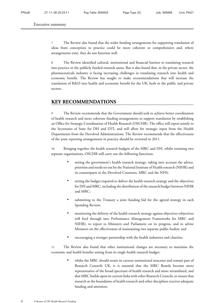7 The Review also found that the wider funding arrangements for supporting translation of ideas from conception to practice could be more coherent or comprehensive and, where arrangements exist, they do not function well.

8 The Review identified cultural, institutional and financial barriers to translating research into practice in the publicly funded research arena. But it also found that, in the private sector, the pharmaceuticals industry is facing increasing challenges in translating research into health and economic benefit. The Review has sought to make recommendations that will increase the translation of R&D into health and economic benefit for the UK, both in the public and private sectors.

#### **KEY RECOMMENDATIONS**

9 The Review recommends that the Government should seek to achieve better coordination of health research and more coherent funding arrangements to support translation by establishing an Office for Strategic Coordination of Health Research (OSCHR). The office will report jointly to the Secretaries of State for DH and DTI, and will allow for strategic input from the Health Departments from the Devolved Administrations. The Review recommends that the effectiveness of the joint reporting arrangements in practice should be reviewed in 2011.

10 Bringing together the health research budgets of the MRC and DH, whilst retaining two separate organisations, OSCHR will carry out the following functions:

- setting the government's health research strategy, taking into account the advice, priorities and needs set out by the National Institute of Health research (NIHR) and its counterparts in the Devolved Countries, MRC and the NHS;
- setting the budget required to deliver the health research strategy and the objectives for DH and MRC, including the distribution of the research budget between NIHR and MRC;
- submitting to the Treasury a joint funding bid for the agreed strategy in each Spending Review;
- monitoring the delivery of the health research strategy against objectives (objectives will feed through into Performance Management Frameworks for MRC and NIHR), to report to Ministers and Parliament on its progress, and to advise Ministers on the effectiveness of maintaining two separate public bodies; and
- encouraging a stronger partnership with the health industries and charities.

11 The Review also found that other institutional changes are necessary to maximise the economic and health benefits arising from its single health research budget:

> whilst the MRC should retain its current institutional structure and remain part of Research Councils UK, it is essential that the MRC Boards become more representative of the broad spectrum of health research and more streamlined, and that MRC builds upon its current links with other Research Councils, to ensure that research at the boundaries of health research and other disciplines receives adequate funding and attention;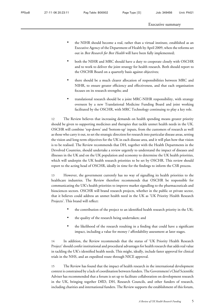- the NIHR should become a real, rather than a virtual institute, established as an Executive Agency of the Department of Health by April 2009, when the reforms set out in *Best Research for Best Health* will have been fully implemented;
- both the NIHR and MRC should have a duty to cooperate closely with OSCHR and to work to deliver the joint strategy for health research. Both should report to the OSCHR Board on a quarterly basis against objectives;
- there should be a much clearer allocation of responsibilities between MRC and NIHR, to ensure greater efficiency and effectiveness, and that each organisation focuses on its research strengths; and
- translational research should be a joint MRC-NIHR responsibility, with strategy overseen by a new Translational Medicine Funding Board and joint working facilitated by the OSCHR, with MRC Technology continuing to play a key role.

12 The Review believes that increasing demands on health spending means greater priority should be given to supporting medicines and therapies that tackle unmet health needs in the UK. OSCHR will combine 'top-down' and 'bottom-up' inputs, from the customers of research as well as those who carry it out, to set the strategic direction for research into particular disease areas, setting the vision and long-term objectives for the UK in each disease area, and it will plan how that vision is to be realised. The Review recommends that DH, together with the Health Departments in the Devolved Countries, should undertake a review urgently to understand the impact of diseases and illnesses in the UK and on the UK population and economy to determine the UK health priorities, which will underpin the UK health research priorities to be set by OSCHR. This review should report to the acting head of OSCHR, ideally in time for the findings to inform the CSR process.

13 However, the government currently has no way of signalling its health priorities to the healthcare industries. The Review therefore recommends that OSCHR be responsible for communicating the UK's health priorities to improve market signalling to the pharmaceuticals and biosciences sectors. OSCHR will brand research projects, whether in the public or private sector, that it believes could address an unmet health need in the UK as 'UK Priority Health Research Projects'. This brand will reflect:

- the contribution of the project to an identified health research priority in the UK;
- the quality of the research being undertaken; and
- the likelihood of the research resulting in a finding that could have a significant impact, including a value for money / affordability assessment at later stages.

14 In addition, the Review recommends that the status of 'UK Priority Health Research Project' should confer institutional and procedural advantages for health research that adds real value in tackling the UK's identified health needs. This might, ideally, include faster approval for clinical trials in the NHS, and an expedited route through NICE approval.

15 The Review has found that the impact of health research in the international development context is constrained by a lack of coordination between funders. The Government's Chief Scientific Adviser has recommended that a forum is set up to facilitate collaboration on development research in the UK, bringing together DfID, DH, Research Councils, and other funders of research, including charities and international funders. The Review supports the establishment of this forum,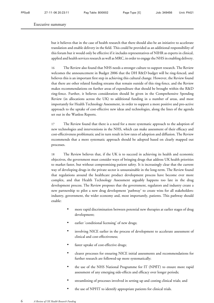but it believes that in the case of health research that there should also be an initiative to accelerate translation and enable delivery in the field. This could be provided as an additional responsibility of this forum but it would only be effective if it includes representatives of NIHR as experts in clinical, applied and health services research as well as MRC, in order to engage the NHS in enabling delivery.

16 The Review also found that NHS needs a stronger culture to support research. The Review welcomes the announcement in Budget 2006 that the DH R&D budget will be ring-fenced, and believes this is an important first step in achieving this cultural change. However, the Review found that there are other related funding streams that remain outside of this ring-fence, and the Review makes recommendations on further areas of expenditure that should be brought within the R&D ring-fence. Further, it believes consideration should be given in the Comprehensive Spending Review (in allocations across the UK) to additional funding in a number of areas, and most importantly for Health Technology Assessment, in order to support a more positive and pro-active approach to the uptake of cost-effective new ideas and technologies, along the lines of the agenda set out in the Wanless Reports.

17 The Review found that there is a need for a more systematic approach to the adoption of new technologies and interventions in the NHS, which can make assessment of their efficacy and cost-effectiveness problematic and in turn result in low rates of adoption and diffusion. The Review recommends that a more systematic approach should be adopted based on clearly mapped out processes.

18 The Review believes that, if the UK is to succeed in achieving its health and economic objectives, the government must consider ways of bringing drugs that address UK health priorities to market faster, but without compromising patient safety. It is increasingly clear that the current way of developing drugs in the private sector is unsustainable in the long-term. The Review found that regulations around the healthcare product development process have become ever more complex, and that Health Technology Assessment arguably happens too late in the drug development process. The Review proposes that the government, regulators and industry create a new partnership to pilot a new drug development 'pathway' to create wins for all stakeholders: industry, government, the wider economy and, most importantly, patients. This pathway should enable:

- more rapid discrimination between potential new therapies at earlier stages of drug development;
- earlier 'conditional licensing' of new drugs;
- involving NICE earlier in the process of development to accelerate assessment of clinical and cost-effectiveness;
- faster uptake of cost-effective drugs;
- clearer processes for ensuring NICE initial assessments and recommendations for further research are followed-up more systematically;
- the use of the NHS National Programme for IT (NPfIT) to ensure more rapid assessment of any emerging side-effects and efficacy over longer periods;
- streamlining of processes involved in setting up and costing clinical trials; and
- the use of NPFIT to identify appropriate patients for clinical trials.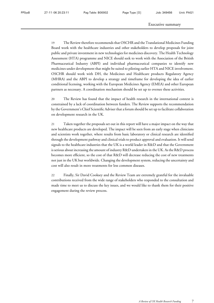19 The Review therefore recommends that OSCHR and the Translational Medicines Funding Board work with the healthcare industries and other stakeholders to develop proposals for joint public and private investment in new technologies for medicines discovery. The Health Technology Assessment (HTA) programme and NICE should seek to work with the Association of the British Pharmaceutical Industry (ABPI) and individual pharmaceutical companies to identify new medicines under development that might be suited to piloting earlier HTA and NICE involvement. OSCHR should work with DH, the Medicines and Healthcare products Regulatory Agency (MHRA) and the ABPI to develop a strategy and timeframe for developing the idea of earlier conditional licensing, working with the European Medicines Agency (EMEA) and other European partners as necessary. A coordination mechanism should be set up to oversee these activities.

20 The Review has found that the impact of health research in the international context is constrained by a lack of coordination between funders. The Review supports the recommendation by the Government's Chief Scientific Adviser that a forum should be set up to facilitate collaboration on development research in the UK.

21 Taken together the proposals set out in this report will have a major impact on the way that new healthcare products are developed. The impact will be seen from an early stage when clinicians and scientists work together, where results from basic laboratory or clinical research are identified through the development pathway and clinical trials to product approval and evaluation. It will send signals to the healthcare industries that the UK is a world leader in R&D and that the Government is serious about increasing the amount of industry R&D undertaken in the UK. As the R&D process becomes more efficient, so the cost of that R&D will decrease reducing the cost of new treatments not just in the UK but worldwide. Changing the development system, reducing the uncertainty and cost will also result in more treatments for less common diseases.

22 Finally, Sir David Cooksey and the Review Team are extremely grateful for the invaluable contributions received from the wide range of stakeholders who responded to the consultation and made time to meet us to discuss the key issues, and we would like to thank them for their positive engagement during the review process.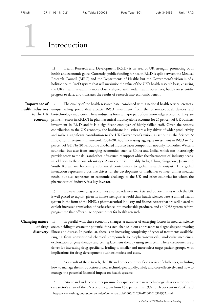1.1 Health Research and Development (R&D) is an area of UK strength, promoting both health and economic gains. Currently, public funding for health R&D is split between the Medical Research Council (MRC) and the Departments of Health; but the Government's vision is of a holistic health R&D system that will maximise the value of the UK's health research base, ensuring the UK's health research is more closely aligned with wider health objectives, builds on scientific progress to date, and translates the results of research into economic benefit.

**Importance of** 1.2 The quality of the health research base, combined with a national health service, creates a **health industries** unique selling point that attracts R&D investment from the pharmaceutical, devices and **to the UK** biotechnology industries. These industries form a major part of our knowledge economy. They are **economy** prime investors in R&D. The pharmaceutical industry alone accounts for 25 per cent of UK business investment in R&D and it is a significant employer of highly-skilled staff. Given the sector's contribution to the UK economy, the healthcare industries are a key driver of wider productivity and make a significant contribution to the UK Government's vision, as set out in the Science & Innovation Investment Framework 2004–2014, of increasing aggregate investment in R&D to 2.5 per cent of GDP by 2014. But the UK-based industry faces competition not only from other Western countries, but also from emerging economies, such as China and India, which can increasingly provide access to the skills and other infrastructure support which the pharmaceutical industry needs, in addition to their cost advantages. Asian countries, notably India, China, Singapore, Japan and South Korea, are becoming substantial contributors to global research output. This global interaction represents a positive driver for the development of medicines to meet unmet medical needs, but also represents an economic challenge to the UK and other countries for whom the pharmaceutical industry is a key investor.

> 1.3 However, emerging economies also provide new markets and opportunities which the UK is well placed to exploit, given its innate strengths: a world class health sciences base, a unified health system in the form of the NHS, a pharmaceutical industry and finance sector that are well placed to exploit increased translation of basic science into marketable products, and an NHS system reform programme that offers huge opportunities for health research.

**Changing nature** 1.4 In parallel with these economic changes, a number of emerging factors in medical science **of drug** are coinciding to create the potential for a step-change in our approaches to diagnosing and treating **discovery** illness and disease. In particular, there is an increasing complexity of types of treatments available, ranging from conventional chemical compounds to biopharmaceuticals, molecular medicines, exploitation of gene therapy and cell replacement therapy using stem cells. These discoveries are a driver for increasing drug specificity, leading to smaller and more select target patient groups, with implications for drug development business models and costs.

> 1.5 As a result of these trends, the UK and other countries face a series of challenges, including how to manage the introduction of new technologies rapidly, safely and cost-effectively, and how to manage the potential financial impact on health systems.

> 1.6 Patient and wider consumer pressure for rapid access to new technologies has seen the health care sector's share of the US economy grow from 13.6 per cent in 1997 to 16 per cent in 20041, and

<sup>1</sup> http://www.washingtonpost.com/wp-dyn/content/article/2006/01/09/AR2006010901932.html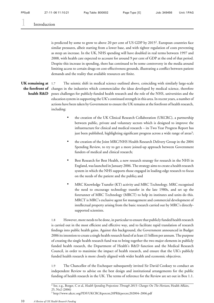is predicted by some to grow to above 20 per cent of US GDP by 20152. European countries face similar pressures, albeit starting from a lower base, and with tighter regulation of costs preventing as steep an increase. In the UK, NHS spending will have doubled in real terms between 1997 and 2008, with health care expected to account for around 9 per cent of GDP at the end of that period. Despite this increase in spending, there has continued to be some controversy in the media around limiting access to certain drugs on cost-effectiveness grounds, illustrating a conflict between patient demands and the reality that available resources are finite.

**UK remaining at** 1.7 The seismic shift in medical science outlined above, coinciding with similarly large-scale **the forefront of** changes in the industries which commercialise the ideas developed by medical science, therefore **health R&D** poses challenges for publicly-funded health research and the role of the NHS, universities and the education system in supporting the UK's continued strength in this area. In recent years, a number of actions have been taken by Government to ensure the UK remains at the forefront of health research, including:

- the creation of the UK Clinical Research Collaboration (UKCRC), a partnership between public, private and voluntary sectors which is designed to improve the infrastructure for clinical and medical research – its Two Year Progress Report has just been published, highlighting significant progress across a wide range of areas<sup>3</sup>;
- the creation of the Joint MRC/NHS Health Research Delivery Group in the 2004 Spending Review, to try to get a more joined-up approach between Government funders of medical and clinical research;
- Best Research for Best Health, a new research strategy for research in the NHS in England, was launched in January 2006. The strategy aims to create a health research system in which the NHS supports those engaged in leading-edge research to focus on the needs of the patient and the public**;** and
- MRC Knowledge Transfer (KT) activity and MRC Technology. MRC recognised the need to encourage technology transfer in the late 1980s, and set up the forerunner of MRC Technology (MRCT) to help its institutes and units do this. MRCT is MRC's exclusive agent for management and commercial development of intellectual property arising from the basic research carried out by MRC's directlysupported scientists.

1.8 However, more needs to be done, in particular to ensure that publicly funded health research is carried out in the most efficient and effective way, and to facilitate rapid translation of research findings into public health gains. Against this background, the Government announced in Budget 2006 its intention to create a single health research fund of at least £1 billion per annum. The purpose of creating the single health research fund was to bring together the two major elements in publicly funded health research, the Department of Health's R&D function and the Medical Research Council, in order to maximise the impact of health research, and ensure that the UK's publicly funded health research is more closely aligned with wider health and economic objectives.

1.9 The Chancellor of the Exchequer subsequently invited Sir David Cooksey to conduct an independent Review to advise on the best design and institutional arrangements for the public funding of health research in the UK. The terms of reference for the Review are set out in Box 1.1.

<sup>2</sup> See, e.g., Borger, C et al, *Health Spending Projections Through 2015: Changes On The Horizon*, Health Affairs, 25, No2 (2006)

<sup>&</sup>lt;sup>3</sup> http://www.ukcrc.org/PDF/UKCRC&percnt;20PR&percnt;202004-2006.pdf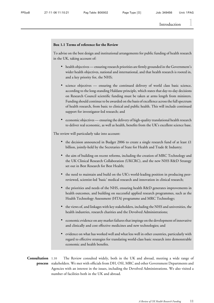#### **Box 1.1 Terms of reference for the Review**

To advise on the best design and institutional arrangements for public funding of health research in the UK, taking account of:

- health objectives ensuring research priorities are firmly grounded in the Government's wider health objectives, national and international, and that health research is rooted in, and a key priority for, the NHS;
- science objectives ensuring the continued delivery of world class basic science, according to the long-standing Haldane principle, which states that day-to-day decisions on Research Council scientific funding must be taken at arms length from ministers. Funding should continue to be awarded on the basis of excellence across the full spectrum of health research, from basic to clinical and public health. This will include continued support for investigator-led research; and
- economic objectives ensuring the delivery of high-quality translational health research to deliver real economic, as well as health, benefits from the UK's excellent science base.

The review will particularly take into account:

- the decision announced in Budget 2006 to create a single research fund of at least £1 billion, jointly-held by the Secretaries of State for Health and Trade & Industry;
- the aim of building on recent reforms, including the creation of MRC Technology and the UK Clinical Research Collaboration (UKCRC), and the new NHS R&D Strategy set out in Best Research for Best Health;
- the need to maintain and build on the UK's world-leading position in producing peerreviewed, scientist-led 'basic' medical research and innovation in clinical research;
- the priorities and needs of the NHS, ensuring health R&D generates improvements in health outcomes, and building on successful applied research programmes, such as the Health Technology Assessment (HTA) programme and MRC Technology;
- the views of, and linkages with key stakeholders, including the NHS and universities, the health industries, research charities and the Devolved Administrations;
- economic evidence on any market failures that impinge on the development of innovative and clinically and cost effective medicines and new technologies; and
- evidence on what has worked well and what less well in other countries, particularly with regard to effective strategies for translating world-class basic research into demonstrable economic and health benefits.

**Consultation** 1.10 The Review consulted widely, both in the UK and abroad, meeting a wide range of **process** stakeholders. We met with officials from DH, OSI, MRC and other Government Departments and Agencies with an interest in the issues, including the Devolved Administrations. We also visited a number of facilities both in the UK and abroad.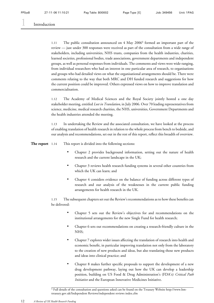1.11 The public consultation announced on 4 May 20064 formed an important part of the review — just under 300 responses were received as part of the consultation from a wide range of stakeholders, including universities, NHS trusts, companies from the health industries, charities, learned societies, professional bodies, trade associations, government departments and independent groups, as well as personal responses from individuals. The comments and views were wide-ranging, from individual researchers who had an interest in one particular area of research, to organisations and groups who had detailed views on what the organisational arrangements should be. There were comments relating to the way that both MRC and DH funded research and suggestions for how the current position could be improved. Others expressed views on how to improve translation and commercialisation.

1.12 The Academy of Medical Sciences and the Royal Society jointly hosted a one day stakeholder meeting, entitled *Lost in Translation*, in July 2006. Over 70 leading representatives from science, medicine, medical research charities, the NHS, universities, Government Departments and the health industries attended the meeting.

1.13 In undertaking the Review and the associated consultation, we have looked at the process of enabling translation of health research in relation to the whole process from bench to bedside, and our analysis and recommendations, set out in the rest of this report, reflect this breadth of overview.

**The report** 1.14 This report is divided into the following sections:

- Chapter 2 provides background information, setting out the nature of health research and the current landscape in the UK;
- Chapter 3 reviews health research funding systems in several other countries from which the UK can learn; and
- Chapter 4 considers evidence on the balance of funding across different types of research and our analysis of the weaknesses in the current public funding arrangements for health research in the UK.

1.15 The subsequent chapters set out the Review's recommendations as to how these benefits can be delivered:

- Chapter 5 sets out the Review's objectives for and recommendations on the institutional arrangements for the new Single Fund for health research;
- Chapter 6 sets out recommendations on creating a research-friendly culture in the NHS;
- Chapter 7 explores wider issues affecting the translation of research into health and economic benefit, in particular improving translation not only from the laboratory to the creation of new products and ideas, but also translating those new products and ideas into clinical practice; and
- Chapter 8 makes further specific proposals to support the development of a new drug development pathway, laying out how the UK can develop a leadership position, building on US Food & Drug Administration's (FDA's) *Critical Path Initiative* and the European Innovative Medicines Initiative.

<sup>4</sup> Full details of the consultation and questions asked can be found on the Treasury Website http://www.hmtreasury.gov.uk/Independent Reviews/independent reviews index.cfm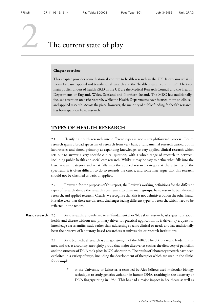## The current state of play

#### **Chapter overview**

This chapter provides some historical context to health research in the UK. It explains what is meant by basic, applied and translational research and the "health research continuum". The two main public funders of health R&D in the UK are the Medical Research Council and the Health Departments of England, Wales, Scotland and Northern Ireland. The MRC has traditionally focused attention on basic research, while the Health Departments have focused more on clinical and applied research. Across the piece, however, the majority of public funding for health research has been spent on basic research.

### **TYPES OF HEALTH RESEARCH**

2.1 Classifying health research into different types is not a straightforward process. Health research spans a broad spectrum of research from very basic / fundamental research carried out in laboratories and aimed primarily at expanding knowledge, to very applied clinical research which sets out to answer a very specific clinical question, with a whole range of research in between, including public health and social care research. Whilst it may be easy to define what falls into the basic research category and what falls into the applied research category at the extremes of the spectrum, it is often difficult to do so towards the centre, and some may argue that this research should not be classified as basic or applied.

2.2 However, for the purposes of this report, the Review's working definitions for the different types of research divide the research spectrum into three main groups: basic research, translational research, and applied research. Clearly, we recognise that this is not definitive; but on the other hand, it is also clear that there are different challenges facing different types of research, which need to be reflected in the report.

**Basic research** 2.3 Basic research, also referred to as 'fundamental' or 'blue skies' research, asks questions about health and disease without any primary driver for practical application. It is driven by a quest for knowledge via scientific study rather than addressing specific clinical or needs and has traditionally been the preserve of laboratory-based researchers at universities or research institutions.

> 2.4 Basic biomedical research is a major strength of the MRC. The UK is a world leader in this area, and we, as a country, are rightly proud that major discoveries such as the discovery of penicillin and the structure of DNA took place in UK laboratories. The results of laboratory research have been exploited in a variety of ways, including the development of therapies which are used in the clinic, for example:

> > at the University of Leicester, a team led by Alec Jeffreys used molecular biology techniques to study genetics variation in human DNA, resulting in the discovery of DNA fingerprinting in 1984. This has had a major impact in healthcare as well as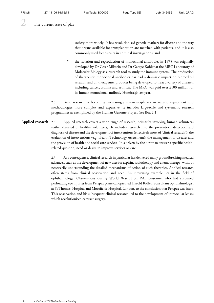society more widely. It has revolutionised genetic markers for disease and the way that organs available for transplantation are matched with patients, and it is also commonly used forensically in criminal investigations; and

the isolation and reproduction of monoclonal antibodies in 1975 was originally developed by Dr Cesar Milstein and Dr George Kohler at the MRC Laboratory of Molecular Biology as a research tool to study the immune system. The production of therapeutic monoclonal antibodies has had a dramatic impact on biomedical research and on therapeutic products being developed to treat a variety of diseases, including cancer, asthma and arthritis. The MRC was paid over £100 million for its human monoclonal antibody Humira $\widehat{R}$  last year.

2.5 Basic research is becoming increasingly inter-disciplinary in nature, equipment and methodologies more complex and expensive. It includes large-scale and systematic research programmes as exemplified by the Human Genome Project (see Box 2.1).

**Applied research** 2.6 Applied research covers a wide range of research, primarily involving human volunteers (either diseased or healthy volunteers). It includes research into the prevention, detection and diagnosis of disease and the development of interventions (effectively most of 'clinical research'); the evaluation of interventions (e.g. Health Technology Assessment); the management of disease; and the provision of health and social care services. It is driven by the desire to answer a specific healthrelated question, need or desire to improve services or care.

> 2.7 As a consequence, clinical research in particular has delivered many groundbreaking medical advances, such as the development of new uses for aspirin, radiotherapy and chemotherapy, without necessarily understanding the detailed mechanisms of action of such therapies. Applied research often stems from clinical observation and need. An interesting example lies in the field of ophthalmology. Observations during World War II on RAF personnel who had sustained perforating eye injuries from Perspex plane canopies led Harold Ridley, consultant ophthalmologist at St Thomas' Hospital and Moorfields Hospital, London, to the conclusion that Perspex was inert. This observation and his subsequent clinical research led to the development of intraocular lenses which revolutionised cataract surgery.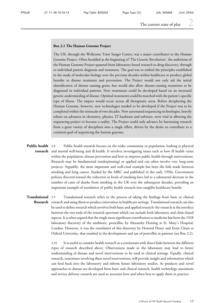#### **Box 2.1 The Human Genome Project**

The UK, through the Wellcome Trust Sanger Centre, was a major contributor to the Human Genome Project. Often heralded as the beginning of 'The Genetic Revolution', the ambitions of the Human Genome Project spanned from laboratory-based research to drug discovery, through to individual patient diagnosis and treatment. The goal was to embed the principles established in the study of molecular biology over the previous decades within healthcare to produce global benefits in disease treatment and prevention. The Project would not only aid the initial identification of disease causing genes, but would also allow disease-causing mutations to be diagnosed in individual patients. New treatments could be developed based on an increased genetic understanding of disease. Optimal treatments could be matched with the patient's specific type of illness. The impact would occur across all therapeutic areas. Before deciphering the Human Genome, however, new technologies needed to be developed if the Project was to be completed within the timescale of two decades. New automated sequencing technologies, heavily reliant on advances in chemistry, physics, IT hardware and software, were vital in allowing the sequencing project to become a reality. The Project could only advance by harnessing research from a great variety of disciplines into a single effort, driven by the desire to contribute to a common goal of sequencing the human genome.

**Public health** 2.8 Public health research focuses on the wider community or population, looking at physical **research** and mental well-being and ill health. It involves investigating issues such as how ill health varies within the population, disease prevention and how to improve public health through interventions. Research may be fundamental (underpinning) or applied and can often involve very long-term projects. Arguably, the most important and well-cited example has been the link made between smoking and lung cancer, funded by the MRC and published in the early 1950s. Government policies directed toward the reduction in levels of smoking have led to a substantial decrease in the number of cases of deaths from smoking in the UK over the subsequent decades, providing an important example of translation of public health research into tangible healthcare benefit.

**Translational** 2.9 Translational research refers to the process of taking the findings from basic or clinical **Research** research and using them to produce innovation in healthcare settings. Translational research can also be used to define research which involves both basic and applied research: the research at the interface between the two ends of the research spectrum which can include both laboratory and clinic-based aspects. It is often argued that the single most significant contribution to medicine has been the 1928 laboratory discovery of the antibiotic, penicillin, by Alexander Fleming at St. Mary's Hospital, London. However, it was the translation of this discovery by Howard Florey and Ernst Chain at Oxford University, that resulted in the development and use of penicillin in patients (see Box 2.2).

> 2.10 It is useful to consider health research as a continuum with direct links between the different types of research described above. Observations made in the laboratory may lead to better understanding of disease and novel interventions to be used in clinical settings. Equally, clinical research, sometimes involving these novel interventions, will provide insight and information which can feed back into the laboratory and inform future laboratory studies. As products and novel approaches to disease are developed from basic and clinical research, health technology assessment and service delivery research are used to ascertain how and when best to apply them in practice.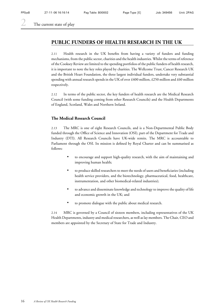### **PUBLIC FUNDERS OF HEALTH RESEARCH IN THE UK**

2.11 Health research in the UK benefits from having a variety of funders and funding mechanisms, from the public sector, charities and the health industries. Whilst the terms of reference of the Cooksey Review are limited to the spending portfolios of the public funders of health research, it is important to note the key roles played by charities. The Wellcome Trust, Cancer Research UK and the British Heart Foundation, the three largest individual funders, undertake very substantial spending with annual research spends in the UK of over  $\pounds 400$  million,  $\pounds 250$  million and  $\pounds 60$  million respectively.

2.12 In terms of the public sector, the key funders of health research are the Medical Research Council (with some funding coming from other Research Councils) and the Health Departments of England, Scotland, Wales and Northern Ireland.

#### **The Medical Research Council**

2.13 The MRC is one of eight Research Councils, and is a Non-Departmental Public Body funded through the Office of Science and Innovation (OSI), part of the Department for Trade and Industry (DTI). All Research Councils have UK-wide remits. The MRC is accountable to Parliament through the OSI. Its mission is defined by Royal Charter and can be summarised as follows:

- to encourage and support high-quality research, with the aim of maintaining and improving human health;
- to produce skilled researchers to meet the needs of users and beneficiaries (including health service providers, and the biotechnology, pharmaceutical, food, healthcare, instrumentation, and other biomedical-related industries);
- to advance and disseminate knowledge and technology to improve the quality of life and economic growth in the UK; and
- to promote dialogue with the public about medical research.

2.14 MRC is governed by a Council of sixteen members, including representatives of the UK Health Departments, industry and medical researchers, as well as lay members. The Chair, CEO and members are appointed by the Secretary of State for Trade and Industry.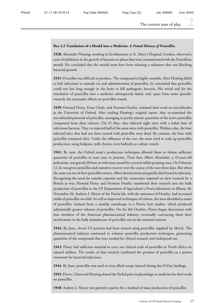#### **Box 2.2 Translation of a Mould into a Medicine:** *A Potted History of Penicillin.*

**1928**: Alexander Fleming, working in his laboratory at St. Mary's Hospital, London, observed a zone of inhibition in the growth of bacteria on plates that were contaminated with the Penicillum mould. He concluded that the mould must have been releasing a substance that was blocking bacterial growth.

**1931**: Penicillin was difficult to produce. The compound is highly unstable. After Fleming failed to halt infections in animals via oral administration of penicillin, he concluded that penicillin could not last long enough in the body to kill pathogenic bacteria. His initial zeal for the translation of penicillin into a medicine subsequently faded, and, apart from some sporadic research, his systematic efforts on penicillin waned.

**1939**: Howard Florey, Ernst Chain, and Norman Heatley, initiated their work on microbicides at the University of Oxford. After reading Fleming's original report, they re-examined the microbicidal potential of penicillin, managing to purify minute quantities of the active penicillin compound from their cultures. On 25 May, they infected eight mice with a lethal dose of infectious bacteria. They co-injected half of the same mice with penicillin. Within a day, the four infected mice that had not been treated with penicillin were dead. By contrast, the four with penicillin remained alive. Under the influence of the war, the team tried to scale-up penicillin production, using bedpans, milk churns, even bathtubs as culture vessels.

**1941**: By now, the Oxford team's production techniques allowed them to obtain sufficient quantities of penicillin to start tests in patients. Their first, Albert Alexander, a 43-year-old policeman, was gravely ill from an infection caused by a scratch whilst pruning roses. On February 12, he was given penicillin and started to recover over the course of the next three days. But when the team ran out of their penicillin extract, Albert deteriorated and quickly died from his infection. Recognising the need for outside expertise and the constraints imposed on their research by a Britain at war, Howard Florey and Norman Heatley transferred their research into the bulk production of penicillin to the US Department of Agriculture's Peoria laboratory in Illinois. By November 26, Andrew J. Moyer of the Peoria lab, with the assistance of Heatley, had increased yields of penicillin ten fold. As well as improved techniques of culture, the men identified a strain of penicillin, isolated from a mouldy cantaloupe in a Peoria fruit market, which produced substantially greater volumes of penicillin. On the 8th October, Florey began discussions with four members of the American pharmaceutical industry; eventually convincing them their involvement in the bulk manufacture of penicillin was in the national interest.

**1942**: By June, eleven US patients had been treated using penicillin supplied by Merck. The pharmaceutical industry continued to enhance penicillin production techniques, generating quantities of the compound that were needed for clinical research and widespread use.

**1943**: Florey had sufficient material to carry out clinical trials of penicillin in North Africa on injured soldiers. The results of that research confirmed the promise of penicillin as a potent treatment for bacterial infections.

**1944**: By June, penicillin was used to treat allied troops injured during the D-Day landings.

**1945**: Florey, Chain and Fleming shared the Nobel prize in physiology or medicine for their work on penicillin.

**1948**: Andrew J. Moyer was granted a patent for a method of mass production of penicillin.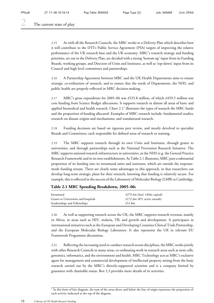2.15 As with all the Research Councils, the MRC works to a Delivery Plan which describes how it will contribute to the DTI's Public Service Agreement (PSA) targets of improving the relative performance of the UK research base and the UK economy. MRC's research strategy and funding priorities, set out in the Delivery Plan, are decided with a strong 'bottom up' input from its Funding Boards, working groups, and Directors of Units and Institutes, as well as 'top-down' input from its Council and high level committees and partnerships.

2.16 A Partnership Agreement between MRC and the UK Health Departments aims to ensure strategic co-ordination of research, and to ensure that the needs of Departments, the NHS, and public health are properly reflected in MRC decision-making.

2.17 MRC's gross expenditure for 2005–06 was £525.8 million, of which £459.5 million was core funding from Science Budget allocations. It supports research in almost all areas of basic and applied biomedical and health research. Chart  $2.1<sup>1</sup>$  illustrates the types of research the MRC funds and the proportion of funding allocated. Examples of MRC research include: fundamental studies; research on disease origins and mechanisms; and translational research.

2.18 Funding decisions are based on rigorous peer review, and mostly devolved to specialist Boards and Committees, each responsible for defined areas of research or training.

2.19 The MRC supports research through its own Units and Institutes, through grants to universities, and through partnerships such as the National Prevention Research Initiative. The MRC supports national research infrastructure in universities, in the NHS (e.g. the General Practice Research Framework) and in its own establishments. As Table 2.1 illustrates, MRC puts a substantial proportion of its funding into its intramural units and institutes, which are outside the responsemode funding stream. There are clearly some advantages to this approach, in that researchers can develop long-term strategic plans for their research, knowing that funding is relatively secure. For example, this is reflected in the success of the Laboratory of Molecular Biology (LMB) at Cambridge.

| Intramural                           | £279.4m (Incl. £40m capital) |
|--------------------------------------|------------------------------|
| Grants to Universities and hospitals | £172.4m (851 active awards)  |
| Studentships and Fellowships         | £51.8m                       |

**Table 2.1 MRC Spending Breakdown, 2005–06:**

2.20 As well as supporting research across the UK, the MRC supports research overseas, mainly in Africa, in areas such as HIV, malaria, TB, and growth and development. It participates in international initiatives such as the European and Developing Countries Clinical Trials Partnership, and the European Molecular Biology Laboratory. It also represents the UK in relevant EU Framework Programme discussions.

2.21 Reflecting the increasing need to conduct research across disciplines, the MRC works jointly with other Research Councils in many areas, co-ordinating work in research areas such as stem cells, genomics, informatics, and the environment and health. MRC Technology acts as MRC's exclusive agent for management and commercial development of intellectual property arising from the basic research carried out by the MRC's directly-supported scientists and is a company limited by guarantee with charitable status. Box 2.3 provides more details of its activities.

<sup>&</sup>lt;sup>1</sup> In this form of kite diagram, the sum of the areas above and below the line of origin represents the proportion of each activity indicated at the top of the diagram.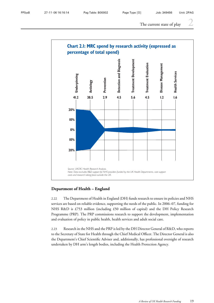The current state of play





#### **Department of Health – England**

2.22 The Department of Health in England (DH) funds research to ensure its policies and NHS services are based on reliable evidence, supporting the needs of the public. In 2006–07, funding for NHS R&D is £753 million (including £50 million of capital) and the DH Policy Research Programme (PRP). The PRP commissions research to support the development, implementation and evaluation of policy in public health, health services and adult social care.

2.23 Research in the NHS and the PRP is led by the DH Director General of R&D, who reports to the Secretary of State for Health through the Chief Medical Officer. The Director General is also the Department's Chief Scientific Adviser and, additionally, has professional oversight of research undertaken by DH arm's length bodies, including the Health Protection Agency.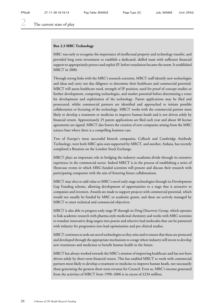#### **Box 2.3 MRC Technology**

MRC was early to recognise the importance of intellectual property and technology transfer, and provided long term investment to establish a dedicated, skilled team with sufficient financial support to appropriately protect and exploit IP, before translation became the norm. It established MRCT in 2000.

Through strong links with the MRC's research scientists, MRCT staff identify new technologies and ideas and carry out due diligence to determine their healthcare and commercial potential. MRCT will assess healthcare need, strength of IP position, need for proof of concept studies or further development, competing technologies, and market potential before determining a route for development and exploitation of the technology. Patent applications may be filed and prosecuted, whilst commercial partners are identified and approached to initiate possible collaboration or licensing of the technology. MRCT works with the commercial partner most likely to develop a treatment or medicine to improve human heath and is not driven solely by financial return. Approximately 25 patent applications are filed each year and about 40 license agreements are signed. MRCT also fosters the creation of new companies arising from the MRC science base where there is a compelling business case.

Two of Europe's most successful biotech companies, Celltech and Cambridge Antibody Technology, were both MRC spin-outs supported by MRCT, and another, Ardana, has recently completed a flotation on the London Stock Exchange.

MRCT plays an important role in bridging the industry–academia divide through its extensive experience in the commercial sector. Indeed MRCT is in the process of establishing a series of Showcase events in which MRC-funded scientists will present and discuss their research with participating companies with the aim of fostering future collaborations.

MRCT may elect to add value to MRC's novel early stage technologies through its Development Gap Funding scheme, allowing development of opportunities to a stage that is attractive to companies and investors. Awards are made to support projects with commercial potential, which would not usually be funded by MRC or academic grants, and these are actively managed by MRCT to meet technical and commercial objectives.

MRCT is also able to progress early stage IP through its Drug Discovery Group, which operates to link academic research with pharma-style medicinal chemistry and works with MRC scientists to translate innovative drug targets into potent and selective lead molecules that can be partnered with industry for progression into lead optimisation and pre-clinical studies.

MRCT continues to seek out novel technologies as they arise and to ensure that these are protected and developed through the appropriate mechanism to a stage where industry will invest to develop new treatments and medicines to benefit human health in the future.

MRCT has always worked towards the MRC's mission of improving healthcare and has not been driven solely by short-term financial return. This has enabled MRCT to work with commercial partners most likely to develop a treatment or medicine to improve human heath, not necessarily those generating the greatest short-term revenue for Council. Even so, MRC's income generated from the activities of MRCT from 1998–2006 is in excess of £234 million.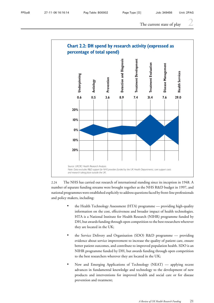The current state of play





- the Health Technology Assessment (HTA) programme providing high-quality information on the cost, effectiveness and broader impact of health technologies. HTA is a National Institute for Health Research (NIHR) programme funded by DH, but awards funding through open competition to the best researchers wherever they are located in the UK;
- the Service Delivery and Organisation (SDO) R&D programme providing evidence about service improvement to increase the quality of patient care, ensure better patient outcomes, and contribute to improved population health. SDO is an NIHR programme funded by DH, but awards funding through open competition to the best researchers wherever they are located in the UK;
- New and Emerging Applications of Technology (NEAT) applying recent advances in fundamental knowledge and technology to the development of new products and interventions for improved health and social care or for disease prevention and treatment;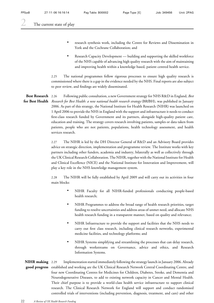- research synthesis work, including the Centre for Reviews and Dissemination in York and the Cochrane Collaboration; and
- Research Capacity Development building and supporting the skilled workforce of the NHS capable of advancing high quality research with the aim of maintaining and improving health within a knowledge based, patient centred health service.

2.25 The national programmes follow rigorous processes to ensure high quality research is commissioned where there is a gap in the evidence needed by the NHS. Final reports are also subject to peer review, and findings are widely disseminated.

**Best Research** 2.26 Following public consultation, a new Government strategy for NHS R&D in England, *Best* **for Best Health** *Research for Best Health: a new national health research strategy* (BRfBH), was published in January 2006. As part of this strategy, the National Institute for Health Research (NIHR) was launched on 1 April 2006 to provide the NHS in England with the support and infrastructure it needs to conduct first-class research funded by Government and its partners, alongside high-quality patient care, education and training. The strategy covers research involving patients, samples or data taken from patients, people who are not patients, populations, health technology assessment, and health services research.

> 2.27 The NIHR is led by the DH Director General of R&D and an Advisory Board provides advice on strategic direction, implementation and programme review. The Institute works with key partners including other funders, academia and industry, bilaterally as well as collectively through the UK Clinical Research Collaboration. The NIHR, together with the National Institute for Health and Clinical Excellence (NICE) and the National Institute for Innovation and Improvement, will play a key role in the NHS knowledge management system.

> 2.28 The NIHR will be fully established by April 2009 and will carry out its activities in four main blocks:

- NIHR Faculty for all NIHR-funded professionals conducting people-based health research;
- NIHR Programmes to address the broad range of health research priorities, target funding to resolve uncertainties and address areas of unmet need, and allocate NHS health research funding in a transparent manner, based on quality and relevance;
- NIHR Infrastructure to provide the support and facilities that the NHS needs to carry out first class research, including clinical research networks, experimental medicine facilities, and technology platforms; and
- NIHR Systems simplifying and streamlining the processes that can delay research, through workstreams on Governance, advice and ethics, and Research Information Systems.

**NIHR making** 2.29 Implementation started immediately following the strategy launch in January 2006. Already **good progress** established and working are the UK Clinical Research Network Central Coordinating Centre, and four new Coordinating Centres for Medicines for Children, Diabetes, Stroke, and Dementia and Neurodegenerative Diseases, to add to existing network capacity in Cancer and Mental Health. Their chief purpose is to provide a world-class health service infrastructure to support clinical research. The Clinical Research Network for England will support and conduct randomised controlled trials of interventions (including prevention, diagnosis, treatment, and care) and other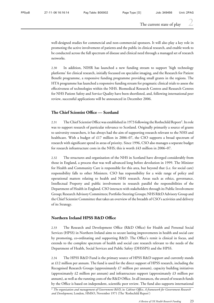The current state of play

well-designed studies for commercial and non-commercial sponsors. It will also play a key role in promoting the active involvement of patients and the public in clinical research, and enable work to be conducted across the full spectrum of disease and clinical need through a managed set of research networks.

2.30 In addition, NIHR has launched a new funding stream to support 'high technology platforms' for clinical research, initially focussed on specialist imaging, and the Research for Patient Benefit programme, a responsive funding programme providing small grants in the regions. The HTA programme has launched a responsive funding stream for pragmatic clinical trials to assess the effectiveness of technologies within the NHS. Biomedical Research Centres and Research Centres for NHS Patient Safety and Service Quality have been shortlisted, and, following international peer review, successful applications will be announced in December 2006.

#### **The Chief Scientist Office — Scotland**

2.31 The Chief Scientist Office was established in 1973 following the Rothschild Report<sup>2</sup>. Its role was to support research of particular relevance to Scotland. Originally primarily a source of grants to university researchers, it has always had the aim of supporting research relevant to the NHS and healthcare. With a budget of £17 million in 2006–07, the CSO supports a broad spectrum of research with significant spend in areas of priority. Since 1996, CSO also manages a separate budget for research infrastructure costs in the NHS; this is worth £43 million in 2006–07.

2.32 The structures and organisation of the NHS in Scotland have diverged considerably from those in England, a process that was well advanced long before devolution in 1999. The Minister for Health and Community Care is responsible for this area, but beyond that (i.e. for social care) responsibility falls to other Ministers. CSO has responsibility for a wide range of policy and operational matters relating to health and NHS research. Areas such as ethics, governance, Intellectual Property and public involvement in research parallel the responsibilities of the Department of Health in England. CSO interacts with stakeholders through its Public Involvement Group; Research Advisory Committees; Portfolio Steering Groups; NHS R&D Advisory Group and the Chief Scientist Committee that takes an overview of the breadth of CSO's activities and delivery of its Strategy.

#### **Northern Ireland HPSS R&D Office**

2.33 The Research and Development Office (R&D Office) for Health and Personal Social Services (HPSS) in Northern Ireland aims to secure lasting improvements in health and social care by promoting, co-ordinating and supporting R&D. The Office's remit is clinical in focus, and extends to the complete spectrum of health and social care research relevant to the needs of the Department of Health, Social Services and Public Safety (DHSSPS) and the HPSS.

2.34 The HPSS R&D Fund is the primary source of HPSS R&D support and currently stands at £12 million per annum. The fund is used for the direct support of HPSS research, including the Recognised Research Groups (approximately £7 million per annum), capacity building initiatives (approximately £2 million per annum) and infrastructure support (approximately £3 million per annum), as well as the running costs of the R&D Office. In all instances, the award of research funds by the Office is based on independent, scientific peer review. The fund also supports international

<sup>2</sup> *The organisation and management of Government R&D*, in *Cabinet Office, A framework for Government Research and Development*, London, HMSO, November 1971 (The 'Rothschild Report')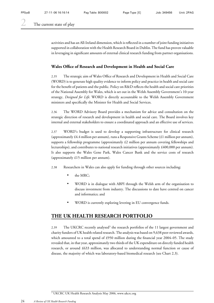activities and has an All-Ireland dimension, which is reflected in a number of joint funding initiatives supported in collaboration with the Health Research Board in Dublin. The fund has proven valuable in leveraging in significant amounts of external clinical research funding from partner organisations.

#### **Wales Office of Research and Development in Health and Social Care**

2.35 The strategic aim of Wales Office of Research and Development in Health and Social Care (WORD) is to generate high quality evidence to inform policy and practice in health and social care for the benefit of patients and the public. Policy on R&D reflects the health and social care priorities of the National Assembly for Wales, which is set out in the Welsh Assembly Government's 10-year strategy, *Designed for Life*. WORD is directly accountable to the Welsh Assembly Government ministers and specifically the Minister for Health and Social Services.

2.36 The WORD Advisory Board provides a mechanism for advice and consultation on the strategic direction of research and development in health and social care. The Board involves key internal and external stakeholders to ensure a coordinated approach and an effective use of services.

2.37 WORD's budget is used to develop a supporting infrastructure for clinical research (approximately £4.4 million per annum), runs a Responsive Grants Scheme (£1 million per annum), supports a fellowship programme (approximately £2 million per annum covering fellowships and lectureships), and contributes to national research initiatives (approximately £400,000 per annum). It also supports the Wales Gene Park, Wales Cancer Bank and the service costs of research (approximately £15 million per annum).

2.38 Researchers in Wales can also apply for funding through other sources including:

- the MRC;
- WORD is in dialogue with ABPI through the Welsh arm of the organisation to discuss investment from industry. The discussions to date have centred on cancer and informatics; and
- WORD is currently exploring levering in EU convergence funds.

### **THE UK HEALTH RESEARCH PORTFOLIO**

2.39 The UKCRC recently analysed<sup>3</sup> the research portfolios of the 11 largest government and charity funders of UK health related research. The analysis was based on 9,638 peer-reviewed awards, which amounted to a total spend of £950 million during the financial year 2004–05. The study revealed that, in that year, approximately two thirds of the UK expenditure on directly funded health research, or around £633 million, was allocated to understanding normal function or cause of disease, the majority of which was laboratory-based biomedical research (see Chart 2.3).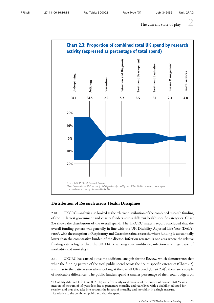The current state of play



#### **Distribution of Research across Health Disciplines**

2.40 UKCRC's analysis also looked at the relative distribution of the combined research funding of the 11 largest government and charity funders across different health specific categories. Chart 2.4 shows the distribution of the overall spend. The UKCRC analysis report concluded that the overall funding pattern was generally in line with the UK Disability Adjusted Life Year (DALY) rates<sup>4</sup>, with the exception of Respiratory and Gastrointestinal research, where funding is substantially lower than the comparative burden of the disease. Infection research is one area where the relative funding rate is higher than the UK DALY ranking (but worldwide, infection is a huge cause of morbidity and mortality).

2.41 UKCRC has carried out some additional analysis for the Review, which demonstrates that while the funding pattern of the total public spend across the health specific categories (Chart 2.5) is similar to the pattern seen when looking at the overall UK spend (Chart  $2.4$ )<sup>5</sup>, there are a couple of noticeable differences. The public funders spend a smaller percentage of their total budgets on

<sup>4</sup> Disability Adjusted Life Years (DALYs) are a frequently used measure of the burden of disease. DALYs are a measure of the sum of life years lost due to premature mortality and years lived with a disability adjusted for severity, and thus they take into account the impact of mortality and morbidity in a single measure. <sup>5</sup> i.e relative to the combined public and charities spend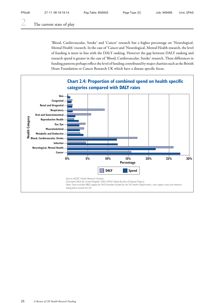'Blood, Cardiovascular, Stroke' and 'Cancer' research but a higher percentage on 'Neurological, Mental Health' research. In the case of 'Cancer and 'Neurological, Mental Health research, the level of funding is more in line with the DALY ranking. However the gap between DALY ranking and research spend is greater in the case of 'Blood, Cardiovascular, Stroke' research. These differences in funding patterns perhaps reflect the level of funding contributed by major charities such as the British Heart Foundation or Cancer Research UK which have a disease specific focus.

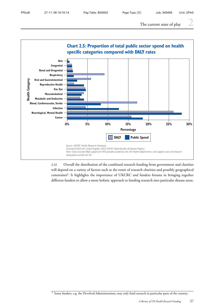The current state of play



2.42 Overall the distribution of the combined research funding from government and charities will depend on a variety of factors such as the remit of research charities and possibly geographical constraints<sup>6</sup>. It highlights the importance of UKCRC and funders forums in bringing together different funders to allow a more holistic approach to funding research into particular disease areas.

```
\overline{6} Some funders, e.g. the Devolved Administrations, may only fund research in particular parts of the country.
```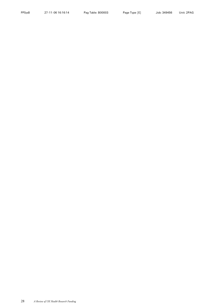PPSysB 27-11-06 16:16:14 Pag Table: B00003 Page Type [E] Job: 349456 Unit: 2PAG

28 *A Review of UK Health Research Funding*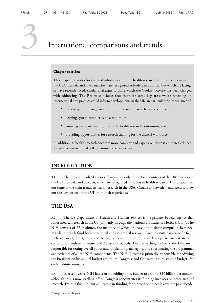### International comparisons and trends

#### **Chapter overview**

This chapter provides background information on the health research funding arrangements in the USA, Canada and Sweden, which are recognised as leaders in this area, but which are facing, or have recently faced, similar challenges to those which the Cooksey Review has been charged with addressing. The Review concludes that there are some key areas where reflecting on international best practice could inform developments in the UK, in particular the importance of:

- leadership and strong communication between researchers and clinicians;
- keeping system complexity to a minimum;
- ensuring adequate funding across the health research continuum; and
- providing opportunities for research training for the clinical workforce.

In addition, as health research becomes more complex and expensive, there is an increased need for greater international collaboration and co-operation.

#### **INTRODUCTION**

3.1 The Review involved a series of visits, not only to the four countries of the UK, but also to the USA, Canada and Sweden, which are recognised as leaders in health research. This chapter sets out some of the main trends in health research in the USA, Canada and Sweden, and seeks to draw out the key lessons for the UK from their experiences.

#### **THE USA**

3.2 The US Department of Health and Human Services is the primary Federal agency that funds medical research in the US, primarily through the National Institutes of Health  $(NIH)^{1}$ . The NIH consists of 27 Institutes, the majority of which are based on a single campus in Bethesda, Maryland, which fund both intramural and extramural research. Each institute has a specific focus such as cancer; heart, lung and blood; or genome research, and develops its own strategy in consultation with its scientists and Advisory Councils. The overarching Office of the Director is responsible for setting overall policy and for planning, managing, and coordinating the programmes and activities of all the NIH components. The NIH Director is primarily responsible for advising the President on his annual budget request to Congress, and Congress in turn sets the budgets for each institute annually.

3.3 In recent years, NIH has seen a doubling of its budget to around \$29 billion per annum, although this is now levelling-off as Congress concentrates its funding increases on other areas of research. Despite this substantial increase in funding for biomedical research over the past decade,

<sup>1</sup> http://www.nih.gov/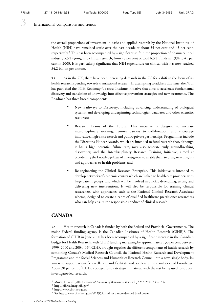the overall proportions of investment in basic and applied research by the National Institutes of Health (NIH) have remained static over the past decade at about 55 per cent and 45 per cent, respectively.2 This has been accompanied by a significant shift in the proportion of pharmaceutical industry R&D going into clinical research, from 28 per cent of total R&D funds in 1994 to 41 per cent in 2003. It is particularly significant that NIH expenditure on clinical trials has now reached \$4.2 billion per annum.

3.4 As in the UK, there have been increasing demands in the US for a shift in the focus of its health research spending towards translational research. In attempting to address this issue, the NIH has published the 'NIH Roadmap'<sup>3</sup>, a cross-Institute initiative that aims to accelerate fundamental discovery and translation of knowledge into effective prevention strategies and new treatments. The Roadmap has three broad components:

- New Pathways to Discovery, including advancing understanding of biological systems, and developing underpinning technologies, databases and other scientific resources;
- Research Teams of the Future. This initiative is designed to increase interdisciplinary working, remove barriers to collaboration, and encourage innovative, high-risk research and public-private partnerships. Programmes include the Director's Pioneer Awards, which are intended to fund research that, although it has a high potential failure rate, may also generate truly groundbreaking discoveries; and the Interdisciplinary Research Training Initiative, aimed at broadening the knowledge base of investigators to enable them to bring new insights and approaches to health problems; and
- Re-engineering the Clinical Research Enterprise. This initiative is intended to develop networks of academic centres which are linked to health care providers with large patient groups, and which will be involved in quickly developing, testing and delivering new interventions. It will also be responsible for training clinical researchers, with approaches such as the National Clinical Research Associates scheme, designed to create a cadre of qualified healthcare practitioner-researchers who can help ensure the responsible conduct of clinical research.

#### **CANADA**

3.5 Health research in Canada is funded by both the Federal and Provincial Governments. The major Federal funding agency is the Canadian Institutes of Health Research (CIHR)<sup>4</sup>. The formation of CIHR in June 2000 has been accompanied by a significant increase in the Canadian budget for Health Research, with CIHR funding increasing by approximately 130 per cent between 1999–2000 and 2004–055. CIHR brought together the different components of health research by combining Canada's Medical Research Council, the National Health Research and Development Programme and the Social Sciences and Humanities Research Council into a new, single body. Its aim is to support scientific excellence, and facilitate and accelerate the translation of knowledge. About 30 per cent of CIHR's budget funds strategic initiatives, with the rest being used to support investigator-led research.

<sup>2</sup> Moses, H. *et al.* (2006) *Financial Anatomy of Biomedical Research.* JAMA 294:1333–1342

<sup>3</sup> http://nihroadmap.nih.gov/

<sup>4</sup> http://www.cihr-irsc.gc.ca

<sup>5</sup> See http://www.cihr-irsc.gc.ca/e/22955.html for a more detailed breakdown.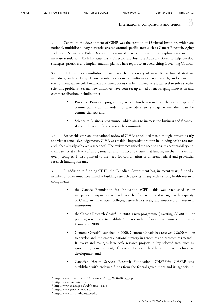International comparisons and trends 3

3.6 Central to the development of CIHR was the creation of 13 virtual Institutes, which are national, multidisciplinary networks created around specific areas such as Cancer Research, Aging and Health Service and Policy Research. Their mandate is to promote multidisciplinary research and increase translation. Each Institute has a Director and Institute Advisory Board to help develop strategies, priorities and implementation plans. These report to an overarching Governing Council.

3.7 CIHR supports multidisciplinary research in a variety of ways. It has funded strategic initiatives, such as Large Team Grants to encourage multidisciplinary research, and created an environment where collaborations and interactions can be initiated at a local level to solve specific scientific problems. Several new initiatives have been set up aimed at encouraging innovation and commercialisation, including the:

- Proof of Principle programme, which funds research at the early stages of commercialisation, in order to take ideas to a stage where they can be commercialised; and
- Science to Business programme, which aims to increase the business and financial skills in the scientific and research community.

3.8 Earlier this year, an international review of CIHR<sup>6</sup> concluded that, although it was too early to arrive at conclusive judgements, CIHR was making impressive progress in unifying health research and it had already achieved a great deal. The review recognised the need to ensure accountability and transparency at all levels of an organisation and the need to ensure that funding mechanisms are not overly complex. It also pointed to the need for coordination of different federal and provincial research funding streams.

3.9 In addition to funding CIHR, the Canadian Government has, in recent years, funded a number of other initiatives aimed at building research capacity, many with a strong health research component:

- the Canada Foundation for Innovation  $(CFI)^7$ : this was established as an independent corporation to fund research infrastructure and strengthen the capacity of Canadian universities, colleges, research hospitals, and not-for-profit research institutions;
- the Canada Research Chairs<sup>8</sup>: in 2000, a new programme (investing C\$300 million per year) was created to establish 2,000 research professorships in universities across Canada by 2008;
- Genome Canada<sup>9</sup>: launched in 2000, Genome Canada has received C\$600 million to develop and implement a national strategy in genomics and proteomics research. It invests and manages large-scale research projects in key selected areas such as agriculture, environment, fisheries, forestry, health and new technology development; and
- Canadian Health Services Research Foundation (CHSRF)<sup>10</sup>: CHSRF was established with endowed funds from the federal government and its agencies in

 $\frac{6}{6}$  http://www.cihr-irsc.gc.ca/e/documents/irp\_2000–2005\_e.pdf<br>  $\frac{7}{7}$  http://www.innovation.ca

<sup>8</sup> http://www.chairs.gc.ca/web/home—e.asp <sup>9</sup> http://www.genomecanada.ca

<sup>10</sup> http://www.chsrf.ca/home—e.php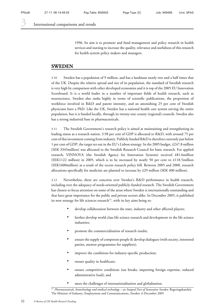1996. Its aim is to promote and fund management and policy research in health services and nursing to increase the quality, relevance and usefulness of this research for health-system policy makers and managers.

## **SWEDEN**

3.10 Sweden has a population of 9 million, and has a landmass nearly two and a half times that of the UK. Despite the relative spread and size of its population, the standard of Swedish research is very high by comparison with other developed economies and it is top of the 2005 EU Innovation Scoreboard. It is a world leader in a number of important fields of health research, such as neuroscience. Sweden also ranks highly in terms of scientific publications, the proportion of workforce involved in R&D and patent intensity, and an astonishing 25 per cent of Swedish physicians have a PhD. Like the UK, Sweden has a national health care system serving the entire population, but it is funded locally, through its twenty-one county (regional) councils. Sweden also has a strong industrial base in pharmaceuticals.

3.11 The Swedish Government's research policy is aimed at maintaining and strengthening its leading status as a research nation. 3.98 per cent of GDP is allocated to R&D, with around 75 per cent of this investment coming from industry. Publicly funded R&D is therefore currently just below 1 per cent of GDP, the target set out in the EU's Lisbon strategy. In the 2005 budget, £247.8 million (SEK 3345million) was allocated to the Swedish Research Council for basic research. For applied research, VINNOVA (the Swedish Agency for Innovation Systems) received £81.6million (SEK1122 million) in 2005, which is to be increased by nearly 50 per cent to £118.5million (SEK1600million) as a result of the recent research policy bill. Between 2005 and 2008, research allocations specifically for medicine are planned to increase by £29 million (SEK 400 million).

3.12 Nevertheless, there are concerns over Sweden's R&D performance in health research, including over the adequacy of needs-oriented publicly-funded research. The Swedish Government has chosen to focus attention on some of the areas where Sweden is internationally outstanding and that have great importance for the public and private sectors alike. In December 2005, it published its new strategy for life sciences research<sup>11</sup>, with its key aims being to:

- develop collaboration between the state, industry and other affected players;
- further develop world class life science research and development in the life science industries;
- promote the commercialisation of research results;
- ensure the supply of competent people & develop dialogues (with society, interested parties, mentor programmes for suppliers);
- improve the conditions for industry-specific production;
- ensure quality in healthcare;
- ensure competitive conditions (tax breaks, importing foreign expertise, reduced administrative load); and
- meet the challenges of internationalisation and globalisation.

<sup>&</sup>lt;sup>11</sup> *Pharmaceuticals, biotechnology and medical technology – an Integral Part of Innovative Sweden. Regeringskansleit.* The Ministry of Industry, Employment and Communications, Sweden. 6 December 2005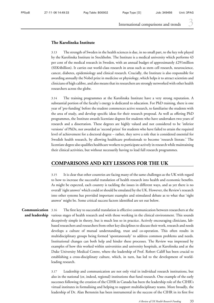International comparisons and trends 3

## **The Karolinska Institute**

3.13 The strength of Sweden in the health sciences is due, in no small part, to the key role played by the Karolinska Institute in Stockholm. The Institute is a medical university which performs 43 per cent of the medical research in Sweden, with an annual budget of approximately £291million (SEK4billion). It carries out world-class research in areas such as stem cell research, neuroscience, cancer, diabetes, epidemiology and clinical research. Crucially, the Institute is also responsible for awarding annually the Nobel prize in medicine or physiology, which helps it to attract scientists and clinicians of high calibre, and also means that its researchers are strongly networked with other health researchers across the globe.

3.14 The training programmes at the Karolinska Institute have a very strong reputation. A substantial portion of the faculty's energy is dedicated to education. For PhD training, there is one year of 'pre-funding' before the student commences active research, to familiarise the students with the area of study, and develop specific ideas for their research proposal. As well as offering PhD programmes, the Institute awards licentiate degrees for students who have undertaken two years of research and a dissertation. These degrees are highly valued and not considered to be 'inferior versions' of PhDs, nor awarded as 'second prizes' for students who have failed to attain the required level of achievement for a doctoral degree – rather, they serve a role that is considered essential for Swedish health research, by allowing healthcare professionals to become 'research literate.' The licentiate degree also qualifies healthcare workers to participate actively in research while maintaining their clinical activities, but without necessarily having to lead full research programmes.

# **COMPARISONS AND KEY LESSONS FOR THE UK**

3.15 It is clear that other countries are facing many of the same challenges as the UK with regard to how to increase the successful translation of health research into health and economic benefits. As might be expected, each country is tackling the issues in different ways, and as yet there is no overall 'right answer' which could or should be emulated by the UK. However, the Review's research into other systems has provided important examples and stimulated debate as to what that 'right answer' might be. Some critical success factors identified are set out below.

**Communication** 3.16 The first key to successful translation is effective communication between researchers at the **and leadership** various stages of health research and with those working in the clinical environment. This sounds deceptively simple in theory, but is much less so in practice. Actively encouraging clinicians, labbased researchers and researchers from other key disciplines to discuss their work, research and needs develops a culture of mutual understanding, trust and co-operation. This often results in multidisciplinary groups being formed 'spontaneously' to address common problems and needs. Institutional changes can both help and hinder these processes. The Review was impressed by examples of how this worked within universities and university hospitals, at Karolinska and at the Duke University Medical Centre, where the leadership of Prof. Robert Califf has been crucial to establishing a cross-disciplinary culture, which, in turn, has led to the development of worldleading research.

> 3.17 Leadership and communication are not only vital in individual research institutions, but also in the national (or, indeed, regional) institutions that fund research. One example of the early successes following the creation of the CIHR in Canada has been the leadership role of the CIHR's virtual institutes in formalising and helping to support multidisciplinary teams. More broadly, the leadership of Dr. Alan Bernstein has been instrumental in the success of the CIHR in its first five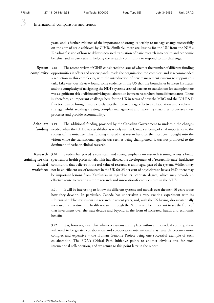## International comparisons and trends

years, and is further evidence of the importance of strong leadership to manage change successfully on the sort of scale achieved by CIHR. Similarly, there are lessons for the UK from the NIH's 'Roadmap' vision of how to deliver increased translation of basic research into health and economic benefits, and in particular in helping the research community to respond to this challenge.

**System** 3.18 The recent review of CIHR considered the issue of whether the number of different funding **complexity** opportunities it offers and review panels made the organisation too complex, and it recommended a reduction in this complexity, with the introduction of new management systems to support this task. Likewise, our Review found some evidence in the US that the boundaries between Institutes and the complexity of navigating the NIH's systems created barriers to translation; for example there was a significant risk of disincentivising collaboration between researchers from different areas. There is, therefore, an important challenge here for the UK in terms of how the MRC and the DH R&D function can be brought more closely together to encourage effective collaboration and a coherent strategy, whilst avoiding creating complex management and reporting structures to oversee these processes and provide accountability.

**Adequate** 3.19 The additional funding provided by the Canadian Government to underpin the changes **funding** needed when the CIHR was established is widely seen in Canada as being of vital importance to the success of the initiative. This funding ensured that researchers, for the most part, bought into the vision; while the translational agenda was seen as being championed, it was not promoted to the detriment of basic or clinical research.

**Research** 3.20 Sweden has placed a consistent and strong emphasis on research training across a broad **training for the** spectrum of health professionals. This has allowed the development of a 'research literate' healthcare **clinical** community that believes in the real value of research as an integral part of the system. While it may **workforce** not be an efficient use of resources in the UK for 25 per cent of physicians to have a PhD, there may be important lessons from Karolinska in regard to its licentiate degree, which may provide an effective route to creating a more research and innovation-friendly culture in the NHS.

> 3.21 It will be interesting to follow the different systems and models over the next 10 years to see how they develop. In particular, Canada has undertaken a very exciting experiment with its substantial public investments in research in recent years, and, with the US having also substantially increased its investment in health research through the NIH, it will be important to see the fruits of that investment over the next decade and beyond in the form of increased health and economic benefits.

> 3.22 It is, however, clear that whatever systems are in place within an individual country, there will need to be greater collaboration and co-operation internationally as research becomes more complex and expensive – the Human Genome Project being one successful example of such collaboration. The FDA's Critical Path Initiative points to another obvious area for such international collaboration, and we return to this point later in the report.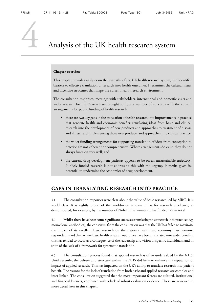# 4 Analysis of the UK health research system

#### **Chapter overview**

This chapter provides analyses on the strengths of the UK health research system, and identifies barriers to effective translation of research into health outcomes. It examines the cultural issues and incentive structures that shape the current health research environment.

The consultation responses, meetings with stakeholders, international and domestic visits and wider research for the Review have brought to light a number of concerns with the current arrangements for public funding of health research:

- there are two key gaps in the translation of health research into improvements in practice that generate health and economic benefits: translating ideas from basic and clinical research into the development of new products and approaches to treatment of disease and illness; and implementing those new products and approaches into clinical practice;
- the wider funding arrangements for supporting translation of ideas from conception to practice are not coherent or comprehensive. Where arrangements do exist, they do not always function very well; and
- the current drug development pathway appears to be on an unsustainable trajectory. Publicly funded research is not addressing this with the urgency it merits given its potential to undermine the economics of drug development.

# **GAPS IN TRANSLATING RESEARCH INTO PRACTICE**

4.1 The consultation responses were clear about the value of basic research led by MRC. It is world class. It is rightly proud of the world-wide renown it has for research excellence, as demonstrated, for example, by the number of Nobel Prize winners it has funded: 27 in total.

4.2 Whilst there have been some significant successes translating this research into practice (e.g. monoclonal antibodies), the consensus from the consultation was that the UK has failed to maximise the impact of its excellent basic research on the nation's health and economy. Furthermore, respondents said that, where basic health research outcomes have been translated into wider benefits, this has tended to occur as a consequence of the leadership and vision of specific individuals, and in spite of the lack of a framework for systematic translation.

4.3 The consultation process found that applied research is often undervalued by the NHS. Until recently, the culture and structure within the NHS did little to enhance the reputation or impact of applied research. This has impacted on the UK's ability to translate research into patient benefit. The reasons for the lack of translation from both basic and applied research are complex and inter-linked. The consultation suggested that the most important factors are cultural, institutional and financial barriers, combined with a lack of robust evaluation evidence. These are reviewed in more detail later in this chapter.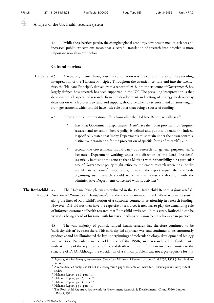4.4 While these barriers persist, the changing global economy, advances in medical science and increased public expectations mean that successful translation of research into practice is more important now than ever before.

#### **Cultural barriers**

- **Haldane** 4.5 A repeating theme throughout the consultation was the cultural impact of the prevailing interpretation of the 'Haldane Principle'. Throughout the twentieth century and into the twentyfirst, the 'Haldane Principle', derived from a report of 1918 into the structure of Government<sup>1</sup>, has largely defined how research has been supported in the UK. The prevailing interpretation is that decisions on all aspects of research, from the development and setting of strategy to day-to-day decisions on which projects to fund and support, should be taken by scientists and at 'arms-length' from government, which should have little role other than being a source of funding.
	- 4.6 However, this interpretation differs from what the Haldane Report actually said<sup>2</sup>:
		- first, that Government Departments *should* have their own provision for 'enquiry, research and reflection' 'before policy is defined and put into operation'3. Indeed, it specifically stated that 'many Departments must retain under their own control a distinctive organisation for the prosecution of specific forms of research<sup>24</sup>; and
		- second, the Government should carry out research for general purposes via 'a [separate] Department working under the direction of the Lord President', essentially because of the concern that a Minister with responsibility for a particular area of Government policy might refuse to implement research where he / she did not like its outcomes<sup>5</sup>. Importantly, however, the report argued that the body organising such research should work 'in the closest collaboration with the administrative Departments concerned with its activities'6.

**The Rothschild** 4.7 The 'Haldane Principle' was re-evaluated in the 1971 Rothschild Report, *A framework for* **Report** *Government Research and Development*<sup>7</sup>*,* and there was an attempt in the 1970s to reform the system along the lines of Rothschild's notion of a customer-contractor relationship in research funding. However, DH did not then have the expertise or resources it now has to play the demanding role of informed customer of health research that Rothschild envisaged. In this sense, Rothschild can be viewed as being ahead of his time, with his vision perhaps only now being achievable in practice.

> 4.8 The vast majority of publicly-funded health research has therefore continued to be 'curiosity-driven' by researchers. This curiosity-led approach was, and continues to be, enormously productive and has illuminated the key underpinnings of molecular biology, developmental biology and genetics. Particularly in its 'golden age' of the 1950s, such research led to fundamental understanding of the key processes of life and death within cells, from enzyme biochemistry to the structure of DNA. Although the elucidation of a clinical problem was not a pre-requisite for this

<sup>1</sup> *Report of the Machinery of Government Committee*, Ministry of Reconstruction, Cmd 9230, 1918 (The 'Haldane Report'),

 $2\,$  A more detailed analysis is set out in a background paper available on: www.hm-treasury.gov.uk/independent<br>review

<sup>3</sup> Haldane Report, pg 6, para 14.

<sup>4</sup> Haldane Report, pg 32, para 57.

<sup>5</sup> Haldane Report, pg 34, para 67.

<sup>6</sup> Haldane Report, pg 6, para 14.

<sup>7</sup> The Rothschild Report: A Framework for Government Research & Development. (Cmnd 5046) London: HMSO, 1971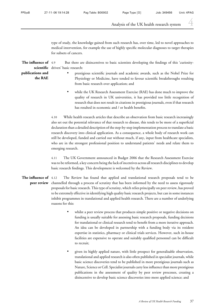Analysis of the UK health research system 4

type of study, the knowledge gained from such research has, over time, led to novel approaches to medical intervention, for example the use of highly specific molecular diagnoses to target therapies for subsets of cancers.

**The influence of** 4.9 But there are disincentives to basic scientists developing the findings of this 'curiosity**scientific** driven' basic research:

**publications and the RAE**

- prestigious scientific journals and academic awards, such as the Nobel Prize for Physiology or Medicine, have tended to favour scientific breakthroughs resulting from basic research over application; and
- while the UK Research Assessment Exercise (RAE) has done much to improve the quality of research in UK universities, it has provided too little recognition of research that does not result in citations in prestigious journals, even if that research has resulted in economic and / or health benefits.

4.10 While health research articles that describe an observation from basic research increasingly also set out the potential relevance of that research to disease, this tends to be more of a superficial declaration than a detailed description of the step-by-step implementation process to translate a basic research discovery into clinical application. As a consequence, a whole body of research work can still be developed, funded and carried out without much, if any, input from healthcare specialists, who are in the strongest professional position to understand patients' needs and relate them to emerging research.

4.11 The UK Government announced in Budget 2006 that the Research Assessment Exercise was to be reformed, a key concern being the lack of incentives across all research disciplines to develop basic research findings. This development is welcomed by the Review.

**The influence of** 4.12 The Review has found that applied and translational research proposals tend to be **peer review** channelled through a process of scrutiny that has been informed by the need to assess rigorously proposals for basic research. This type of scrutiny, which relies principally on peer review, has proved to be extremely effective in identifying high quality basic research projects, but can in some instances inhibit programmes in translational and applied health research. There are a number of underlying reasons for this:

- whilst a peer review process that produces simple positive or negative decisions on funding is usually suitable for assessing basic research proposals, funding decisions for translational or clinical research tend to benefit from a more iterative approach. An idea can be developed in partnership with a funding body via its resident expertise in statistics, pharmacy or clinical trials services. However, such in-house facilities are expensive to operate and suitably qualified personnel can be difficult to recruit;
- given its highly applied nature, with little prospect for generalisable observation, translational and applied research is also often published in specialist journals, while basic science discoveries tend to be published in more prestigious journals such as Nature, Science or Cell. Specialist journals carry less influence than more prestigious publications in the assessment of quality by peer review processes, creating a disincentive to develop basic science discoveries into more applied science; and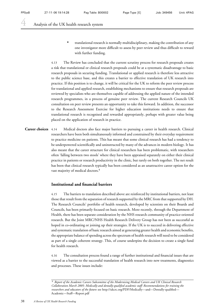translational research is normally multidisciplinary, making the contribution of any one investigator more difficult to assess by peer review and thus difficult to reward with further funding.

4.13 The Review has concluded that the current scrutiny process for research proposals creates a risk that translational or clinical research proposals could be at a systematic disadvantage to basic research proposals in securing funding. Translational or applied research is therefore less attractive to the public science base, and this creates a barrier to effective translation of UK research into practice. If this position is to change, it will be critical for the UK to reform the peer review process for translational and applied research, establishing mechanisms to ensure that research proposals are reviewed by specialists who are themselves capable of addressing the applied nature of the intended research programmes, in a process of genuine peer review. The current Research Councils UK consultation on peer review presents an opportunity to take this forward. In addition, the successor to the Research Assessment Exercise for higher education institutions needs to ensure that translational research is recognised and rewarded appropriately, perhaps with greater value being placed on the application of research in practice.

**Career choices** 4.14 Medical doctors also face major barriers to pursuing a career in health research. Clinical researchers have been both simultaneously informed and constrained by their everyday requirement to practice medicine on patients. This has meant that some clinical research has had a tendency to be underpowered scientifically and uninstructed by many of the advances in modern biology. It has also meant that the career structure for clinical researchers has been problematic, with researchers often 'falling between two stools' where they have been appraised separately on either their clinical practice in patients or research productivity in the clinic, but rarely on both together. The net result has been that clinical research typically has been considered as an unattractive career option for the vast majority of medical doctors.<sup>8</sup>

## **Institutional and financial barriers**

4.15 The barriers to translation described above are reinforced by institutional barriers, not least those that result from the separation of research supported by the MRC from that supported by DH. The Research Councils' portfolio of health research, developed by scientists on their Boards and Councils, has been primarily focused on basic research. More recently, through the Department of Health, there has been separate consideration by the NHS research community of practice-oriented research. But the Joint MRC/NHS Health Research Delivery Group has not been as successful as hoped in co-ordinating or joining up their strategies. If the UK is to succeed in delivering effective and systematic translation of basic research aimed at generating greater health and economic benefits, the appropriate balance of spending across the spectrum of health research will need to be considered as part of a single coherent strategy. This, of course underpins the decision to create a single fund for health research.

4.16 The consultation process found a range of further institutional and financial issues that are viewed as a barrier to the successful translation of health research into new treatments, diagnostics and processes. These issues include:

<sup>8</sup> *Report of the Academic Careers Subcomittee of the Modernising Medical Careers and UK Clinical Research Collaboration March 2005: Medically-and dentally-qualified academic staff: Recommendations for training the researchers and educators of the future*: see http://ukcrc.org/PDF/Medically—and—Dentally-qualified— Academic—Staff—Report.pdf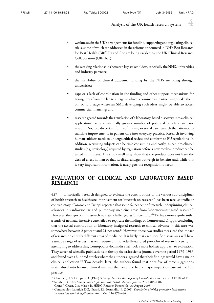Analysis of the UK health research system 4

- weaknesses in the UK's arrangements for funding, supporting and regulating clinical trials, some of which are addressed in the reforms announced in DH's Best Research for Best Health (BRfBH) and / or are being tackled by the UK Clinical Research Collaboration (UKCRC);
- the working relationships between key stakeholders, especially the NHS, universities and industry partners;
- the instability of clinical academic funding by the NHS including through universities;
- gaps or a lack of coordination in the funding and other support mechanisms for taking ideas from the lab to a stage at which a commercial partner might take them on, or to a stage where an SME developing such ideas might be able to access commercial financing; and
- research geared towards the translation of a laboratory-based discovery into a clinical application has a substantially greater number of potential pitfalls than basic research. So, too, do certain forms of nursing or social care research that attempt to translate improvements in patient care into everyday practice. Research involving human subjects needs to undergo ethical review and conform to EU regulations. In addition, recruiting subjects can be time consuming and costly, as can pre-clinical studies (e.g. toxicology) required by regulation before a new medical product can be tested in humans. The study itself may show that the product does not have the desired effect in man or that its disadvantages outweigh its benefits and, while this is very important information, it rarely gets the recognition it needs.

# **EVALUATION OF CLINICAL AND LABORATORY BASED RESEARCH**

4.17 Historically, research designed to evaluate the contributions of the various sub-disciplines of health research to healthcare improvement (or 'research on research') has been rare, sporadic or contradictory. Comroe and Dripps reported that some 62 per cent of research underpinning clinical advances in cardiovascular and pulmonary medicine arose from laboratory-instigated research.<sup>9</sup> However, the rigor of this research was later challenged as 'unscientific.'10 Perhaps more significantly, a study of neonatal intensive care failed to replicate the findings of Comroe and Dripps, concluding that the actual contribution of laboratory-instigated research to clinical advance in this area was somewhere between 2 per cent and 21 per cent.<sup>11</sup> However, these two studies measured the impact of research on entirely different areas of medicine. It is likely that each specific disease area will have a unique range of issues that will require an individually-tailored portfolio of research activity. In attempting to address this, Contopoulos-Ioannidis et al. took a more holistic approach to evaluation. They screened scientific publications in the top six basic science journals over the period 1979–1983 and found over a hundred articles where the authors suggested that their findings would have a major clinical application.<sup>12</sup> Two decades later, the authors found that only five of these suggestions materialised into licensed clinical use and that only one had a major impact on current medical practice.

*A Review of UK Health Research Funding* 39

<sup>9</sup> Comroe, JH & Dripps, RD. (1976) *Scientific basis for the support of biomedical science*. Science 192:105–111

<sup>10</sup> Smith, R. (1987) *Comroe and Dripps revisited.* British Medical Journal 295:1404–1407.

<sup>&</sup>lt;sup>11</sup> Grant J, Green, L & Mason B. HERG Research Report No. 30 August 2003

<sup>12</sup> Contopoulos-Ioannidis DG, Ntzani, EE, Ioannidis, JP. (2003) *Translation of highly promising basic science research into clinical applications.* Am J Med 114:477–484.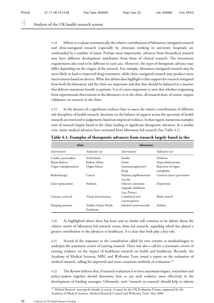4.18 Efforts to evaluate systematically the relative contributions of laboratory-instigated research and clinic-instigated research (especially by clinicians working in university hospitals) are confounded by a number of issues. Perhaps most importantly, advances from biomedical research may have different development timeframes from those of clinical research. The investment requirements also tend to be different in each case. Moreover, the types of therapeutic advance may differ depending on the origins of the research. For example, laboratory-instigated research may be more likely to lead to improved drug treatments, while clinic-instigated research may produce more interventions based on devices. What this debate does highlight is that support for research instigated from both the laboratory and the clinic are important and that they should be balanced in a manner that delivers maximum benefit to patients. It is of course important to note that whether originating from experimental observations in the laboratory or in the clinic, all research does, of course, require validation via research in the clinic.

4.19 In the absence of a significant evidence base to assess the relative contributions of different sub-disciplines of health research, decisions on the balance of support across the spectrum of health research are restricted to judgements based on empirical evidence. In that regard, numerous examples exist of research largely based in the clinic leading to significant therapeutic advances. In a similar vein, many medical advances have stemmed from laboratory-led research (See Table 4.1).

| clinic                |                                 | laboratory                                                  |                                   |
|-----------------------|---------------------------------|-------------------------------------------------------------|-----------------------------------|
| Intervention          | Indicative use                  | Intervention                                                | Indicative use                    |
| Cardiac pacemakers    | Arrhythmia                      | Insulin                                                     | Diabetes                          |
| Renal dialysis        | Kidney failure                  | <b>Statin</b>                                               | Hypercholestermia                 |
| Organ transplantation | Organ failure                   | Immunosuppressive<br>drugs                                  | Rejection of organ<br>transplants |
| Radiotherapy          | Cancer                          | Human papillomavirus<br>vaccine                             | Cervical cancer prevention        |
| Joint replacement     | Arthritis                       | Selective serotonin<br>reuptake inhibitors<br>(e.g. Prozac) | Depression                        |
| Cataract removal      | Visual deterioration            | Combined oral<br>contraceptives                             | Birth control                     |
| Sleeping position     | Sudden Infant Death<br>Syndrome | Inhaled corticosteroids                                     | Asthma                            |

**Table 4.1: Examples of therapeutic advances from research largely based in the:**

4.20 As highlighted above there has been and no doubt will continue to be debate about the relative merits of laboratory-led research versus clinic-led research, regarding which has played a greater contribution to the advances in healthcare. It is clear that both play a key role.

4.21 Several of the responses to the consultation called for new systems or methodologies to underpin the systematic review of existing research. There was also a call for a systematic review of existing evidence on the impact of healthcare research on health and healthcare. Recently, the Academy of Medical Sciences, MRC and Wellcome Trust issued a report on the evaluation of medical research, calling for improved and more consistent methods of evaluation.<sup>13</sup>

4.22 The Review believes that, if research evaluation is to have maximum impact, researchers and policy-makers together should determine how to use such evidence most effectively in the development of funding strategies. Ultimately, such 'research on research' should help to inform

<sup>&</sup>lt;sup>13</sup> Medical Research: assessing the benefits to society. A report by the UK Evaluation Forum, supported by the Academy of Medical Sciences, Medical Research Council and Wellcome Trust. May 2006.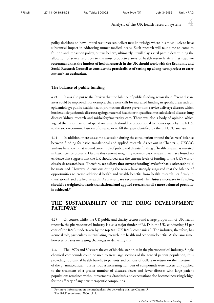Analysis of the UK health research system 4

policy decisions on how limited resources can deliver new knowledge where it is most likely to have substantial impact in addressing unmet medical needs. Such research will take time to come to fruition and impact on policy, but we believe, ultimately, it will play a vital part in determining the allocation of scarce resources to the most productive areas of health research. As a first step, **we recommend that the funders of health research in the UK should work with the Economic and Social Research Council to consider the practicalities of setting up a long-term project to carry out such an evaluation.**

#### **The balance of public funding**

4.23 It was also put to the Review that the balance of public funding across the different disease areas could be improved. For example, there were calls for increased funding in specific areas such as: epidemiology; public health; health promotion; disease prevention; service delivery; diseases which burden society/chronic diseases; ageing; maternal health; orthopaedics; musculoskeletal disease; lung disease; kidney research and midwifery/maternity care. There was also a body of opinion which argued that prioritisation of spend on research should be proportional to monies spent by the NHS, to the socio-economic burden of disease, or to fill the gaps identified by the UKCRC analysis.

4.24 In addition, there was some discussion during the consultation around the 'correct' balance between funding for basic, translational and applied research. As set out in Chapter 2, UKCRC analysis has shown that around two-thirds of public and charity funding of health research is invested in basic science projects. Despite this current weighting towards basic research, we have found no evidence that suggests that the UK should decrease the current levels of funding to the UK's worldclass basic research base. Therefore,**we believe that current funding levels for basic science should be sustained**. However, discussions during the review have strongly suggested that the balance of opportunities to create additional health and wealth benefits from health research lies firmly in translational and applied research. As a result, **we recommend that future increases in funding should be weighted towards translational and applied research until a more balanced portfolio is achieved**. 14

# **THE SUSTAINABILITY OF THE DRUG DEVELOPMENT PATHWAY**

4.25 Of course, whilst the UK public and charity sectors fund a large proportion of UK health research, the pharmaceutical industry is also a major funder of R&D in the UK, conducting 35 per cent of the R&D undertaken by the top 800 UK R&D companies<sup>15</sup>. The industry, therefore, has a crucial role, particularly in translating research into health and economic benefits. At the same time, however, it faces increasing challenges in delivering this.

4.26 The 1970s and 80s were the era of blockbuster drugs in the pharmaceutical industry. Single chemical compounds could be used to treat large sections of the general patient population, thus providing substantial health benefit to patients and billions of dollars in return on the investment of the pharmaceutical industry. But as increasing numbers of compounds were successfully applied to the treatment of a greater number of diseases, fewer and fewer diseases with large patient populations remained without treatments. Standards and expectations also became increasingly high for the efficacy of any new therapeutic compounds.

<sup>&</sup>lt;sup>14</sup> For more information on the mechanisms for delivering this, see Chapter 5.

<sup>15</sup> The R&D scoreboard 2006. DTI.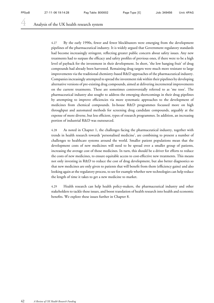4 Analysis of the UK health research system

4.27 By the early 1990s, fewer and fewer blockbusters were emerging from the development pipelines of the pharmaceutical industry. It is widely argued that Government regulatory standards had become increasingly stringent, reflecting greater public concern about safety issues. Any new treatments had to surpass the efficacy and safety profiles of previous ones, if there were to be a high level of payback for the investment in their development. In short, 'the low hanging fruit' of drug compounds had already been harvested. Remaining drug targets were much more resistant to large improvements via the traditional chemistry-based R&D approaches of the pharmaceutical industry. Companies increasingly attempted to spread the investment risk within their pipelines by developing alternative versions of pre-existing drug compounds, aimed at delivering incremental improvements on the current treatments. These are sometimes controversially referred to as 'me toos'. The pharmaceutical industry also sought to address the emerging shortcomings in their drug pipelines by attempting to improve efficiencies via more systematic approaches to the development of medicines from chemical compounds. In-house R&D programmes focussed more on high throughput and automated methods for screening drug candidate compounds, arguably at the expense of more diverse, but less efficient, types of research programmes. In addition, an increasing portion of industrial R&D was outsourced.

4.28 As noted in Chapter 1, the challenges facing the pharmaceutical industry, together with trends in health research towards 'personalised medicine', are combining to present a number of challenges to healthcare systems around the world. Smaller patient populations mean that the development costs of new medicines will need to be spread over a smaller group of patients, increasing the average cost of those medicines. In turn, this should be a driver for efforts to reduce the costs of new medicines, to ensure equitable access to cost-effective new treatments. This means not only investing in R&D to reduce the cost of drug development, but also better diagnostics so that new medicines are only given to patients that will benefit from them (efficiency gains) and also looking again at the regulatory process, to see for example whether new technologies can help reduce the length of time it takes to get a new medicine to market.

4.29 Health research can help health policy-makers, the pharmaceutical industry and other stakeholders to tackle these issues, and boost translation of health research into health and economic benefits. We explore these issues further in Chapter 8.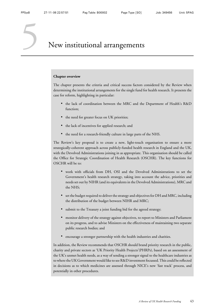#### **Chapter overview**

The chapter presents the criteria and critical success factors considered by the Review when determining the institutional arrangements for the single fund for health research. It presents the case for reform, highlighting in particular:

- the lack of coordination between the MRC and the Department of Health's R&D function;
- the need for greater focus on UK priorities;
- the lack of incentives for applied research; and
- the need for a research-friendly culture in large parts of the NHS.

The Review's key proposal is to create a new, light-touch organisation to ensure a more strategically-coherent approach across publicly-funded health research in England and the UK, with the Devolved Administrations joining in as appropriate. This organisation should be called the Office for Strategic Coordination of Health Research (OSCHR). The key functions for OSCHR will be to:

- work with officials from DH, OSI and the Devolved Administrations to set the Government's health research strategy, taking into account the advice, priorities and needs set out by NIHR (and its equivalents in the Devolved Administrations), MRC and the NHS;
- set the budget required to deliver the strategy and objectives for DH and MRC, including the distribution of the budget between NIHR and MRC;
- submit to the Treasury a joint funding bid for the agreed strategy;
- monitor delivery of the strategy against objectives, to report to Ministers and Parliament on its progress, and to advise Ministers on the effectiveness of maintaining two separate public research bodies; and
- encourage a stronger partnership with the health industries and charities.

In addition, the Review recommends that OSCHR should brand priority research in the public, charity and private sectors as 'UK Priority Health Projects'(PHRPs), based on an assessment of the UK's unmet health needs, as a way of sending a stronger signal to the healthcare industries as to where the UK Government would like to see R&D investment focussed. This could be reflected in decisions as to which medicines are assessed through NICE's new 'fast track' process, and potentially in other procedures.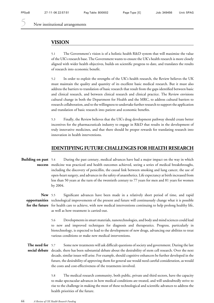# **VISION**

5.1 The Government's vision is of a holistic health R&D system that will maximise the value of the UK's research base. The Government wants to ensure the UK's health research is more closely aligned with wider health objectives, builds on scientific progress to date, and translates the results of research into economic benefit.

5.2 In order to exploit the strengths of the UK's health research, the Review believes the UK must maintain the quality and quantity of its excellent basic medical research. But it must also address the barriers to translation of basic research that result from the gaps identified between basic and clinical research, and between clinical research and clinical practice. The Review envisions cultural change in both the Department for Health and the MRC, to address cultural barriers to research collaboration, and to the willingness to undertake further research to support the application and translation of basic research into patient and economic benefits.

5.3 Finally, the Review believes that the UK's drug development pathway should create better incentives for the pharmaceuticals industry to engage in R&D that results in the development of truly innovative medicines, and that there should be proper rewards for translating research into innovation in health interventions.

# **IDENTIFYING FUTURE CHALLENGES FOR HEALTH RESEARCH**

# **Building on past** 5.4 During the past century, medical advances have had a major impact on the way in which **success** medicine was practiced and health outcomes achieved, seeing a series of medical breakthroughs, including the discovery of penicillin, the causal link between smoking and lung cancer, the use of open-heart surgery, and advances in the safety of anaesthetics. Life expectancy at birth increased from less than 50 years at the turn of the twentieth century to 77 years for men and 81 years for women by 2004.

**New** 5.5 Significant advances have been made in a relatively short period of time, and rapid **opportunities** technological improvements of the present and future will continuously change what it is possible for the future for health care to achieve, with new medical interventions continuing to help prolong healthy life, as well as how treatment is carried-out.

> 5.6 Developments in smart materials, nanotechnologies, and body and mind sciences could lead to new and improved techniques for diagnosis and therapeutics. Progress, particularly in biotechnology, is expected to lead to the development of new drugs, advancing our abilities to treat various conditions or make new medical interventions.

**The need for** 5.7 Some new treatments will ask difficult questions of society and government. During the last **social debate** decade, there has been substantial debate about the desirability of stem cell research. Over the next decade, similar issues will arise. For example, should cognitive enhancers be further developed in the future, the desirability of approving them for general use would need careful consideration, as would the costs and cost-effectiveness of the treatments involved.

> 5.8 The medical research community, both public, private and third sectors, have the capacity to make spectacular advances in how medical conditions are treated, and will undoubtedly strive to rise to the challenge in making the most of these technological and scientific advances to address the health priorities of the future.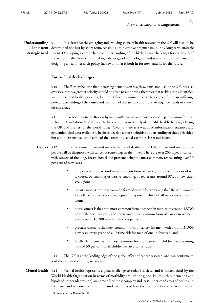**Understanding** 5.9 It is clear that the emerging and evolving shape of health research in the UK will need to be **long-term** determined not just by short-term, sensible administrative pragmatism, but by long-term strategic **strategic need** intent. Developing a comprehensive understanding of the likely future challenges for the health of the nation is therefore vital in taking advantage of technological and scientific advancement, and designing a health research policy framework that is both fit for now, and fit for the future.

#### **Future health challenges**

5.10 The Review believes that increasing demands on health systems, not just in the UK, but also overseas, means a greater priority should be given to supporting therapies that tackle clearly identified and understood health priorities, be they defined by unmet needs, the degree of human suffering, poor understanding of the causes and solutions of diseases or conditions, or negative trends in known disease areas.

5.11 It has been put to the Review by many influential commentators and expert opinion formers in both UK and global health research that there are some clearly identifiable health challenges facing the UK and the rest of the world today. Clearly, there is a wealth of information, statistics and epidemiological data available to begin to develop a more definitive understanding of these priorities, but a non-exhaustive list of some of the commonly cited examples is set out below:

- **Cancer** 5.12 Cancer accounts for around one quarter of all deaths in the UK, and around one in three people will be diagnosed with cancer at some stage in their lives. There are over 200 types of cancer, with cancers of the lung, breast, bowel and prostate being the most common, representing over 50 per cent of new cases:
	- lung cancer is the second most common form of cancer, and nine times out of ten is caused by smoking or passive smoking. It represents around 37,200 new cases every year;
	- breast cancer is the most common form of cancer for women in the UK, with around 42,000 new cases every year, representing one in three of all new cancer cases in women;
	- bowel cancer is the third most common form of cancer in men, with around 18,700 new male cases per year, and the second most common form of cancer in women, with around 16,200 new female cases per year;
	- prostate cancer is the most common form of cancer for men, with around 31,900 new cases every year and a lifetime risk for men of one in fourteen; and
	- finally, leukaemia is the most common form of cancer in children, representing around 50 per cent of all children-related cancer cases<sup>1</sup>.

1.13 The UK is at the leading edge of the global effort of cancer research, and can continue to lead the way in the next generation.

**Mental health** 5.14 Mental health represents a great challenge to today's society, and is ranked third by the World Health Organisation in terms of morbidity around the globe. Issues such as dementia and bipolar disorder (depression) are some of the most complex and least understood areas of health and medicine, and rely on advances in the understanding of how the brain works and what treatments

<sup>&</sup>lt;sup>1</sup> Source: Cancer Research UK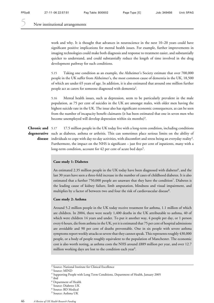work and why. It is thought that advances in neuroscience in the next 10–20 years could have significant positive implications for mental health issues. For example, further improvements in imaging technologies could make both diagnosis and response to treatment easier, and substantially quicker to understand, and could substantially reduce the length of time involved in the drug development pathway for such conditions.

5.15 Taking one condition as an example, the Alzheimer's Society estimate that over 700,000 people in the UK suffer from Alzheimer's, the most common cause of dementia in the UK, 18,500 of which are under 65 years of age. In addition, it is also estimated that around one million further people act as carers for someone diagnosed with dementia2.

5.16 Mental health issues, such as depression, seem to be particularly prevalent in the male population, as 75 per cent of suicides in the UK are amongst males, with older men having the highest suicide rate in the UK. The issue also has significant economic consequences, as can be seen from the number of incapacity benefit claimants (it has been estimated that one in seven men who become unemployed will develop depression within six months)<sup>3</sup>.

**Chronic and** 5.17 17.5 million people in the UK today live with a long-term condition, including conditions **degenerative** such as diabetes, asthma or arthritis. This can sometimes place serious limits on the ability of **disease** individuals to cope with day-to-day activities, with discomfort and stress being an everyday reality<sup>4</sup>. Furthermore, the impact on the NHS is significant – just five per cent of inpatients, many with a long-term condition, account for 42 per cent of acute bed days<sup>5</sup>.

#### **Case study 1: Diabetes**

An estimated 2.35 million people in the UK today have been diagnosed with diabetes<sup>6</sup>, and the last 30 years have seen a three-fold increase in the number of cases of childhood diabetes. It is also estimated that a further 750,000 people are unaware that they have the condition<sup>7</sup>. Diabetes is the leading cause of kidney failure, limb amputation, blindness and visual impairment, and multiplies by a factor of between two and four the risk of cardiovascular disease<sup>8</sup>.

#### **Case study 2: Asthma**

Around 5.2 million people in the UK today receive treatment for asthma, 1.1 million of which are children. In 2004, there were nearly 1,400 deaths in the UK attributable to asthma, 40 of which were children 14 years and under. To put it another way, 4 people per day, or 1 person every 6 hours, die from asthma in the UK, yet it is estimated that 75 per cent of hospital admissions are avoidable and 90 per cent of deaths preventable. One in six people with severe asthma symptoms report weekly attacks so severe that they cannot speak. This represents roughly 430,000 people, or a body of people roughly equivalent to the population of Manchester. The economic cost is also worth noting, as asthma costs the NHS around £889 million per year, and over 12.7 million working days are lost to the condition each year<sup>9</sup>.

<sup>&</sup>lt;sup>2</sup> Source: National Institute for Clinical Excellence

<sup>3</sup> Source: MIND

<sup>4</sup> Supporting People with Long Term Conditions, Department of Health, January 2005

<sup>5</sup> ibid

<sup>6</sup> Department of Health

<sup>7</sup> Source: Diabetes UK

<sup>8</sup> Source: BD Medical

<sup>9</sup> Source: Asthma UK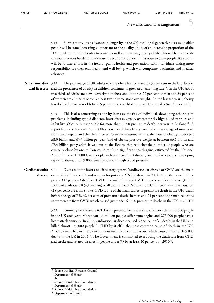5.18 Furthermore, given advances in longevity in the UK, tackling degenerative diseases in older people will become increasingly important to the quality of life of an increasing proportion of the UK population in the decades to come. As well as improving quality of life, this will help to tackle the social services burden and increase the economic opportunities open to older people. Key to this will be further efforts in the field of public health and prevention, with individuals taking more responsibility for their own health and well-being, which will complement scientific and medical advances.

# **Nutrition, diet** 5.19 The percentage of UK adults who are obese has increased by 50 per cent in the last decade, and lifestyle and the prevalence of obesity in children continues to grow at an alarming rate<sup>10</sup>. In the UK, about two thirds of adults are now overweight or obese and, of these, 22 per cent of men and 23 per cent of women are clinically obese (at least two to three stone overweight). In the last ten years, obesity has doubled in six year olds (to 8.5 per cent) and trebled amongst 15 year olds (to 15 per cent).

5.20 This is also concerning as obesity increases the risk of individuals developing other health problems, including type-2 diabetes, heart disease, stroke, osteoarthritis, high blood pressure and infertility. Obesity is responsible for more than  $9,000$  premature deaths per year in England<sup>11</sup>. A report from the National Audit Office concluded that obesity could shave an average of nine years from our lifespan, and the Health Select Committee estimated that the costs of obesity is between £3.3 billion and £3.7 billion per year (and of obesity plus overweight at between £6.6 billion and  $£7.4$  billion per year)<sup>12</sup>. It was put to the Review that reducing the number of people who are clinically-obese by one million could result in significant health gains, estimated by the National Audit Office as 15,000 fewer people with coronary heart disease, 34,000 fewer people developing type-2 diabetes, and 99,000 fewer people with high blood pressure.

# **Cardiovascular** 5.21 Diseases of the heart and circulatory system (cardiovascular disease or CVD) are the main **disease** cause of death in the UK and account for just over 216,000 deaths in 2004. More than one in three people (37 per cent) die from CVD. The main forms of CVD are coronary heart disease (CHD) and stroke. About half (49 per cent) of all deaths from CVD are from CHD and more than a quarter (28 per cent) are from stroke. CVD is one of the main causes of premature death in the UK (death before the age of 75). 32 per cent of premature deaths in men and 24 per cent of premature deaths in women are from CVD, which caused just under 60,000 premature deaths in the UK in 200413.

5.22 Coronary heart disease (CHD) is a preventable disease that kills more than 110,000 people in the UK each year. More than 1.4 million people suffer from angina and 275,000 people have a heart attack annually. In 2002, cardiovascular disease caused 39 per cent of all deaths in the UK, and killed almost  $238,000$  people<sup>14</sup>. CHD by itself is the most common cause of death in the UK. Around one in five men and one in six women die from the disease, which caused just over 105,000 deaths in the UK in 2004<sup>15</sup>. The Government is committed to reducing the death rate from CHD and stroke and related diseases in people under 75 by at least 40 per cent by 201016.

<sup>11</sup> Department of Health

<sup>14</sup> Department of Health

<sup>10</sup> Source: Medical Research Council

 $12$  ibid

<sup>&</sup>lt;sup>13</sup> Source: British Heart Foundation

<sup>&</sup>lt;sup>15</sup> Source: British Heart Foundation

<sup>16</sup> Department of Health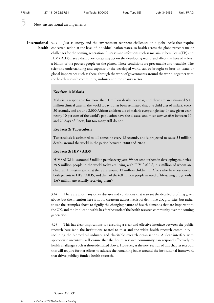**International** 5.23 Just as energy and the environment represent challenges on a global scale that require **health** concerted action at the level of individual nation states, so health across the globe presents major challenges for the coming generation. Diseases and infections such as malaria, tuberculosis (TB) and HIV / AIDS have a disproportionate impact on the developing world and affect the lives of at least a billion of the poorest people on the planet. These conditions are preventable and treatable. The scientific understanding and capacity of the developed world can be brought to bear on issues of global importance such as these, through the work of governments around the world, together with the health research community, industry and the charity sector.

#### **Key facts 1: Malaria**

Malaria is responsible for more than 1 million deaths per year, and there are an estimated 500 million clinical cases in the world today. It has been estimated that one child dies of malaria every 30 seconds, and around 2,000 African children die of malaria every single day. In any given year, nearly 10 per cent of the world's population have the disease, and most survive after between 10 and 20 days of illness, but too many still do not.

#### **Key facts 2: Tuberculosis**

Tuberculosis is estimated to kill someone every 18 seconds, and is projected to cause 35 million deaths around the world in the period between 2000 and 2020.

#### **Key facts 3: HIV / AIDS**

HIV / AIDS kills around 3 million people every year, 99 per cent of them in developing countries. 39.5 million people in the world today are living with HIV / AIDS, 2.3 million of whom are children. It is estimated that there are around 12 million children in Africa who have lost one or both parents to HIV / AIDS, and that, of the 6.8 million people in need of life-saving drugs, only 1.65 million are actually receiving them $17$ .

5.24 There are also many other diseases and conditions that warrant the detailed profiling given above, but the intention here is not to create an exhaustive list of definitive UK priorities, but rather to use the examples above to signify the changing nature of health demands that are important to the UK, and the implications this has for the work of the health research community over the coming generation.

5.25 This has clear implications for ensuring a clear and effective interface between the public research base (and the institutions related to this) and the wider health research community – including the biomedical industry and charitable research organisations. A clear interface with appropriate incentives will ensure that the health research community can respond effectively to health challenges such as those identified above. However, as the next section of this chapter sets out, this will require further efforts to address the remaining issues around the institutional framework that drives publicly funded health research.

<sup>&</sup>lt;sup>17</sup> Source: AVERT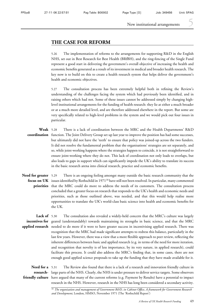# **THE CASE FOR REFORM**

5.26 The implementation of reforms to the arrangements for supporting R&D in the English NHS, set out in Best Research for Best Health (BRfBH), and the ring-fencing of the Single Fund represent a good start in delivering the government's overall objective of increasing the health and economic benefits generated as a result of its investment in medical and broader health research. The key now is to build on this to create a health research system that helps deliver the government's health and economic objectives.

5.27 The consultation process has been extremely helpful both in refining the Review's understanding of the challenges facing the system which had previously been identified, and in raising others which had not. Some of these issues cannot be addressed simply by changing highlevel institutional arrangements for the funding of health research: they lie at either a much broader or at a much more detailed level, and are therefore addressed elsewhere in the report. But some are very specifically related to high-level problems in the system and we would pick out four issues in particular.

- **Weak** 5.28 There is a lack of coordination between the MRC and the Health Departments' R&D **coordination** function. The Joint Delivery Group set up last year to improve the position has had some successes, but ultimately did not have the 'teeth' to ensure that policy was joined-up across the two funders. It did not resolve the fundamental problem that the organisations' strategies are set separately, and so, while joint-working happens where the strategies happen to coincide, it is not straightforward to ensure joint-working where they do not. This lack of coordination not only leads to overlaps, but also leads to gaps in support which can significantly impede the UK's ability to translate its success in the basic research arena into clinical research, practice and economic benefits.
- **Need for greater** 5.29 There is an ongoing feeling amongst many outside the basic research community that the **focus on UK** issues identified by Rothschild in 1971<sup>18</sup> have still not been resolved. In particular, many commented **priorities** that the MRC could do more to address the needs of its customers. The consultation process concluded that a greater focus on research that responds to the UK's health and economic needs and priorities, such as those outlined above, was needed, and that this would help realise more opportunities to translate the UK's world-class basic science into health and economic benefits for the UK.

Lack of 5.30 The consultation also revealed a widely-held concern that the MRC's culture was largely **incentives for** geared (understandably) towards maintaining its strengths in basic science, and that the MRC **applied research** needed to do more if it were to have greater success in incentivising applied research. There was recognition that the MRC had made significant attempts to redress this balance, particularly in the last few years. However, there was a view that a more flexible approach to peer review, reflecting the inherent differences between basic and applied research (e.g. in terms of the need for more iteration, and recognition that novelty is of less importance, by its very nature, in applied research), could facilitate this process. It could also address the MRC's finding that, in some cases, there are not enough good applied science proposals to take up the funding that they have made available for it.

Need for a 5.31 The Review also found that there is a lack of a research and innovation friendly culture in **research-** large parts of the NHS. Clearly, the NHS is under pressure to deliver service targets. Some observers **friendly culture** have argued that many of the current reforms (e.g. Payment by Results) have a potential to impact research in the NHS. However, research in the NHS has long been considered a secondary activity.

> <sup>18</sup> *The organisation and management of Government R&D, in Cabinet Office, A framework for Government Research and Development,* London, HMSO, November 1971 (The 'Rothschild Report')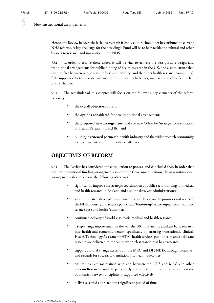Hence, the Review believes the lack of a research friendly culture should not be attributed to current NHS reforms. A key challenge for the new Single Fund will be to help tackle the cultural and other barriers to research and innovation in the NHS.

5.32 In order to resolve these issues, it will be vital to achieve the best possible design and institutional arrangements for public funding of health research in the UK, and also to ensure that the interface between public research base and industry (and the wider health research community) fully supports efforts to tackle current and future health challenges, such as those identified earlier in this chapter.

5.33 The remainder of this chapter will focus on the following key elements of the reform necessary:

- the overall **objectives** of reform;
- the **options considered** for new institutional arrangements;
- the **proposed new arrangements** and the new Office for Strategic Co-ordination of Health Research (OSCHR); and
- building a **renewed partnership with industry** and the wider research community to meet current and future health challenges.

# **OBJECTIVES OF REFORM**

5.34 The Review has considered the consultation responses, and concluded that, in order that the new institutional funding arrangements support the Government's vision, the new institutional arrangements should achieve the following objectives:

- significantly improve the strategic coordination of public sector funding for medical and health research in England and also the devolved administrations;
- an appropriate balance of 'top-down' direction, based on the priorities and needs of the NHS, industry and science policy, and 'bottom-up' expert input from the public science base and health 'customers';
- continued delivery of world-class basic medical and health research;
- a step-change improvement in the way the UK translates its excellent basic research into health and economic benefit, specifically by ensuring translational, clinical, Health Technology Assessment (HTA), health services, public health and social care research are delivered to the same, world-class standard as basic research;
- support cultural change across both the MRC and DH NIHR through incentives and rewards for successful translation into health outcomes;
- ensure links are maintained with and between the NHS and MRC and other relevant Research Councils, particularly to ensure that innovation that occurs at the boundaries between disciplines is supported effectively;
- deliver a settled approach for a significant period of time;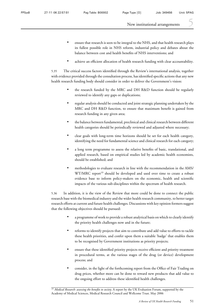- ensure that research is seen to be integral to the NHS, and that health research plays its fullest possible role in NHS reform, industrial policy and debates about the balance between cost and health benefits of NHS interventions; and
- achieve an efficient allocation of health research funding with clear accountability.

5.35 The critical success factors identified through the Review's international analysis, together with evidence provided through the consultation process, has identified specific actions that any new health research funding body should consider in order to deliver the Government's vision:

- the research funded by the MRC and DH R&D function should be regularly reviewed to identify any gaps or duplications;
- regular analysis should be conducted and joint strategic planning undertaken by the MRC and DH R&D function, to ensure that maximum benefit is gained from research funding in any given area;
- the balance between fundamental, preclinical and clinical research between different health categories should be periodically reviewed and adjusted where necessary;
- clear goals with long-term time horizons should be set for each health category, identifying the need for fundamental science and clinical research for each category;
- a long term programme to assess the relative benefits of basic, translational, and applied research, based on empirical studies led by academic health economists, should be established; and
- methodologies to evaluate research in line with the recommendation in the AMS/ WT/MRC report<sup>19</sup> should be developed and used over time to create a robust evidence base to inform policy-makers on the economic, health and scientific impacts of the various sub-disciplines within the spectrum of health research.

5.36 In addition, it is the view of the Review that more could be done to connect the public research base with the biomedical industry and the wider health research community, to better target research efforts at current and future health challenges. Discussions with key opinion formers suggest that the following objectives should be pursued:

- a programme of work to provide a robust analytical basis on which to clearly identify the priority health challenges now and in the future;
- reforms to identify projects that aim to contribute and add value to efforts to tackle these health priorities, and confer upon them a suitable 'badge' that enables them to be recognised by Government institutions as priority projects;
- ensure that these identified priority projects receive efficient and priority treatment in procedural terms, at the various stages of the drug (or device) development process; and
- consider, in the light of the forthcoming report from the Office of Fair Trading on drug prices, whether more can be done to reward new products that add value to the ongoing effort to address these identified health challenges.

<sup>&</sup>lt;sup>19</sup> Medical Research: assessing the benefits to society. A report by the UK Evaluation Forum, supported by the Academy of Medical Sciences, Medical Research Council and Wellcome Trust. May 2006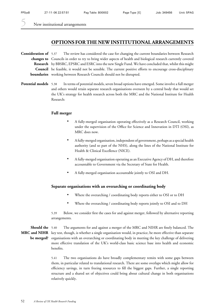# **OPTIONS FOR THE NEW INSTITUTIONAL ARRANGEMENTS**

- **Consideration of** 5.37 The review has considered the case for changing the current boundaries between Research **changes to** Councils in order to try to bring wider aspects of health and biological research currently covered **Research** by BBSRC, EPSRC and ESRC into the new Single Fund. We have concluded that, whilst this might **Council** be feasible, it would not be sensible. The current positive efforts to encourage cross-disciplinary **boundaries** working between Research Councils should not be disrupted.
- **Potential models** 5.38 In terms of potential models, seven broad options have emerged. Some involve a full merger and others would retain separate research organisations overseen by a central body that would set the UK's strategy for health research across both the MRC and the National Institute for Health Research:

#### **Full merger**

- A fully-merged organisation operating effectively as a Research Council, working under the supervision of the Office for Science and Innovation in DTI (OSI), as MRC does now.
- A fully-merged organisation, independent of government, perhaps as a special health authority (and so part of the NHS), along the lines of the National Institute for Health & Clinical Excellence (NICE).
- A fully-merged organisation operating as an Executive Agency of DH, and therefore accountable to Government via the Secretary of State for Health.
- A fully-merged organisation accountable jointly to OSI and DH.

#### **Separate organisations with an overarching or coordinating body**

- Where the overarching / coordinating body reports either to OSI or to DH
- Where the overarching / coordinating body reports jointly to OSI and to DH

5.39 Below, we consider first the cases for and against merger, followed by alternative reporting arrangements.

**Should the** 5.40 The arguments for and against a merger of the MRC and NIHR are finely balanced. The MRC and NIHR key test, though, is whether a single organisation would, in practice, be more effective than separate **be merged?** organisations with an overarching or coordinating body in meeting the key challenge of delivering more effective translation of the UK's world-class basic science base into health and economic benefits.

> 5.41 The two organisations do have broadly complementary remits with some gaps between them, in particular related to translational research. There are some overlaps which might allow for efficiency savings, in turn freeing resources to fill the biggest gaps. Further, a single reporting structure and a shared set of objectives could bring about cultural change in both organisations relatively quickly.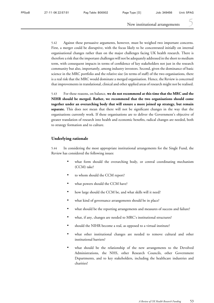5.42 Against these persuasive arguments, however, must be weighed two important concerns. First, a merger could be disruptive, with the focus likely to be concentrated initially on internal organisational changes rather than on the major challenges facing UK health research. There is therefore a risk that the important challenges will not be adequately addressed in the short to medium term, with consequent impacts in terms of confidence of key stakeholders not just in the research community but also, importantly, among industry investors. Second, given the dominance of basic science in the MRC portfolio and the relative size (in terms of staff) of the two organisations, there is a real risk that the MRC would dominate a merged organisation. Hence, the Review is concerned that improvements in translational, clinical and other applied areas of research might not be realised.

5.43 For these reasons, on balance, **we do not recommend at this time that the MRC and the NIHR should be merged. Rather, we recommend that the two organisations should come together under an overarching body that will ensure a more joined up strategy, but remain separate.** This does not mean that there will not be significant changes in the way that the organisations currently work. If these organisations are to deliver the Government's objective of greater translation of research into health and economic benefits, radical changes are needed, both to strategy formation and to culture.

#### **Underlying rationale**

5.44 In considering the most appropriate institutional arrangements for the Single Fund, the Review has considered the following issues:

- what form should the overarching body, or central coordinating mechanism (CCM) take?
- to whom should the CCM report?
- what powers should the CCM have?
- how large should the CCM be, and what skills will it need?
- what kind of governance arrangements should be in place?
- what should be the reporting arrangements and measures of success and failure?
- what, if any, changes are needed to MRC's institutional structures?
- should the NIHR become a real, as opposed to a virtual institute?
- what other institutional changes are needed to remove cultural and other institutional barriers?
- what should be the relationship of the new arrangements to the Devolved Administrations, the NHS, other Research Councils, other Government Departments, and to key stakeholders, including the healthcare industries and charities?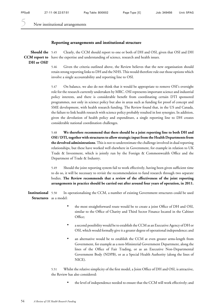#### **Reporting arrangements and institutional structure**

**Should the** 5.45 Clearly, the CCM should report to one or both of DH and OSI, given that OSI and DH **CCM report to** have the expertise and understanding of science, research and health issues. **DH or OSI?**

> 5.46 Given the criteria outlined above, the Review believes that the new organisation should retain strong reporting links to DH and the NHS. This would therefore rule out those options which involve a single accountability and reporting line to OSI.

> 5.47 On balance, we also do not think that it would be appropriate to remove OSI's oversight role for the research currently undertaken by MRC. OSI represents important science and industrial policy interests, and there is considerable benefit from coordinating certain DTI sponsored programmes, not only in science policy but also in areas such as funding for proof of concept and SME development, with health research funding. The Review found that, in the US and Canada, the failure to link health research with science policy probably resulted in lost synergies. In addition, given the devolution of health policy and expenditure, a single reporting line to DH creates considerable national coordination challenges.

> 5.48 **We therefore recommend that there should be a joint reporting line to both DH and OSI / DTI, together with structures to allow strategic input from the Health Departments from the devolved administrations**. This is not to underestimate the challenge involved in dual reporting relationships, but these have worked well elsewhere in Government, for example in relation to UK Trade & Investment, which is jointly run by the Foreign & Commonwealth Office and the Department of Trade & Industry.

> 5.49 Should the joint reporting system fail to work effectively, having been given sufficient time to do so, it will be necessary to revisit the recommendation to fund research through two separate bodies. **The Review recommends that a review of the effectiveness of the joint reporting arrangements in practice should be carried out after around four years of operation, in 2011.**

**Institutional** 5.50 In operationalising the CCM, a number of existing Government structures could be used **Structures** as a model:

- the most straightforward route would be to create a joint Office of DH and OSI, similar to the Office of Charity and Third Sector Finance located in the Cabinet Office;
- a second possibility would be to establish the CCM as an Executive Agency of DH or OSI, which would formally give it a greater degree of operational independence; and
- an alternative would be to establish the CCM at even greater arms-length from Government, for example as a non-Ministerial Government Department, along the lines of the Office of Fair Trading, or as an Executive Non-Departmental Government Body (NDPB), or as a Special Health Authority (along the lines of NICE).

5.51 Whilst the relative simplicity of the first model, a Joint Office of DH and OSI, is attractive, the Review has also considered:

the level of independence needed to ensure that the CCM will work effectively; and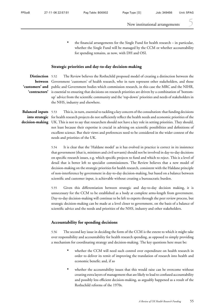the financial arrangements for the Single Fund for health research – in particular, whether the Single Fund will be managed by the CCM or whether accountability for spending remains, as now, with DH and OSI.

New institutional arrangements

# **Strategic priorities and day-to-day decision-making**

**Distinction** 5.52 The Review believes the Rothschild proposed model of creating a distinction between the **between** Government 'customers' of health research, who in turn represent other stakeholders, and those **'customers' and** public and Government bodies which commission research, in this case the MRC and the NIHR, **'contractors'** is essential to ensuring that decisions on research priorities are driven by a combination of 'bottomup' advice from the scientific community and the 'top-down' priorities and needs of stakeholders in the NHS, industry and elsewhere.

**Balanced inputs** 5.53 This is, in turn, essential to tackling a key concern of the consultation: that funding decisions **into strategic** for health research projects do not sufficiently reflect the health needs and economic priorities of the **decision-making** UK. This is not to say that researchers should not have a key role in setting priorities. They should, not least because their expertise is crucial in advising on scientific possibilities and definitions of excellent science. But their views and preferences need to be considered in the wider context of the needs and priorities of the UK.

> 5.54 It is clear that the 'Haldane model' as it has evolved in practice is correct in its insistence that government (that is, ministers and civil servants) should not be involved in day-to-day decisions on specific research issues, e.g. which specific projects to fund and which to reject. This is a level of detail that is better left to specialist commissioners. The Review believes that a new model of decision-making on the strategic priorities for health research, consistent with the Haldane principle of non-interference by government in day-to-day decision-making, but based on a balance between scientific and customer input, is achievable without creating a bureaucratic burden.

> 5.55 Given this differentiation between strategic and day-to-day decision making, it is unnecessary for the CCM to be established as a body at complete arms-length from government. Day-to-day decision-making will continue to be left to experts through the peer review process, but strategic decision-making can be made at a level closer to government, on the basis of a balance of scientific advice and the needs and priorities of the NHS, industry and other stakeholders.

# **Accountability for spending decisions**

5.56 The second key issue in deciding the form of the CCM is the extent to which it might take over responsibility and accountability for health research spending, as opposed to simply providing a mechanism for coordinating strategy and decision-making. The key questions here must be:

- whether the CCM will need such control over expenditure on health research in order to deliver its remit of improving the translation of research into health and economic benefit; and, if so
- whether the accountability issues that this would raise can be overcome without creating extra layers of management that are likely to lead to confused accountability and possibly less efficient decision-making, as arguably happened as a result of the Rothschild reforms of the 1970s.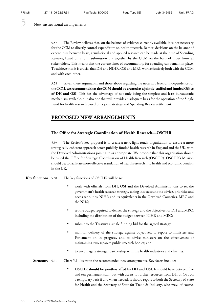5.57 The Review believes that, on the balance of evidence currently available, it is not necessary for the CCM to directly control expenditure on health research. Rather, decisions on the balance of expenditure between basic, translational and applied research can be made at the time of Spending Reviews, based on a joint submission put together by the CCM on the basis of input from all stakeholders. This means that the current lines of accountability for spending can remain in place. To achieve this, it is crucial that DH and NIHR, OSI and MRC work effectively both with the CCM and with each other.

5.58 Given these arguments, and those above regarding the necessary level of independence for the CCM,**we recommend that the CCM should be created as a jointly-staffed and funded Office of DH and OSI**. This has the advantage of not only being the simplest and least bureaucratic mechanism available, but also one that will provide an adequate basis for the operation of the Single Fund for health research based on a joint strategy and Spending Review settlement.

# **PROPOSED NEW ARRANGEMENTS**

#### **The Office for Strategic Coordination of Health Research—OSCHR**

5.59 The Review's key proposal is to create a new, light-touch organisation to ensure a more strategically-coherent approach across publicly-funded health research in England and the UK, with the Devolved Administrations joining in as appropriate. We propose that this organisation should be called the Office for Strategic Coordination of Health Research (OSCHR). OSCHR's Mission should be: to facilitate more effective translation of health research into health and economic benefits in the UK.

#### **Key functions** 5.60 The key functions of OSCHR will be to:

- work with officials from DH, OSI and the Devolved Administrations to set the government's health research strategy, taking into account the advice, priorities and needs set out by NIHR and its equivalents in the Devolved Countries, MRC and the NHS;
- set the budget required to deliver the strategy and the objectives for DH and MRC, including the distribution of the budget between NIHR and MRC;
- submit to the Treasury a single funding bid for the agreed strategy;
- monitor delivery of the strategy against objectives, to report to ministers and Parliament on its progress, and to advise ministers on the effectiveness of maintaining two separate public research bodies; and
- to encourage a stronger partnership with the health industries and charities.

#### **Structure** 5.61 Chart 5.1 illustrates the recommended new arrangements. Key facets include:

OSCHR should be jointly-staffed by DH and OSI. It should have between five and ten permanent staff, but with access to further resources from DH or OSI on a temporary basis if and when needed. It should report to both the Secretary of State for Health and the Secretary of State for Trade & Industry, who may, of course,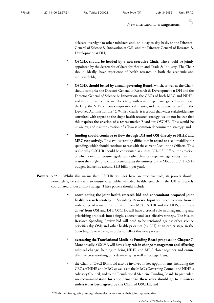delegate oversight to other ministers and, on a day-to-day basis, to the Director-General of Science & Innovation at OSI, and the Director-General of Research & Development at DH;

- **OSCHR** should be headed by a non-executive Chair, who should be jointly appointed by the Secretaries of State for Health and Trade & Industry. The Chair should, ideally, have experience of health research in both the academic and industry fields;
- **OSCHR should be led by a small governing Board**, which, as well as the Chair, should comprise the Director-General of Research & Development at DH and the Director-General of Science & Innovation, the CEOs of both MRC and NIHR, and three non-executive members (e.g. with senior experience gained in industry, the City, the NHS or from a major medical charity, and one representative from the Devolved Administrations<sup>20</sup>). Whilst, clearly, it is crucial that wider stakeholders are consulted with regard to the single health research strategy, we do not believe that this requires the creation of a representative Board for OSCHR. This would be unwieldy, and risk the creation of a 'lowest common denominator' strategy; and
- **funding should continue to flow through DH and OSI directly to NIHR and MRC respectively**. This avoids creating difficulties in regard to accountability for spending, which should continue to rest with the current Accounting Officers. This is also why OSCHR should be constituted as a joint DH-OSI Office, the creation of which does not require legislation, rather than as a separate legal entity. For this reason the single fund can also encompass the entirety of the MRC and DH R&D budgets (currently around £1.3 billion per year).
- Powers 5.62 Whilst this means that OSCHR will not have an executive role, its powers should, nonetheless, be sufficient to ensure that publicly-funded health research in the UK is properly coordinated under a joint strategy. These powers should include:
	- **coordinating the joint health research bid and concomitant proposed joint health research strategy in Spending Reviews.** Input will need to come from a wide range of sources: 'bottom-up' from MRC, NIHR and the NHS; and 'topdown' from OSI and DH. OSCHR will have a crucial role in amalgamating and prioritising proposals into a single, coherent and cost-effective strategy. The Health Research Spending Review bid will need to be tensioned against other science priorities (by OSI) and other health priorities (by DH) at an earlier stage in the Spending Review cycle, in order to reflect this new process;
	- **overseeing the Translational Medicine Funding Board proposed in Chapter 7**. More broadly, OSCHR will have a **key role in change management and effecting cultural change**, helping to bring NIHR and MRC closer together and ensure effective cross-working on a day-to-day, as well as strategic basis;
	- the Chair of OSCHR should also be involved in key appointments, including the CEOs of NIHR and MRC, as well as to the MRC's Governing Council and NIHR's Advisory Council, and to the Translational Medicine Funding Board. In particular, **no recommendation for appointment to these roles should go to ministers unless it has been agreed by the Chair of OSCHR**; and

<sup>&</sup>lt;sup>20</sup> With the DAs agreeing amongst themselves who is to be their joint representative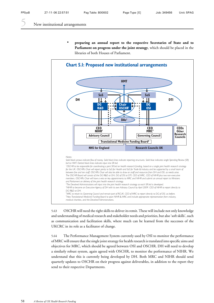- **preparing an annual report to the respective Secretaries of State and to Parliament on progress under the joint strategy**, which should be placed in the libraries of both Houses of Parliament.



5.63 OSCHR will need the right skills to deliver its remit. These will include not only knowledge and understanding of medical research and stakeholder needs and priorities, but also 'soft skills', such as communication and facilitation skills, where much can be learned from the successes of the UKCRC in its role as a facilitator of change.

5.64 The Performance Management System currently used by OSI to monitor the performance of MRC will ensure that the single joint strategy for health research is translated into specific aims and objectives for MRC, which should be agreed between OSI and OSCHR. DH will need to develop a similarly robust system, again agreed with OSCHR, to monitor the performance of NIHR. We understand that this is currently being developed by DH. Both MRC and NIHR should send quarterly updates to OSCHR on their progress against deliverables, in addition to the report they send to their respective Departments.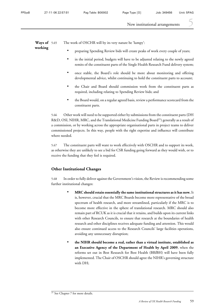|         | <b>Ways of</b> $\,$ 5.65 The work of OSCHR will by its very nature be 'lumpy': |
|---------|--------------------------------------------------------------------------------|
| working |                                                                                |

- preparing Spending Review bids will create peaks of work every couple of years;
- in the initial period, budgets will have to be adjusted relating to the newly agreed remits of the constituent parts of the Single Health Research Fund delivery system;
- once stable, the Board's role should be more about monitoring and offering developmental advice, whilst continuing to hold the constituent parts to account;
- the Chair and Board should commission work from the constituent parts as required, including relating to Spending Review bids; and
- the Board would, on a regular agreed basis, review a performance scorecard from the constituent parts.

5.66 Other work will need to be supported either by submissions from the constituent parts (DH R&D, OSI, NIHR, MRC, and the Translational Medicine Funding Board<sup>21</sup>) generally as a result of a commission, or by working across the appropriate organisational parts in project teams to deliver commissioned projects. In this way, people with the right expertise and influence will contribute where needed.

5.67 The constituent parts will want to work effectively with OSCHR and to support its work, as otherwise they are unlikely to see a bid for CSR funding going forward as they would wish, or to receive the funding that they feel is required.

## **Other Institutional Changes**

5.68 In order to fully deliver against the Government's vision, the Review is recommending some further institutional changes:

- MRC should retain essentially the same institutional structures as it has now. It is, however, crucial that the MRC Boards become more representative of the broad spectrum of health research, and more streamlined, particularly if the MRC is to become more effective in the sphere of translational research. MRC should also remain part of RCUK as it is crucial that it retains, and builds upon its current links with other Research Councils, to ensure that research at the boundaries of health research and other disciplines receives adequate funding and attention. This would also ensure continued access to the Research Councils' large facilities operations, avoiding any unnecessary disruption;
- **the NIHR should become a real, rather than a virtual institute, established as an Executive Agency of the Department of Health by April 2009**, when the reforms set out in Best Research for Best Health (BRfBH) will have been fully implemented. The Chair of OSCHR should agree the NIHR's governing structure with DH;

*A Review of UK Health Research Funding* 59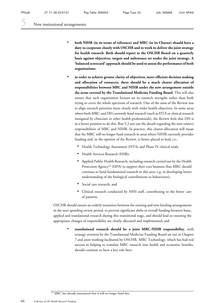- **both NIHR (in its terms of reference) and MRC (in its Charter) should have a duty to cooperate closely with OSCHR and to work to deliver the joint strategy for health research. Both should report to the OSCHR Board on a quarterly basis against objectives, targets and milestones set under the joint strategy. A 'balanced scorecard' approach should be used to assess the performance of both organisations**;
- in order to achieve greater clarity of objectives, more efficient decision making **and allocation of resources, there should be a much clearer allocation of responsibilities between MRC and NIHR under the new arrangement outside the areas covered by the Translational Medicine Funding Board**. This will also ensure that each organisation focuses on its research strengths rather than both trying to cover the whole spectrum of research. One of the aims of the Review was to align research priorities more closely with wider health objectives. In some areas where both MRC and DH currently fund research (such as HTA or clinical research instigated by clinicians or other health professionals), the Review feels that DH is in a better position to do this. Box 5.2 sets out the details regarding the new relative responsibilities of MRC and NIHR. In practice, this clearer allocation will mean that the MRC will no longer fund research in areas where NIHR currently provides funding and, in the opinion of the Review, is better placed to lead, i.e.:
	- Health Technology Assessment (HTA) and Phase IV clinical trials;
	- Health Services Research (HSR);
	- Applied Public Health Research, including research carried out by the Health Protection Agency<sup>22</sup> (HPA) to support their core business (but MRC should continue to fund fundamental research in this area, e.g. in developing better understanding of the biological contributions to behaviours);
	- Social care research; and
	- Clinical research conducted by NHS staff, contributing to the better care of patients.

OSCHR should ensure an orderly transition between the existing and new funding arrangements in the next spending review period, to prevent significant shifts in overall funding between basic, applied and translational research during this transitional stage, and should lead in ensuring the appropriate changes of responsibility are clearly allocated and implemented; and

- **translational research should be a joint MRC-NIHR responsibility**, with strategy overseen by the Translational Medicine Funding Board set out in Chapter 7 and joint working facilitated by OSCHR. MRC Technology, which has had real success in helping to translate MRC research into health and economic benefits, should continue to have a key role here.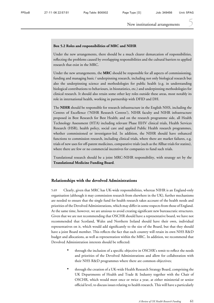#### **Box 5.2 Roles and responsibilities of MRC and NIHR**

Under the new arrangements, there should be a much clearer demarcation of responsibilities, reflecting the problems caused by overlapping responsibilities and the cultural barriers to applied research that exist in the MRC.

Under the new arrangements, the **MRC** should be responsible for all aspects of commissioning, funding and managing basic / underpinning research, including not only biological research but also the underpinning science and methodologies for public health (e.g. in understanding biological contributions to behaviours, in biostatistics, etc.) and underpinning methodologies for clinical research. It should also retain some other key roles outside these areas, most notably its role in international health, working in partnership with DFID and DH.

The **NIHR** should be responsible for research infrastructure in the English NHS, including the Centres of Excellence ('NIHR Research Centres'), NIHR faculty and NIHR infrastructure proposed in Best Research for Best Health; and on the research programme side, all Health Technology Assessment (HTA) including relevant Phase III/IV clinical trials, Health Services Research (HSR), health policy, social care and applied Public Health research programmes, whether commissioned or investigator-led. In addition, the NIHR should have enhanced functions to commission research, including clinical trials, where there are market failures, e.g. trials of new uses for off-patent medicines, comparative trials (such as the Allhat trials for statins), where there are few or no commercial incentives for companies to fund such trials.

Translational research should be a joint MRC-NIHR responsibility, with strategy set by the **Translational Medicine Funding Board**.

#### **Relationships with the devolved Administrations**

5.69 Clearly, given that MRC has UK-wide responsibilities, whereas NIHR is an England-only organisation (although it may commission research from elsewhere in the UK), further mechanisms are needed to ensure that the single fund for health research takes account of the health needs and priorities of the Devolved Administrations, which may differ in some respects from those of England. At the same time, however, we are anxious to avoid creating significant new bureaucratic structures. Given that we are not recommending that OSCHR should have a representative board, we have not recommended that Scotland, Wales and Northern Ireland should have their own, individual representatives on it, which would add significantly to the size of the Board, but that they should have a joint Board member. This reflects the fact that each country will retain its own NHS R&D budget and allocations, as well as representation within the MRC. In addition, we recommend that Devolved Administration interests should be reflected:

- through the inclusion of a specific objective in OSCHR's remit to reflect the needs and priorities of the Devolved Administrations and allow for collaboration with their NHS R&D programmes where there are common objectives;
- through the creation of a UK-wide Health Research Strategy Board, comprising the UK Departments of Health and Trade & Industry together with the Chair of OSCHR, which would meet once or twice a year, at either ministerial or senior official level, to discuss issues relating to health research. This will have a particularly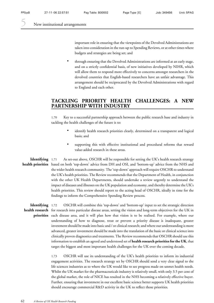important role in ensuring that the viewpoints of the Devolved Administrations are taken into consideration in the run-up to Spending Reviews, or at other times where budgets and strategies are being set; and

through ensuring that the Devolved Administrations are informed at an early stage, and on a strictly confidential basis, of new initiatives developed by NIHR, which will allow them to respond more effectively to concerns amongst researchers in the devolved countries that English-based researchers have an unfair advantage. This arrangement should be reciprocated by the Devolved Administrations with regard to England and each other.

# **TACKLING PRIORITY HEALTH CHALLENGES: A NEW PARTNERSHIP WITH INDUSTRY**

1.70 Key to a successful partnership approach between the public research base and industry in tackling the health challenges of the future is to:

- identify health research priorities clearly, determined on a transparent and logical basis; and
- supporting this with effective institutional and procedural reforms that reward value-added research in these areas.

**Identifying** 1.71 As set-out above, OSCHR will be responsible for setting the UK's health research strategy **health priorities** based on both 'top-down' advice from DH and OSI, and 'bottom-up' advice from the NHS and the wider health research community. The 'top-down' approach will require OSCHR to understand the UK's health priorities. The Review recommends that the Department of Health, in conjunction with the other UK Health Departments, should undertake a review urgently to understand the impact of diseases and illnesses on the UK population and economy, and thereby determine the UK's health priorities. This review should report to the acting head of OSCHR, ideally in time for the findings to inform the Comprehensive Spending Review process.

**Identifying** 1.72 OSCHR will combine this 'top-down' and 'bottom-up' input to set the strategic direction **health research** for research into particular disease areas, setting the vision and long-term objectives for the UK in **priorities** each disease area, and it will plan how that vision is to be realised. For example, where our understanding of how to diagnose, treat or prevent a priority disease is inadequate, greater investment should be made into basic and / or clinical research; and where our understanding is more advanced, greater investment should be made into the translation of the basic or clinical science into clinically proven diagnostics and treatments. The Review recommends that OSCHR should use this information to establish an agreed and understood set of **health research priorities for the UK**, that target the biggest and most important health challenges for the UK over the coming decade.

> 1.73 OSCHR will use its understanding of the UK's health priorities to inform its industrial engagement activities. The research strategy set by OSCHR should send a very clear signal to the life sciences industries as to where the UK would like to see progress made on unmet health needs. Whilst the UK market for the pharmaceuticals industry is relatively small, with only 3.5 per cent of the global market, the role of NICE has resulted in the NHS becoming a relatively effective buyer. Further, ensuring that investment in our excellent basic science better supports UK health priorities should encourage commercial R&D activity in the UK to reflect those priorities.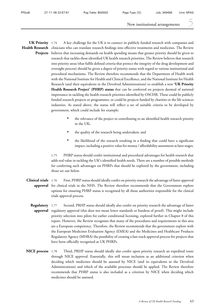**UK Priority** 1.74 A key challenge for the UK is to connect its publicly funded research with companies and **Health Research** clinicians who can translate research findings into effective treatments and medicines. The Review **Projects** believes that increasing demands on health spending means that greater priority should be given to research that tackles these identified UK health research priorities. The Review believes that research into priority areas (that fulfils defined criteria that protect the integrity of the drug development and oversight process) should be given a degree of priority status with regard to various institutional and procedural mechanisms. The Review therefore recommends that the Department of Health work with the National Institute for Health and Clinical Excellence, and the National Institute for Health Research (and their equivalents in the Devolved Administrations) to establish a new **'UK Priority Health Research Project' (PHRP) status** that can be conferred on projects deemed of national importance in tackling the health research priorities identified by OSCHR. These could be publicly funded research projects or programmes, or could be projects funded by charities or the life sciences industries. As stated above, the status will reflect a set of suitable criteria to be developed by government, which could include for example:

- the relevance of the project to contributing to an identified health research priority in the UK;
- the quality of the research being undertaken; and
- the likelihood of the research resulting in a finding that could have a significant impact, including a positive value for money / affordability assessment at later stages.

1.75 PHRP status should confer institutional and procedural advantages for health research that adds real value in tackling the UK's identified health needs. There are a number of possible methods for conferring such advantages on PHRPs that should be explored by the government, including those set out below.

- **Clinical trials** 1.76 First, PHRP status should ideally confer on priority research the advantage of faster approval **approval** for clinical trials in the NHS. The Review therefore recommends that the Government explore options for ensuring PHRP status is recognised by all those authorities responsible for the clinical trials approval process.
	- **Regulatory** 1.77 Second, PRHP status should ideally also confer on priority research the advantage of faster **approval** regulatory approval (this does not mean lower standards or burdens of proof). This might include priority selection into pilots for earlier conditional licensing, explored further in Chapter 8 of this report. However, the Review recognises that many of the procedures and requirements in this area are a European competency. Therefore, the Review recommends that the government explore with the European Medicines Evaluation Agency (EMEA) and the Medicines and Healthcare Products Regulatory Agency (MHRA) the possibility of creating a fast-track approval process for projects that have been officially recognised as UK PHRPs.
- **NICE process** 1.78 Third, PRHP status should ideally also confer upon priority research an expedited route through NICE approval. Essentially, this will mean inclusion as an additional criterion when deciding which medicines should be assessed by NICE (and its equivalents in the Devolved Administrations) and which of the available processes should be applied. The Review therefore recommends that PHRP status is also included as a criterion by NICE when deciding which medicines should be assessed.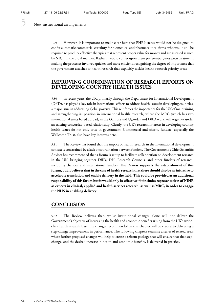1.79 However, it is important to make clear here that PHRP status would not be designed to confer automatic commercial certainty for biomedical and pharmaceutical firms, who would still be required to produce effective therapies that represent proper value for money and are assessed as such by NICE in the usual manner. Rather it would confer upon them preferential *procedural* treatment, making the processes involved quicker and more efficient, recognising the degree of importance that the government attaches to health research that explicitly tackles health research priority areas.

# **IMPROVING COORDINATION OF RESEARCH EFFORTS ON DEVELOPING COUNTRY HEALTH ISSUES**

5.80 In recent years, the UK, primarily through the Department for International Development (DfID), has played a key role in international efforts to address health issues in developing countries, a major issue in addressing global poverty. This reinforces the importance for the UK of maintaining and strengthening its position in international health research, where the MRC (which has two international units based abroad, in the Gambia and Uganda) and DfID work well together under an existing concordat–based relationship. Clearly, the UK's research interests in developing country health issues do not only arise in government. Commercial and charity funders, especially the Wellcome Trust, also have key interests here.

5.81 The Review has found that the impact of health research in the international development context is constrained by a lack of coordination between funders. The Government's Chief Scientific Adviser has recommended that a forum is set up to facilitate collaboration on development research in the UK, bringing together DfID, DH, Research Councils, and other funders of research, including charities and international funders. **The Review supports the establishment of this forum, but it believes that in the case of health research that there should also be an initiative to accelerate translation and enable delivery in the field. This could be provided as an additional responsibility of this forum but it would only be effective if it includes representatives of NIHR as experts in clinical, applied and health services research, as well as MRC, in order to engage the NHS in enabling delivery**.

# **CONCLUSION**

5.82 The Review believes that, whilst institutional changes alone will not deliver the Government's objective of increasing the health and economic benefits arising from the UK's worldclass health research base, the changes recommended in this chapter will be crucial to delivering a step-change improvement in performance. The following chapters examine a series of related areas where further proposed changes will help to create a reform package that will ensure that that stepchange, and the desired increase in health and economic benefits, is delivered in practice.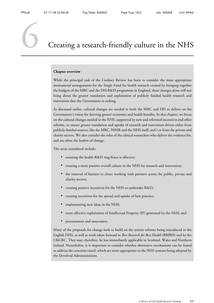# 6 Creating a research-friendly culture in the NHS

#### **Chapter overview**

While the principal task of the Cooksey Review has been to consider the most appropriate institutional arrangements for the Single Fund for health research created by bringing together the budgets of the MRC and the DH R&D programme in England, these changes alone will not bring about the greater translation and exploitation of publicly funded health research and innovation that the Government is seeking.

As discussed earlier, cultural changes are needed in both the MRC and DH to deliver on the Government's vision for deriving greater economic and health benefits. In this chapter, we focus on the cultural changes needed in the NHS, supported by new and reformed incentives and other reforms, to ensure greater translation and uptake of research and innovation driven either from publicly-funded sources, like the MRC, NIHR and the NHS itself, and / or from the private and charity sectors. We also consider the roles of the clinical researchers who deliver the evidence for, and are often the leaders of change.

The areas considered include:

- ensuring the health R&D ring-fence is effective;
- creating a more positive overall culture in the NHS for research and innovation;
- the removal of barriers to closer working with partners across the public, private and charity sectors;
- creating positive incentives for the NHS to undertake R&D;
- creating incentives for the spread and uptake of best practice;
- implementing new ideas in the NHS;
- more effective exploitation of Intellectual Property (IP) generated by the NHS; and
- procurement and innovation.

Many of the proposals for change look to build on the system reforms being introduced in the English NHS, as well as work taken forward in *Best Research for Best Health* (BRfBH) and by the UKCRC. They may, therefore, be less immediately applicable in Scotland, Wales and Northern Ireland. Nonetheless, it is important to consider whether alternative mechanisms can be found to address the concerns raised, which are more appropriate to the NHS systems being adopted by the Devolved Administrations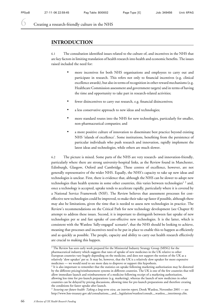6 Creating a research-friendly culture in the NHS

# **INTRODUCTION**

6.1 The consultation identified issues related to the culture of, and incentives in the NHS that are key factors in limiting translation of health research into health and economic benefits. The issues raised included the need for:

- more incentives for both NHS organisations and employees to carry out and participate in research. This refers not only to financial incentives (e.g. clinical excellence awards), but also in terms of recognition in other reward mechanisms (e.g. Healthcare Commission assessment and government targets) and in terms of having the time and opportunity to take part in research-related activities;
- fewer disincentives to carry out research, e.g. financial disincentives;
- a less conservative approach to new ideas and technologies;
- more standard routes into the NHS for new technologies, particularly for smaller, non-pharmaceutical companies; and
- a more positive culture of innovation to disseminate best practice beyond existing NHS 'islands of excellence'. Some institutions, benefiting from the persistence of particular individuals who push research and innovation, rapidly implement the latest ideas and technologies, while others are much slower.

6.2 The picture is mixed. Some parts of the NHS are very research- and innovation-friendly, particularly where there are strong university-hospital links, as the Review found in Manchester, Edinburgh, Glasgow, Oxford and Cambridge. These centres of excellence, however, are not generally representative of the wider NHS. Equally, the NHS's capacity to take up new ideas and technologies is unclear. First, there is evidence that, although the NHS can be slower to adopt new technologies than health systems in some other countries, this varies between technologies<sup>1</sup>  $\frac{2}{3}$  and, once a technology is accepted, uptake tends to accelerate rapidly, particularly where it is covered by a National Service Framework (NSF). The Review believes that assessment processes for costeffective new technologies could be improved, to make their take-up faster if possible, although there may also be limitations, given the time that is needed to assess new technologies in practice. The Review's recommendations on the Critical Path for new technology development (see Chapter 8) attempt to address these issues. Second, it is important to distinguish between fast uptake of new technologies per se and fast uptake of cost-effective new technologies. It is the latter, which is consistent with the Wanless 'fully-engaged' scenario3, that the NHS should be looking to achieve, meaning that processes and incentives need to be put in place to enable this to happen as efficiently and as quickly as possible. The people, capacity and ability to carry out health research effectively are crucial to making this happen.

<sup>&</sup>lt;sup>1</sup> The Review has seen early work prepared for the Ministerial Industry Strategy Group (MISG) for the pharmaceutical industry which suggests that rates of uptake of new medicines in the UK relative to other European countries vary hugely depending on the medicine, and does not support the notion of the UK as a relatively 'slow uptaker' per se. It may be, however, that the UK is a relatively slow uptaker for more expensive medicines — we would need to see more data to disprove or support this hypothesis.

<sup>&</sup>lt;sup>2</sup> It is also important to remember that the statistics on uptake following marketing authorisation may be distorted by the different pricing/reimbursement systems in different countries. The UK is one of the few countries that will allow immediate launch and reimbursement of a medicine following receipt of a marketing authorisation, allowing less time for pre-launch preparations (e.g. marketing), whereas the launch of new medicines in other countries can be delayed by pricing discussions, allowing time for pre-launch preparations and therefore creating the conditions for faster uptake after launch.

<sup>3</sup> *Securing our future health: Taking a long-term view, an interim report*, Derek Wanless, November 2001 — see http://www.hm-treasury.gov.uk/consultations—and—legislation/wanless/consult—wanless—interimrep.cfm.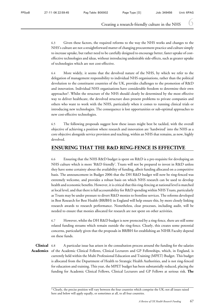6.3 Given these factors, the required reforms to the way the NHS works and changes to the NHS's culture are not a straightforward matter of changing procurement practice and culture simply to increase uptake, but rather need to be carefully designed to encourage better, faster uptake of costeffective technologies and ideas, without introducing undesirable side-effects, such as greater uptake of technologies which are not cost-effective.

6.4 More widely, it seems that the devolved nature of the NHS, by which we refer to the delegation of management responsibility to individual NHS organisations, rather than the political devolution to the constituent countries of the UK, provides challenges to the promotion of R&D and innovation. Individual NHS organisations have considerable freedom to determine their own approaches<sup>4</sup>. Whilst the structure of the NHS should clearly be determined by the most effective way to deliver healthcare, the devolved structure does present problems to private companies and others who want to work with the NHS, particularly when it comes to running clinical trials or introducing new technologies. The consequence is lost opportunities or sub-optimal approaches to new cost-effective technologies.

6.5 The following proposals suggest how these issues might best be tackled, with the overall objective of achieving a position where research and innovation are 'hardwired' into the NHS as a core objective alongside service provision and teaching, within an NHS that remains, as now, highly devolved.

## **ENSURING THAT THE R&D RING-FENCE IS EFFECTIVE**

6.6 Ensuring that the NHS R&D budget is spent on R&D is a pre-requisite for developing an NHS culture which is more 'R&D friendly'. Trusts will not be prepared to invest in R&D unless they have some certainty about the availability of funding, albeit funding allocated on a competitive basis. The announcement in Budget 2006 that the DH R&D budget will now be ring-fenced was extremely welcome, and provides a robust basis on which NHS research can be used to develop health and economic benefits. However, it is critical that this ring-fencing at national level is matched at local level, and that there is full accountability for R&D spending within NHS Trusts, particularly as Trusts may be under pressure to divert R&D monies to frontline services. The reforms developed in Best Research for Best Health (BRfBH) in England will help ensure this, by more closely linking research awards to research performance. Nonetheless, clear processes, including audit, will be needed to ensure that monies allocated for research are not spent on other activities.

6.7 However, whilst the DH R&D budget is now protected by a ring-fence, there are still some related funding streams which remain outside the ring-fence. Clearly, this creates some potential concerns, particularly given that the proposals in BRfBH for establishing an NIHR Faculty depend on these funds.

**Clinical** 6.8 A particular issue has arisen in the consultation process around the funding for the salaries **Academics** of the Academic Clinical Fellows, Clinical Lecturers and GP Fellowships, which, in England, is currently held within the Multi Professional Education and Training (MPET) Budget. This budget is allocated from the Department of Health to Strategic Health Authorities, and is not ring-fenced for education and training. This year, the MPET budget has been substantially reduced, placing the funding for Academic Clinical Fellows, Clinical Lecturers and GP Fellows at serious risk. **The**

<sup>4</sup> Clearly, the precise position will vary between the four countries which comprise the UK; not all issues raised here and below will apply equally, or sometimes at all, to all four countries.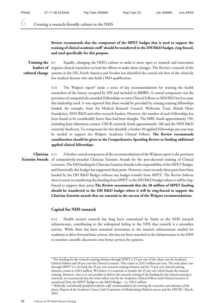## **Review recommends that the component of the MPET budget that is used to support the training of clinical academic staff**<sup>5</sup> **should be transferred to the DH R&D budget, ring-fenced, and used specifically for this purpose.**

**Training the** 6.9 Equally, changing the NHS's culture to make it more open to research and innovation **leaders of** requires clinical researchers to lead the efforts to make those changes. The Review's research of the **cultural change** systems in the UK, North America and Sweden has identified the crucial role here of the relatively few medical doctors who also hold a PhD qualification.

> 6.10 The Walport report<sup>6</sup> made a series of key recommendations for training the health researchers of the future, accepted by DH and included in BRfBH. A central component was the provision of competitively-awarded Fellowships to train Clinical Fellows to MD/PhD level to meet this leadership need. It was expected that these would be provided by existing training fellowships funded, for example, from the Medical Research Council, Wellcome Trust, British Heart foundation, NHS R&D and other research funders. However, the number of such Fellowships has been found to be considerably lower than had been thought. The MRC funds approximately 150, including basic laboratory science; CRUK currently funds approximately 100 and the NHS R&D currently funds ten. To compensate for this shortfall, a further 50 applied Fellowships per year may be needed to support the Walport Academic Clinical Fellows. **The Review recommends consideration should be given in the Comprehensive Spending Review to funding additional applied clinical fellowships.**

**Clinician** 6.11 A further central component of the recommendations of the Walport report is the provision **Scientist Awards** of competitively-awarded Clinician Scientist Awards for the post-doctoral training of Clinical Lecturers. The DH funding for Clinician Scientist Awards is the responsibility of the MPET Budget, and historically this budget has supported these posts. However, more recently these posts have been funded by the DH R&D Budget without any budget transfer from MPET. The Review believes there is merit in transferring this funding from MPET to the DH R&D budget where it will be ringfenced to support these posts.**The Review recommends that the £8 million of MPET funding should be transferred to the DH R&D budget where it will be ring-fenced to support the Clinician Scientist awards that are essential to the success of the Walport recommendations.**

#### **Capital for NHS research**

6.12 Health services research has long been constrained by limits to the NHS research infrastructure, contributing to the widespread feeling in the NHS that research is a secondary activity. While there has been sustained investment in the research infrastructure needed for academia to drive forward basic science, this has not been matched in the infrastructure in the NHS to translate scientific discoveries into better services for patients.

<sup>&</sup>lt;sup>5</sup> The funding for the research training element through MPET is 25 per cent of the salary cost for Academic Clinical Fellows and 50 per cent for Clinical Lecturers. This comes to £20.5 million per year. The total salary cost through MPET (i.e. for both the 25 per cent research training element and the 75 per cent clinical training element) comes to £58.4 million. We believe it is essential to transfer the 25 per cent which funds the research training. However, since it is not possible to deliver the research training if the funding for the clinical training is removed, we recommend that the entire salary cost for the Academic Clinical Fellows and Clinical Lecturers is transferred from the MPET Budget to the R&D Budget – i.e. £58.4 million.

<sup>6</sup> *Medically- and dentally-qualified academic staff: recommendations for training the researchers and educators of the future*, Report of the Academic Careers Sub-Committee of Modernising Medical careers and the UKCRC, March 2005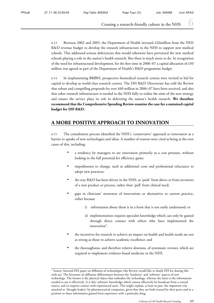6.13 Between 2002 and 2005, the Department of Health invested £26million from the NHS R&D revenue budget to develop the research infrastructure in the NHS to support new medical schools. This addressed serious deficiencies that would otherwise have prevented the new medical schools playing a role in the nation's health research. But there is much more to do. In recognition of the need for infrastructural development, for the first time in 2006–07 a capital allocation of £50 million was agreed as part of the Department of Health's R&D programme budget.

6.14 In implementing BRfBH, prospective biomedical research centres were invited to bid for capital to develop as world-class research centres. The DH R&D Directorate has told the Review that robust and compelling proposals for over £60 million in 2006–07 have been received, and also that other research infrastructure is needed in the NHS fully to realise the aims of the new strategy and ensure the service plays its role in delivering the nation's health research. **We therefore recommend that the Comprehensive Spending Review examine the case for a sustained capital budget for DH R&D.**

## **A MORE POSITIVE APPROACH TO INNOVATION**

6.15 The consultation process identified the NHS's 'conservative' approach to innovation as a barrier to uptake of new technologies and ideas. A number of reasons were cited as being at the root cause of this, including:

- a tendency by managers to see innovation primarily as a cost pressure, without looking to the full potential for efficiency gains;
- impediments to change, such as additional costs and professional reluctance to adopt new practices;
- the way R&D has been driven in the NHS, as 'push' from above or from inventors of a new product or process, rather than 'pull' from clinical need;
- gaps in clinicians' awareness of innovations or alternatives to current practice, either because
	- i) information about them is in a form that is not easily understood; or
	- ii) implementation requires specialist knowledge which can only be gained through direct contact with others who have implemented the innovation<sup>7</sup>.
- the incentives for research to achieve an impact on health and health needs are not as strong as those to achieve academic excellence; and
- the thoroughness, and therefore relative slowness, of systematic reviews, which are required to implement evidence-based medicine in the NHS.

 $\frac{7}{7}$  Source: Internal DH paper on diffusion of technologies (the Review would like to thank DH for sharing this with us). The literature on diffusion differentiates between the 'hardware' and 'software' aspects of new technology. The former is the physical object that embodies the technology, whereas the latter is the information needed to use it effectively. It is this 'software' knowledge which cannot effectively be broadcast from a central source, and so requires contact with experienced users. This might explain, at least in part, the important role attached to 'thought leaders' by pharmaceutical companies, given that they are both trusted by their peers and in a position to share information gained from experience with a particular drug.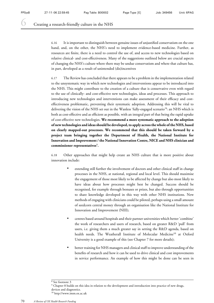6.16 It is important to distinguish between genuine issues of unjustified conservatism on the one hand, and, on the other, the NHS's need to implement evidence-based medicine. Further, as resources are finite, there is a need to control the use of, and access to new technologies based on relative clinical- and cost-effectiveness. Many of the suggestions outlined below are crucial aspects of changing the NHS's culture where there may be undue conservatism and where that culture has, in part, developed as a result of unintended (dis)incentives

6.17 The Review has concluded that there appears to be a problem in the implementation related to the unsystematic way in which new technologies and interventions appear to be introduced into the NHS. This might contribute to the creation of a culture that is conservative even with regard to the use of clinically- and cost-effective new technologies, ideas and processes. This approach to introducing new technologies and interventions can make assessment of their efficacy and costeffectiveness problematic, preventing their systematic adoption. Addressing this will be vital to delivering the vision of the NHS set out in the Wanless 'fully-engaged scenario'8: an NHS which is both as cost-effective and as efficient as possible, with an integral part of that being the rapid uptake of cost-effective new technologies. **We recommend a more systematic approach to the adoption of new technologies and ideas should be developed, to apply across the whole of the NHS, based on clearly mapped-out processes. We recommend that this should be taken forward by a project team bringing together the Department of Health, the National Institute for Innovation and Improvement / the National Innovation Centre, NICE and NHS clinician and commissioner representatives**<sup>9</sup>**.**

6.18 Other approaches that might help create an NHS culture that is more positive about innovation include:

- extending still further the involvement of doctors and other clinical staff in change processes in the NHS, at national, regional and local level. This should maximise the engagement of those most likely to be affected by change but also most likely to have ideas about how processes might best be changed. Success should be recognised, for example through bonuses or prizes, but also through opportunities to share knowledge developed in this way with other NHS institutions. New methods of engaging with clinicians could be piloted, perhaps using a small amount of seedcorn central money through an organisation like the National Institute for Innovation and Improvement (NIII);
- centres based around hospitals and their partner universities which better 'combine' the work of researchers and users of research, based on greater R&D 'pull' from users, i.e. giving them a much greater say in setting the R&D agenda, based on health needs. The Weatherall Institute of Molecular Medicine<sup>10</sup> at Oxford University is a good example of this (see Chapter 7 for more details);
- better training for NHS managers and clinical staff to improve understanding of the benefits of research and how it can be used to drive clinical and cost improvements in service performance. An example of how this might be done can be seen in

 $8$  See footnote 3

<sup>9</sup> Chapter 8 builds on this idea in relation to the development and introduction into practice of new drugs, devices and diagnostics. <sup>10</sup> http://www.imm.ox.ac.uk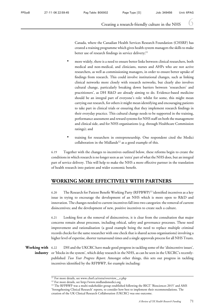Canada, where the Canadian Health Services Research Foundation (CHSRF) has created a training programme which gives health system managers the skills to make better use of research findings in service delivery;<sup>11</sup>

- more widely, there is a need to ensure better links between clinical researchers, both medical and non-medical, and clinicians, nurses and AHPs who are not active researchers, as well as commissioning managers, in order to ensure better uptake of findings from research. This could involve institutional changes, such as linking clinical networks more closely with research networks, but clearly also involves cultural change, particularly breaking down barriers between 'researchers' and practitioners', as DH R&D are already aiming to do. Evidence-based medicine should be an integral part of everyone's role: whilst for some, this might mean carrying out research, for others it might mean identifying and encouraging patients to take part in clinical trials or ensuring that they implement research findings in their everyday practice. This cultural change needs to be supported in the training, performance assessment and reward systems for NHS staff on both the management and clinical side, and for NHS organisations (e.g. through Healthcare Commission ratings); and
- training for researchers in entrepreneurship. One respondent cited the Medici collaboration in the Midlands<sup>12</sup> as a good example of this.

6.19 Together with the changes to incentives outlined below, these reforms begin to create the conditions in which research is no longer seen as an 'extra' part of what the NHS does, but an integral part of service delivery. This will help to make the NHS a more effective partner in the translation of health research into patient and wider economic benefit.

## **WORKING MORE EFFECTIVELY WITH PARTNERS**

6.20 The Research for Patient Benefit Working Party  $(RFPBWP)^{13}$  identified incentives as a key issue in trying to encourage the development of an NHS which is more open to R&D and innovation. The changes needed to current incentives fall into two categories: the removal of current disincentives; and the development of new, positive incentives to create such a culture.

6.21 Looking first at the removal of disincentives, it is clear from the consultation that major concerns remain about processes, including ethical, safety and governance processes. These need improvement and rationalisation (a good example being the need to replace multiple criminal records checks for the same researcher with one check that is shared across organisations) involving a higher level of expertise, shorter turnaround times and a single approvals process for all NHS Trusts.

**Working with** 6.22 DH and the UKCRC have made good progress in tackling some of the 'disincentive issues', **industry** or 'blocks in the system', which delay research in the NHS, as can be seen in the UKCRC's recentlypublished *Two Year Progress Report*. Amongst other things, this sets out progress in tackling incentives identified by the RFPBWP, for example including:

 $\frac{11}{11}$  For more details, see www.chsrf.ca/extra/overview\_\_e.php  $^{12}$  For more details, see http://www.midlandsmedici.org

<sup>&</sup>lt;sup>13</sup> The RFPBWP was a multi-stakeholder group established following the BIGT 'Biosciences 2015' and AMS 'Strengthening Clinical Research' reports, to consider how best to implement their recommendations. The creation of the UK Clinical Research Collaboration (UKCRC) was one outcome.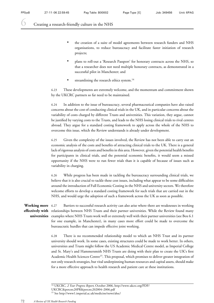- the creation of a suite of model agreements between research funders and NHS organisations, to reduce bureaucracy and facilitate faster initiation of research projects;
- plans to roll-out a 'Research Passport' for honorary contracts across the NHS, so that a researcher does not need multiple honorary contracts, as demonstrated in a successful pilot in Manchester; and
- streamlining the research ethics system.<sup>14</sup>

6.23 These developments are extremely welcome, and the momentum and commitment shown by the UKCRC partners so far need to be maintained.

6.24 In addition to the issue of bureaucracy, several pharmaceutical companies have also raised concerns about the cost of conducting clinical trials in the UK, and in particular concerns about the variability of costs charged by different Trusts and universities. This variation, they argue, cannot be justified by varying costs to the Trusts, and leads to the NHS losing clinical trials to rival centres abroad. They argue for a standard costing framework to apply across the whole of the NHS to overcome this issue, which the Review understands is already under development.

6.25 Given the complexity of the issues involved, the Review has not been able to carry out an economic analysis of the costs and benefits of attracting clinical trials to the UK. There is a general lack of rigorous analysis of costs and benefits in this area. However, given the potential health benefits for participants in clinical trials, and the potential economic benefits, it would seem a missed opportunity if the NHS were to run fewer trials than it is capable of because of issues such as variability in charging.

6.26 While progress has been made in tackling the bureaucracy surrounding clinical trials, we believe that it is also crucial to tackle these cost issues, including what appear to be some difficulties around the introduction of Full Economic Costing in the NHS and university sectors. We therefore welcome efforts to develop a standard costing framework for such trials that are carried out in the NHS, and would urge the adoption of such a framework across the UK as soon as possible.

**Working more** 6.27 Barriers to successful research activity can also arise where there are weaknesses in working **effectively with** relationships between NHS Trusts and their partner universities. While the Review found many **universities** examples where NHS Trusts work well or extremely well with their partner universities (see Box 6.1 for one example, in Manchester), in many cases more effort could be made to overcome the bureaucratic hurdles that can impede effective joint working.

> 6.28 There is no recommended relationship model to which an NHS Trust and its partner university should work. In some cases, existing structures could be made to work better. In others, universities and Trusts might follow the US Academic Medical Centre model, as Imperial College and St. Mary's and Hammersmith NHS Trusts are doing with their plan to create the UK's first Academic Health Sciences Centre<sup>15</sup>. This proposal, which promises to deliver greater integration of not only research strategies, but vital underpinning human resources and capital assets, should make for a more effective approach to health research and patient care at these institutions.

<sup>14</sup> UKCRC, *2 Year Progress Report*, October 2006, http://www.ukcrc.org/PDF/

UKCRC%20PR%202004–2006.pdf

<sup>15</sup> See http://www1.imperial.ac.uk/medicine/news/ahsc/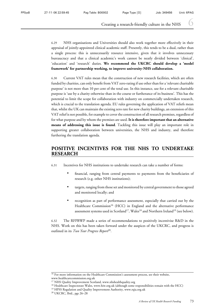6.29 NHS organisations and Universities should also work together more effectively in their appraisal of jointly-appointed clinical academic staff. Presently, this tends to be a dual, rather than a single process: this is unnecessarily resource intensive, given that it involves unnecessary bureaucracy and that a clinical academic's work cannot be neatly divided between 'clinical', 'education' and 'research' duties. **We recommend the UKCRC should develop a 'model framework' for partnership working, to improve university-NHS collaboration.**

6.30 Current VAT rules mean that the construction of new research facilities, which are often funded by charities, can only benefit from VAT zero-rating if use other than for a 'relevant charitable purpose' is not more than 10 per cent of the total use. In this instance, use for a relevant charitable purpose is 'use by a charity otherwise than in the course or furtherance of its business'. This has the potential to limit the scope for collaboration with industry on commercially undertaken research, which is crucial to the translation agenda. EU rules governing the application of VAT reliefs mean that, whilst the UK can maintain the existing zero rate for new charity buildings, an extension of this VAT relief is not possible, for example to cover the construction of all research premises, regardless of for what purpose and by whom the premises are used. **It is therefore important that an alternative means of addressing this issue is found**. Tackling this issue will play an important role in supporting greater collaboration between universities, the NHS and industry, and therefore furthering the translation agenda.

## **POSITIVE INCENTIVES FOR THE NHS TO UNDERTAKE RESEARCH**

- 6.31 Incentives for NHS institutions to undertake research can take a number of forms:
	- financial, ranging from central payments to payments from the beneficiaries of research (e.g. other NHS institutions);
	- targets, ranging from those set and monitored by central government to those agreed and monitored locally; and
	- recognition as part of performance assessment, especially that carried out by the Healthcare Commission<sup>16</sup> (HCC) in England and the alternative performance assessment systems used in Scotland<sup>17</sup>, Wales<sup>18</sup> and Northern Ireland<sup>19</sup> (see below).

6.32 The RFPBWP made a series of recommendations to positively incentivise R&D in the NHS. Work on this has been taken forward under the auspices of the UKCRC, and progress is outlined in its *Two Year Progress Report*<sup>20</sup>*.*

<sup>&</sup>lt;sup>16</sup> For more information on the Healthcare Commission's assessment process, see their website,

www.healthcarecommission.org.uk

<sup>&</sup>lt;sup>17</sup> NHS Quality Improvement Scotland, www.nhshealthquality.org

<sup>&</sup>lt;sup>18</sup> Healthcare Inspectorate Wales, www.hiw.org.uk (although some responsibilities remain with the HCC)

<sup>&</sup>lt;sup>19</sup> HPSS Regulation and Quality Improvement Authority, www.rqia.org.uk

<sup>20</sup> UKCRC, Ibid., pgs 26–28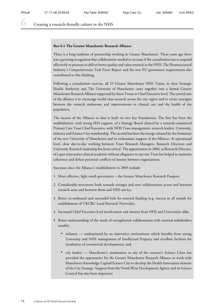#### **Box 6.1 The Greater Manchester Research Alliance**

There is a long tradition of partnership working in Greater Manchester. Three years ago there was a growing recognition that collaboration needed to increase if the conurbation was to respond effectively to pressure to deliver better quality and value research in the NHS. The Pharmaceutical Industry's Competitiveness Task Force Report and the new EU governance requirements also contributed to this thinking.

Following a consultation exercise, all 25 Greater Manchester NHS Trusts, its then Strategic Health Authority and The University of Manchester came together into a formal Greater Manchester Research Alliance supported by those Trusts at Chief Executive level. The central aim of the alliance is to encourage world-class research across the city region and to create synergies between the research endeavour and improvements in clinical care and the health of the population.

The success of the Alliance to date is built on two key foundations. The first has been the establishment, with strong SHA support, of a Strategy Board chaired by a research-committed Primary Care Trust Chief Executive, with NHS Trust management, research leaders, University, industry and Science City membership. The second has been the energy released by the formation of the new University of Manchester and its enthusiastic support of the Alliance. At operational level, close day-to-day working between Trust Research Managers, Research Directors and University Research leadership has been critical. The appointment in 2004, as Research Director, of a part-time senior clinical academic without allegiance to any one Trust has helped to maintain coherence and defuse potential conflicts of interest between organisations.

Successes since the Alliance's establishment in 2003 include:

- 1. More effective, light touch governance the Greater Manchester Research Passport.
- 2. Considerable movement both towards stronger and new collaborations across and between research areas and between them and NHS service.
- 3. Better co-ordinated and successful bids for external funding (e.g. success in all rounds for establishment of UKCRC Local Research Networks).
- 4. Increased Chief Executive level involvement and interest from NHS and Universities alike.
- 5. Better understanding of the needs of strengthened collaborations with external stakeholders notably:
	- industry underpinned by an innovative environment which benefits from strong University and NHS management of Intellectual Property and excellent facilities for incubation of commercial developments; and
	- city leaders Manchester's nomination as one of the country's Science Cities has provided the opportunity for the Greater Manchester Research Alliance to work with Manchester Knowledge Capital/Science City to develop the Health Innovation element of the City Strategy. Support from the North West Development Agency and its Science Council has also been important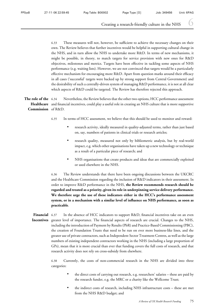6.33 These measures will not, however, be sufficient to achieve the necessary changes on their own. The Review believes that further incentives would be helpful in supporting cultural change in the NHS, and in turn allow the NHS to undertake more R&D. In terms of new mechanisms, it might be possible, in theory, to match targets for service provision with new ones for R&D objectives, milestones and metrics. Targets have been effective in tackling some aspects of NHS performance (e.g. waiting lists). However, we are not convinced that targets would be a particularly effective mechanism for encouraging more R&D. Apart from question marks around their efficacy in all cases ('successful' targets were backed up by strong support from Central Government) and the desirability of such a centrally-driven system of managing R&D performance, it is not at all clear which aspects of R&D could be targeted. The Review has therefore rejected this approach.

The role of the 6.34 Nevertheless, the Review believes that the other two options, HCC performance assessment **Healthcare** and financial incentives, could play a useful role in creating an NHS culture that is more supportive **Commission** of R&D.

- 6.35 In terms of HCC assessment, we believe that this should be used to monitor and reward:
	- research activity, ideally measured in quality-adjusted terms, rather than just based on, say, numbers of patients in clinical trials or research articles;
	- research quality, measured not only by bibliometric analysis, but by real-world impact, e.g. which other organisations have taken up a new technology or technique as a result of a particular piece of research; and
	- NHS organisations that create products and ideas that are commercially exploited or used elsewhere in the NHS.

6.36 The Review understands that there have been ongoing discussions between the UKCRC and the Healthcare Commission regarding the inclusion of R&D indicators in their assessment. In order to improve R&D performance in the NHS, **the Review recommends research should be regarded and treated as a priority, given its role in underpinning service delivery performance. We therefore urge the use of these indicators either in the HCC's performance assessment system, or in a mechanism with a similar level of influence on NHS performance, as soon as practicable**.

**Financial** 6.37 In the absence of HCC indicators to support R&D, financial incentives take on an even **Incentives** greater level of importance. The financial aspects of research are crucial. Changes to the NHS, including the introduction of Payment by Results (PbR) and Practice-Based Commissioning (PBC), the creation of Foundation Trusts that need to be run on ever more business-like lines, and the greater use of private contractors, such as Independent Sector Treatment Centres, as well as the large numbers of existing independent contractors working in the NHS (including a large proportion of GPs), mean that it is more crucial than ever that funding covers the full costs of research, and that research activity does not rely on cross-subsidy from elsewhere.

> 6.38 Currently, the costs of non-commercial research in the NHS are divided into three categories:

- the direct costs of carrying out research, e.g. researchers' salaries these are paid by the research funder, e.g. the MRC or a charity like the Wellcome Trust;
- the indirect costs of research, including NHS infrastructure costs these are met from the NHS R&D budget; and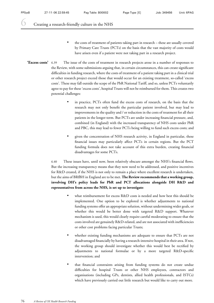- the costs of treatment of patients taking part in research these are usually covered by Primary Care Trusts (PCTs) on the basis that the vast majority of costs would have arisen even if a patient were not taking part in a research project.
- **'Excess costs'** 6.39 The issue of the costs of treatment in research projects arose in a number of responses to the Review, with some submissions arguing that, in certain circumstances, this can create significant difficulties in funding research, where the costs of treatment of a patient taking part in a clinical trial or other research project exceed those that would occur for an existing treatment, so-called 'excess costs'. These may fall outside the scope of the PbR National Tariff, and so, unless PCTs voluntarily agree to pay for these 'excess costs', hospital Trusts will not be reimbursed for them. This creates two potential challenges:
	- in practice, PCTs often fund the excess costs of research, on the basis that the research may not only benefit the particular patient involved, but may lead to improvements in the quality and / or reduction in the costs of treatment for all their patients in the longer-term. But PCTs are under increasing financial pressure, and, combined (in England) with the increased transparency of NHS costs under PbR and PBC, this may lead to fewer PCTs being willing to fund such excess costs; and
	- given the concentration of NHS research activity, in England in particular, these financial issues may particularly affect PCTs in certain regions. But the PCT funding formula does not take account of this extra burden, creating financial disadvantages for some PCTs.

6.40 These issues have, until now, been relatively obscure amongst the NHS's financial flows. But the increasing transparency means that they now need to be addressed, and positive incentives for R&D created, if the NHS is not only to remain a place where excellent research is undertaken, but the aims of BRfBH in England are to be met. **The Review recommends that a working group, involving DH's policy leads for PbR and PCT allocations alongside DH R&D and representatives from across the NHS, is set up to investigate**:

- what reimbursement for excess R&D costs is needed and how best this should be implemented. One option to be explored is whether adjustments to national funding systems offer an appropriate solution, without undermining wider goals, or whether this would be better done with targeted R&D support. Whatever mechanism is used, this would clearly require careful moderating to ensure that the costs involved are genuinely R&D-related, and are not associated with inefficiencies or other cost problems facing particular Trusts;
- whether existing funding mechanisms are adequate to ensure that PCTs are not disadvantaged financially by having a research-intensive hospital in their area. If not, the working group should investigate whether this would best be rectified by adjustments to national formulae or by a more targeted R&D-specific intervention; and
- that financial constraints arising from funding systems do not create undue difficulties for hospital Trusts or other NHS employees, contractors and organisations (including GPs, dentists, allied health professionals, and ISTCs) which have previously carried out little research but would like to carry out more.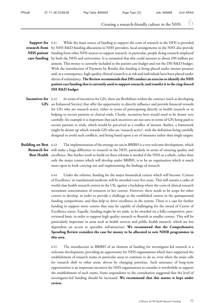**Support for** 6.41 While the main source of funding to support the costs of research in the NHS is provided **research from** by NHS R&D funding allocations to NHS providers, local arrangements in the NHS also provide **NHS patient** funding from other NHS sources to support research, in particular, people doing research employed **care funding** by both the NHS and universities. It is estimated that this could amount to about £90 million per annum. This money is currently included in the patient care budget and not the DH R&D budget. With the introduction of Payment by Results this funding is being placed under intense pressure and, as a consequence, high-quality clinical research is at risk and individuals have been placed under threat of redundancy. **The Review recommends that DH conduct an exercise to identify the NHS patient care funding that is currently used to support research, and transfer it to the ring-fenced DH R&D budget**.

**Incentives for** 6.42 In terms of incentives for GPs, there are flexibilities within the contract (such as developing GPs an Enhanced Service) that offer the opportunity to directly influence and provide financial rewards for GPs who are research active, either in terms of participating directly in health research or in helping to recruit patients to clinical trials. Clearly, incentives here would need to be drawn very carefully, for example it is important that such incentives are not seen in terms of GPs being paid to recruit patients to trials, which would be perceived as a conflict of interest. Rather, a framework might be drawn up which rewards GPs who are 'research active', with the definition being carefully designed to avoid such conflicts, and being based upon a set of measures rather than single targets.

**Building on Best** 6.43 The implementation of the strategy set out in BRfBH is a very welcome development, which **Research for** will make a huge difference to research in the NHS, particularly in terms of ensuring quality and **Best Health** excellence. But further work to build on these reforms is needed if the NHS as a whole, rather than only the major centres which will develop under BRfBH, is to be an organisation which is much more open to both carrying out and implementing the findings of research.

> 6.44 Under the reforms, funding for the major biomedical centres which will become 'Centres of Excellence' in translational medicine will be awarded every five years. This will sustain a cadre of world-class health research centres in the UK, against a backdrop where the costs of clinical research necessitate concentration of resources in key centres. However, there needs to be scope for other centres to develop, in order to provide a challenge to the established centres in the quinquennial funding competitions, and thus help to drive excellence in the system. There is a case for further funding to support more centres that may be capable of challenging for the award of Centre of Excellence status. Equally, funding might be set aside, to be awarded on a fully-competitive, peerreviewed basis, in order to support high quality research to flourish in smaller centres. This will be particularly important in areas such as health services and public health research, which are less dependent on access to specialist infrastructure. **We recommend that the Comprehensive Spending Review considers the case for money to be allocated to new NIHR programmes in this area.**

> 6.45 The introduction in BRfBH of an element of funding for investigator-led research is a welcome development, providing an opportunity for NHS organisations which have supported the establishment of research teams in particular areas to continue to do so, even when the main calls for research shift to other areas, driven by changing priorities. Such assurance of long-term opportunities is an important incentive for NHS organisations to consider it worthwhile to support the establishment of such teams. Some respondents to the consultation suggested that the level of investigator-led funding should be increased. **We recommend that this matter is kept under review.**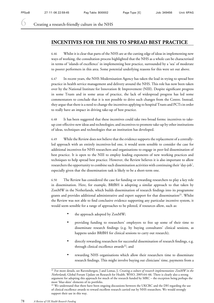## **INCENTIVES FOR THE NHS TO SPREAD BEST PRACTICE**

6.46 Whilst it is clear that parts of the NHS are at the cutting edge of ideas in implementing new ways of working, the consultation process highlighted that the NHS as a whole can be characterised in terms of 'islands of excellence' in implementing best practice, surrounded by a 'sea' of moderate to poorer performers in this area. Some potential underlying reasons for this were set out above.

6.47 In recent years, the NHS Modernisation Agency has taken the lead in trying to spread best practice in health service management and delivery around the NHS. This role has now been taken over by the National Institute for Innovation & Improvement (NIII). Despite significant progress in some Trusts and in some areas of practice, the lack of widespread progress has led some commentators to conclude that it is not possible to drive such changes from the Centre. Instead, they argue that there is a need to change the incentives applying to hospital Trusts and PCTs in order to really have an impact in driving take-up of best practice.

6.48 It has been suggested that these incentives could take two broad forms: incentives to takeup cost-effective new ideas and technologies; and incentives to promote take-up by other institutions of ideas, techniques and technologies that an institution has developed.

6.49 While the Review does not believe that the evidence supports the replacement of a centrallyled approach with an entirely incentives-led one, it would seem sensible to consider the case for additional incentives for NHS researchers and organisations to engage in peer-led dissemination of best practice. It is open to the NIII to employ leading exponents of new working practices and techniques to help spread best practice. However, the Review believes it is also important to allow researchers the opportunity to combine such dissemination activities with continuing their 'day-job', especially given that the dissemination task is likely to be a short-term one.

6.50 The Review has considered the case for funding or rewarding researchers to play a key role in dissemination. Here, for example, BRfBH is adopting a similar approach to that taken by ZonMW in the Netherlands, which builds dissemination of research findings into its programme grants and provides additional administrative and expert support for that dissemination<sup>21</sup>. Whilst the Review was not able to find conclusive evidence supporting any particular incentive system, it would seem sensible for a range of approaches to be piloted, if resources allow, such as:

- the approach adopted by ZonMW;
- providing funding to researchers' employers to free up some of their time to disseminate research findings (e.g. by buying consultants' clinical sessions, as happens under BRfBH for clinical sessions to carry out research);
- directly rewarding researchers for successful dissemination of research findings, e.g. through clinical excellence awards<sup>22</sup>; and
- rewarding NHS organisations which allow their researchers time to disseminate research findings. This might involve buying out clinicians' time, payments from a

<sup>21</sup> For more details, see Ravensbergen, J and Lomas, J, *Creating a culture of research implementation: ZonMW in the Netherlands*, Global Forum Update on Research for Health. WHO, 2005:64–66. There is clearly also a strong argument for adopting this approach for much of the research funded by MRC – the exception being perhaps the most 'blue-skies' elements of its portfolio.

<sup>&</sup>lt;sup>22</sup> We understand that there have been ongoing discussions between the UKCRC and the DH regarding the use of clinical excellence awards to reward excellent research carried out by NHS researchers. We would strongly support their use in this way.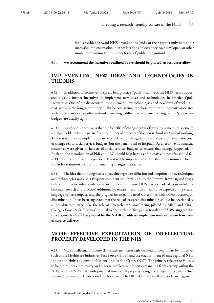fund set aside to reward NHS organisations (and / or their partner universities) for successful implementation in other locations of ideas they have developed, or other similar mechanisms (prizes, other forms of public recognition).

6.51 **We recommend the incentives outlined above should be piloted, as resources allow.**

## **IMPLEMENTING NEW IDEAS AND TECHNOLOGIES IN THE NHS**

6.52 In addition to incentives to spread best practice ('push' incentives), the NHS needs support and possibly further incentives to implement new ideas and technologies in practice ('pull' incentives). One of the disincentives to implement new technologies and new ways of working is that, while in the longer-term they might be cost-saving, the short-term transition costs associated with implementation are often unfunded, making it difficult to implement change in the NHS where budgets are usually tight.

6.53 Another disincentive is that the benefits of changed ways of working sometimes accrue to a budget holder who is separate from the funder of the costs of the new technology / way of working. This was seen, for example, in the issue of delayed discharge from secondary care, where the costs of change fell to social services budgets, but the benefits fell to hospitals. As a result, extra financial incentives were given to holders of social services budgets to ensure that change happened. In England, the introduction of PbR and PBC should help here, as both costs and benefits should fall to PCTs and commissioning practices. But it will be important to ensure that mechanisms are found to resolve transition costs of implementing changes to practice.

6.54 The idea that funding needs to pay due regard to diffusion and adoption of new techniques and technologies was also a frequent comment in submissions to the Review. It was argued that a lack of funding to embed evidenced-based interventions into NHS practice had led to an imbalance between research and practice. Additionally, research results also need to be expressed in a clearer language to have impact, and the original investigators need closer links with others focussed on dissemination. It has been suggested that the role of 'research disseminator' should be developed as a specialist role, rather like the role of 'research translators' being piloted by MRC and King's College / Guy's & St. Thomas' hospital to deal with the 'first gap in translation'23. **We suggest that this approach should be piloted by the NIHR to address implementation of research in areas of service delivery**.

## **MORE EFFECTIVE EXPLOITATION OF INTELLECTUAL PROPERTY DEVELOPED IN THE NHS**

6.55 NHS Intellectual Property (IP) issues are increasingly debated, driven in part by initiatives such as the Healthcare Industries Task Force (HITF) and the establishment of nine regional NHS Innovation Hubs and now the National Innovation Centre (NIC). The primary role of the Hubs is to help turn ideas into reality and manage intellectual property emanating from activity within the NHS, with all NHS staff with potential intellectual property being encouraged to go, in the first instance, to their local Innovation Hub for advice. The NIC takes the overall lead for IP management

 $23$  This is discussed in more detail in Chapter 7, below.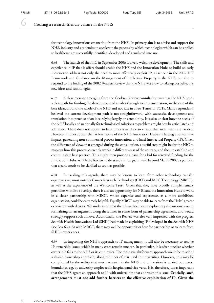for technology innovations emanating from the NHS. Its primary aim is to advise and support the NHS, industry and academics to accelerate the process by which technologies which can be applied to healthcare are successfully identified, developed and translated into use.

6.56 The launch of the NIC in September 2006 is a very welcome development. The skills and experience in IP that it offers should enable the NHS and the Innovation Hubs to build on early successes to address not only the need to more effectively exploit IP, as set out in the 2002 DH Framework and Guidance on the Management of Intellectual Property in the NHS, but also to respond to the finding of the 2002 Wanless Review that the NHS was slow to take up cost-effective new ideas and technologies.

6.57 A clear message emerging from the Cooksey Review consultation was that the NHS needs a clear path for funding the development of an idea through to implementation, in the case of the best ideas, around the whole of the NHS and not just in a few Trusts or PCTs. Many respondents believed the current development path is not straightforward, with successful development and translation into practice of an idea relying largely on serendipity. It is also unclear how the needs of the NHS locally and nationally for technological solutions to problems might best be articulated and addressed. There does not appear to be a process in place to ensure that such needs are tackled. However, it does appear that at least some of the NHS Innovation Hubs are having a substantive impact, generating non-commercial process innovations and hard Intellectual Property (IP). Given the difference of views that emerged during the consultation, a useful step might be for the NIC to map out how this process currently works in different areas of the country, and then to establish and communicate best practice. This might then provide a basis for a bid for renewed funding for the Innovation Hubs, which the Review understands is not guaranteed beyond March 2007, a position that clearly needs to be clarified as soon as possible.

6.58 In tackling this agenda, there may be lessons to learn from other technology transfer organisations, most notably Cancer Research Technology (CRT) and MRC Technology (MRCT), as well as the experience of the Wellcome Trust. Given that they have broadly complementary portfolios with little overlap, there is also an opportunity for NIC and the Innovation Hubs to work in a closer partnership with MRCT, whose expertise and experience, as a more established organisation, could be extremely helpful. Equally MRCT may be able to learn from the Hubs' greater experience with devices. We understand that there have been some exploratory discussions around formalising an arrangement along these lines in some form of partnership agreement, and would strongly support such a move. Additionally, the Review was also very impressed with the progress Scottish Health Innovations Ltd (SHIL) had made in exploiting IP developed in the Scottish NHS (see Box 6.2). As with MRCT, there may well be opportunities here for partnership or to learn from SHIL's experiences.

6.59 In improving the NHS's approach to IP management, it will also be necessary to resolve IP ownership issues, which in many cases remain unclear. In particular, it is often unclear whether ownership falls to the NHS or its employees. The most straightforward approach would be to adopt a shared ownership approach, along the lines of that used in universities. However, this may be complicated by the reality that much research in the NHS and universities is carried out across boundaries, e.g. by university employees in hospitals and vice-versa. It is, therefore, just as important that the NHS agrees an approach to IP with universities that addresses this issue. **Crucially, such arrangements must not add further barriers to the effective exploitation of IP. Given the**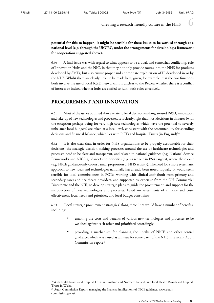## **potential for this to happen, it might be sensible for these issues to be worked through at a national level (e.g. through the UKCRC, under the arrangements for developing a framework for cooperation suggested above).**

6.60 A final issue was with regard to what appears to be a dual, and somewhat conflicting, role of Innovation Hubs and the NIC, in that they not only provide routes into the NHS for products developed by SMEs, but also ensure proper and appropriate exploitation of IP developed in or by the NHS. Whilst there are clearly links to be made here, given, for example, that the two functions both involve the use of local R&D networks, it is unclear to the Review whether there is a conflict of interest or indeed whether hubs are staffed to fulfil both roles effectively.

## **PROCUREMENT AND INNOVATION**

6.61 Most of the issues outlined above relate to local decision-making around R&D, innovation and take-up of new technologies and processes. It is clearly right that most decisions in this area (with the exception perhaps being for very high-cost technologies which have the potential to severely unbalance local budgets) are taken at a local level, consistent with the accountability for spending decisions and financial balance, which lies with PCTs and hospital Trusts (in England)<sup>24</sup>.

6.62 It is also clear that, in order for NHS organisations to be properly accountable for their decisions, the strategic decision-making processes around the use of healthcare technologies and processes need to be clear and transparent, and related to national guidance (e.g. National Service Frameworks and NICE guidance) and priorities (e.g. as set out in PSA targets), where these exist (e.g. NICE guidance only covers a small proportion of NHS activity). The need for a more systematic approach to new ideas and technologies nationally has already been noted. Equally, it would seem sensible for local commissioners in PCTs, working with clinical staff (both from primary and secondary care) and healthcare providers, and supported by expertise from the DH Commercial Directorate and the NIII, to develop strategic plans to guide the procurement, and support for the introduction of new technologies and processes, based on assessments of clinical- and costeffectiveness, local needs and priorities, and local budget constraints.

6.63 'Local strategic procurement strategies' along these lines would have a number of benefits, including:

- enabling the costs and benefits of various new technologies and processes to be weighed against each other and prioritised accordingly;
- providing a mechanism for planning the uptake of NICE and other central guidance, which was raised as an issue for some parts of the NHS in a recent Audit Commission report<sup>25</sup>;

<sup>&</sup>lt;sup>24</sup>With health boards and hospital Trusts in Scotland and Northern Ireland, and local Health Boards and hospital Trusts in Wales.

<sup>&</sup>lt;sup>25</sup> Audit Commission Report: managing the financial implications of NICE guidance. www.auditcommission.gov.uk.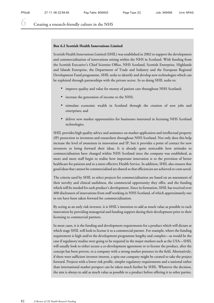#### **Box 6.2 Scottish Health Innovations Limited**

Scottish Health Innovations Limited (SHIL) was established in 2002 to support the development and commercialisation of innovations arising within the NHS in Scotland. With funding from the Scottish Executive's Chief Scientist Office, NHS Scotland, Scottish Enterprise, Highlands and Islands Enterprise, the Department of Trade and Industry and the European Regional Development Fund programme, SHIL seeks to identify and develop new technologies which can be exploited through partnerships with the private sector. In so doing SHIL seeks to:

- improve quality and value for money of patient care throughout NHS Scotland;
- increase the generation of income to the NHS;
- stimulate economic wealth in Scotland through the creation of new jobs and enterprises; and
- deliver new market opportunities for businesses interested in licensing NHS Scotland technologies.

SHIL provides high quality advice and assistance on market application and intellectual property (IP) protection to inventors and researchers throughout NHS Scotland. Not only does this help increase the level of awareness in innovation and IP, but it provides a point of contact for new inventors to bring forward their ideas. It is already quite noticeable how attitudes to commercialisation have changed within NHS Scotland since the company was established, as more and more staff begin to realise how important innovation is to the provision of better healthcare for patients and to a more effective Health Service. In addition, SHIL also ensures that good ideas that cannot be commercialised are shared so that efficiencies are achieved or costs saved.

The criteria used by SHIL to select projects for commercialisation are based on an assessment of their novelty and clinical usefulness, the commercial opportunity they offer, and the funding which will be needed for each product's development. Since its formation, SHIL has received over 400 disclosures of innovations from staff working in NHS Scotland, of which approximately one in ten have been taken forward for commercialisation.

By acting as an early risk investor, it is SHIL's intention to add as much value as possible to each innovation by providing managerial and funding support during their development prior to their licensing to commercial partners.

In most cases, it is the funding and development requirements for a product which will dictate at which stage SHIL will look to license it to a commercial partner. For example, where the funding requirement is high and/or the development programme lengthy and complex—as would be the case if regulatory studies were going to be required in the major markets such as the USA—SHIL will usually look to either secure a co-development agreement or to license the product, after the concept has been proven, to a company with a strong market presence in the field. Alternatively, if there were sufficient investor interest, a spin-out company might be created to take the project forward. Projects with a lower risk profile, simpler regulatory requirements and a national rather than international market prospect can be taken much further by SHIL. Whatever the decision, the aim is always to add as much value as possible to a product before offering it to other parties.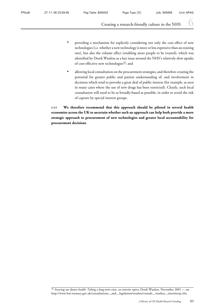- providing a mechanism for explicitly considering not only the cost effect of new technologies (i.e. whether a new technology is more or less expensive than an existing one), but also the volume effect (enabling more people to be treated), which was identified by Derek Wanless as a key issue around the NHS's relatively slow uptake of cost-effective new technologies<sup>26</sup>; and
- allowing local consultation on the procurement strategies, and therefore creating the potential for greater public and patient understanding of, and involvement in decisions which tend to provoke a great deal of public interest (for example, as seen in many cases where the use of new drugs has been restricted). Clearly, such local consultation will need to be as broadly-based as possible, in order to avoid the risk of capture by special interest groups.

6.64 **We therefore recommend that this approach should be piloted in several health economies across the UK to ascertain whether such an approach can help both provide a more strategic approach to procurement of new technologies and greater local accountability for procurement decisions**.

<sup>&</sup>lt;sup>26</sup> Securing our future health: Taking a long-term view, an interim report, Derek Wanless, November 2001 — see http://www.hm-treasury.gov.uk/consultations—and—legislation/wanless/consult—wanless—interimrep.cfm.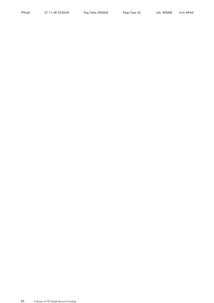PPSysB 27-11-06 22:59:45 Pag Table: B00003 Page Type [E] Job: 349456 Unit: 6PAG

84 *A Review of UK Health Research Funding*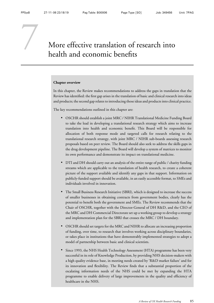#### **Chapter overview**

In this chapter, the Review makes recommendations to address the gaps in translation that the Review has identified: the first gap arises in the translation of basic and clinical research into ideas and products; the second gap relates to introducing those ideas and products into clinical practice.

The key recommendations outlined in this chapter are:

- OSCHR should establish a joint MRC / NIHR Translational Medicine Funding Board to take the lead in developing a translational research strategy which aims to increase translation into health and economic benefit. This Board will be responsible for allocation of both response mode and targeted calls for research relating to the translational research strategy, with joint MRC / NIHR sub-boards assessing research proposals based on peer review. The Board should also seek to address the skills gaps in the drug development pipeline. The Board will develop a system of matrices to monitor its own performance and demonstrate its impact on translational medicine.
- DTI and DH should carry out an analysis of the entire range of public / charity funding streams which are applicable to the translation of health research, to create a coherent picture of the support available and identify any gaps in that support. Information on publicly-funded support should be available, in an easily accessible format, to SMEs and individuals involved in innovation.
- The Small Business Research Initiative (SBRI), which is designed to increase the success of smaller businesses in obtaining contracts from government bodies, clearly has the potential to benefit both the government and SMEs. The Review recommends that the Chair of OSCHR, together with the Director-General of DH R&D, and the CEO of the MRC and DH Commercial Directorate set up a working group to develop a strategy and implementation plan for the SBRI that crosses the MRC / DH boundary.
- OSCHR should set targets for the MRC and NIHR to allocate an increasing proportion of funding, over time, to research that involves working across disciplinary boundaries, or takes place in institutions that have demonstrably implemented strategies to adopt a model of partnership between basic and clinical scientists.
- Since 1993, the NHS Health Technology Assessment (HTA) programme has been very successful in its role of Knowledge Production, by providing NHS decision-makers with a high quality evidence base, in meeting needs created by 'R&D market failure' and for its innovation and flexibility. The Review finds that a substantial proportion of the escalating information needs of the NHS could be met by expanding the HTA programme to enable delivery of large improvements in the quality and efficiency of healthcare in the NHS.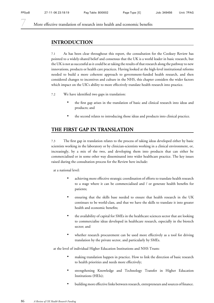## **INTRODUCTION**

7.1 As has been clear throughout this report, the consultation for the Cooksey Review has pointed to a widely-shared belief and consensus that the UK is a world leader in basic research, but the UK is not as successful as it could be at taking the results of that research along the pathway to new innovations, products or health care practices. Having looked at the high-level institutional reforms needed to build a more coherent approach to government-funded health research, and then considered changes to incentives and culture in the NHS, this chapter considers the wider factors which impact on the UK's ability to more effectively translate health research into practice.

- 7.2 We have identified two gaps in translation:
	- the first gap arises in the translation of basic and clinical research into ideas and products; and
	- the second relates to introducing those ideas and products into clinical practice.

## **THE FIRST GAP IN TRANSLATION**

7.3 The first gap in translation relates to the process of taking ideas developed either by basic scientists working in the laboratory or by clinician-scientists working in a clinical environment, or, increasingly, by a mix of the two, and developing them into products that can either be commercialised or in some other way disseminated into wider healthcare practice. The key issues raised during the consultation process for the Review here include:

at a national level:

- achieving more effective strategic coordination of efforts to translate health research to a stage where it can be commercialised and / or generate health benefits for patients;
- ensuring that the skills base needed to ensure that health research in the UK continues to be world-class, and that we have the skills to translate it into greater health and economic benefits;
- the availability of capital for SMEs in the healthcare sciences sector that are looking to commercialise ideas developed in healthcare research, especially in the biotech sector; and
- whether research procurement can be used more effectively as a tool for driving translation by the private sector, and particularly by SMEs.

at the level of individual Higher Education Institutions and NHS Trusts:

- making translation happen in practice. How to link the direction of basic research to health priorities and needs more effectively;
- strengthening Knowledge and Technology Transfer in Higher Education Institutions (HEIs);
- building more effective links between research, entrepreneurs and sources of finance.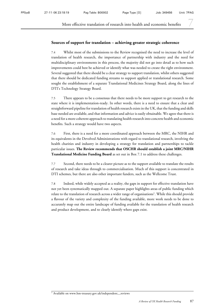#### **Sources of support for translation – achieving greater strategic coherence**

7.4 Whilst most of the submissions to the Review recognised the need to increase the level of translation of health research, the importance of partnership with industry and the need for multidisciplinary environments in this process, the majority did not go into detail as to how such improvements could best be achieved or identify what was needed to create the right environment. Several suggested that there should be a clear strategy to support translation, whilst others suggested that there should be dedicated funding streams to support applied or translational research. Some sought the establishment of a separate Translational Medicines Strategy Board, along the lines of DTI's Technology Strategy Board.

7.5 There appears to be a consensus that there needs to be more support to get research to the state where it is implementation-ready. In other words, there is a need to ensure that a clear and straightforward pipeline for translation of health research exists in the UK, that the funding and skills base needed are available, and that information and advice is easily obtainable. We agree that there is a need for a more coherent approach to translating health research into concrete health and economic benefits. Such a strategy would have two aspects.

7.6 First, there is a need for a more coordinated approach between the MRC, the NIHR and its equivalents in the Devolved Administrations with regard to translational research, involving the health charities and industry in developing a strategy for translation and partnerships to tackle particular issues. **The Review recommends that OSCHR should establish a joint MRC/NIHR Translational Medicine Funding Board** as set out in Box 7.1 to address these challenges.

7.7 Second, there needs to be a clearer picture as to the support available to translate the results of research and take ideas through to commercialisation. Much of this support is concentrated in DTI schemes, but there are also other important funders, such as the Wellcome Trust.

7.8 Indeed, while widely accepted as a reality, the gaps in support for effective translation have not yet been systematically mapped out. A separate paper highlights areas of public funding which relate to the translation of research across a wider range of organisations<sup>1</sup>. While this should provide a flavour of the variety and complexity of the funding available, more work needs to be done to accurately map out the entire landscape of funding available for the translation of health research and product development, and to clearly identify where gaps exist.

<sup>1</sup> Available on www.hm-treasury.gov.uk/independent—reviews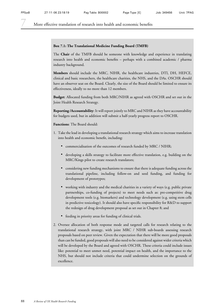#### **Box 7.1: The Translational Medicine Funding Board (TMFB)**

The **Chair** of the TMFB should be someone with knowledge and experience in translating research into health and economic benefits – perhaps with a combined academic / pharma industry background.

**Members** should include the MRC, NIHR, the healthcare industries, DTI, DH, HEFCE, clinical and basic researchers, the healthcare charities, the NHS, and the DAs. OSCHR should have an observer seat on the Board. Clearly, the size of the Board should be limited to ensure its effectiveness, ideally to no more than 12 members.

**Budget**: Allocated funding from both MRC/NIHR as agreed with OSCHR and set out in the Joint Health Research Strategy.

**Reporting /Accountability**: It will report jointly to MRC and NIHR as they have accountability for budgets used, but in addition will submit a half-yearly progress report to OSCHR.

**Functions**: The Board should:

- 1. Take the lead in developing a translational research strategy which aims to increase translation into health and economic benefit, including:
	- commercialisation of the outcomes of research funded by MRC / NIHR;
	- developing a skills strategy to facilitate more effective translation, e.g. building on the MRC/Kings pilot to create research translators;
	- considering new funding mechanisms to ensure that there is adequate funding across the translational pipeline, including follow-on and seed funding, and funding for development of prototypes;
	- working with industry and the medical charities in a variety of ways (e.g. public private partnerships, co-funding of projects) to meet needs such as: pre-competitive drug development tools (e.g. biomarkers) and technology development (e.g. using stem cells in predictive toxicology). It should also have specific responsibility for R&D to support the redesign of drug development proposal as set out in Chapter 8; and
	- feeding in priority areas for funding of clinical trials.
- 2. Oversee allocation of both response mode and targeted calls for research relating to the translational research strategy, with joint MRC / NIHR sub-boards assessing research proposals based on peer review. Given the expectation that there will be more good proposals than can be funded, good proposals will also need to be considered against wider criteria which will be developed by the Board and agreed with OSCHR. These criteria could include issues like: potential to meet unmet need, potential impact on health, and the importance to the NHS, but should not include criteria that could undermine selection on the grounds of excellence.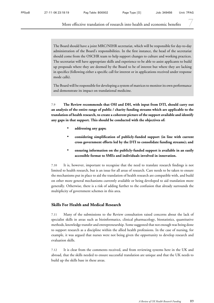The Board should have a joint MRC/NIHR secretariat, which will be responsible for day-to-day administration of the Board's responsibilities. In the first instance, the head of the secretariat should come from the OSCHR team to help support changes to culture and working practices. The secretariat will have appropriate skills and experience to be able to assist applicants to build up proposals where they are deemed by the Board to be of interest but where they are lacking in specifics (following either a specific call for interest or in applications received under response mode calls).

The Board will be responsible for developing a system of matrices to monitor its own performance and demonstrate its impact on translational medicine.

7.9 **The Review recommends that OSI and DH, with input from DTI, should carry out an analysis of the entire range of public / charity funding streams which are applicable to the translation of health research, to create a coherent picture of the support available and identify any gaps in that support. This should be conducted with the objectives of:**

- **addressing any gaps;**
- **considering simplification of publicly-funded support (in line with current cross government efforts led by the DTI to consolidate funding streams); and**
- ensuring information on the publicly-funded support is available in an easily **accessible format to SMEs and individuals involved in innovation.**

7.10 It is, however, important to recognise that the need to translate research findings is not limited to health research, but is an issue for all areas of research. Care needs to be taken to ensure the mechanisms put in place to aid the translation of health research are compatible with, and build on other more general mechanisms currently available or being developed to aid translation more generally. Otherwise, there is a risk of adding further to the confusion that already surrounds the multiplicity of government schemes in this area.

## **Skills For Health and Medical Research**

7.11 Many of the submissions to the Review consultation raised concerns about the lack of specialist skills in areas such as bioinformatics, clinical pharmacology, biostatistics, quantitative methods, knowledge transfer and entrepreneurship. Some suggested that not enough was being done to support research as a discipline within the allied health professions. In the case of nursing, for example, it was argued that nurses were not being given the opportunity to develop research and evaluation skills.

7.12 It is clear from the comments received, and from reviewing systems here in the UK and abroad, that the skills needed to ensure successful translation are unique and that the UK needs to build up the skills base in these areas.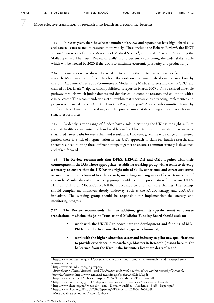7.13 In recent years, there have been a number of reviews and reports that have highlighted skills and careers issues related to research more widely. These include the Roberts Review<sup>2</sup>, the BIGT Report<sup>3</sup>, two reports from the Academy of Medical Science<sup>4</sup>, and the ABPI report, Sustaining the Skills Pipeline<sup>5</sup>. The Leitch Review of Skills<sup>6</sup> is also currently considering the wider skills profile which will be needed by 2020 if the UK is to maximise economic prosperity and productivity.

7.14 Some action has already been taken to address the particular skills issues facing health research. Most important of these has been the work on academic medical careers carried out by the joint Academic Careers Sub-Committee of Modernising Medical Careers and the UKCRC, and chaired by Dr. Mark Walport, which published its report in March 20057. This described a flexible pathway through which junior doctors and dentists could combine research and education with a clinical career. The recommendations set out within that report are currently being implemented and progress is discussed in the UKCRC's Two Year Progress Report8. Another subcommittee chaired by Professor Janet Finch is undertaking a similar process aimed at developing clinical research career structures for nurses.

7.15 Evidently, a wide range of funders have a role in ensuring the UK has the right skills to translate health research into health and wealth benefits. This extends to ensuring that there are wellstructured career paths for researchers and translators. However, given the wide range of interested parties, there is a risk of fragmentation in the UK's approach to skills for health research, and therefore a need to bring these different groups together to ensure a common strategy is developed and taken forward.

7.16 **The Review recommends that DFES, HEFCE, DH and OSI, together with their counterparts in the DAs where appropriate, establish a working group with a remit to develop a strategy to ensure that the UK has the right mix of skills, experience and career structures across the whole spectrum of health research, including ensuring more effective translation of research**. Membership of this working group should include representation from across DFES, HEFCE, DH, OSI, MRC/RCUK, NIHR, UUK, industry and healthcare charities. The strategy should complement initiatives already underway, such as the RCUK strategy and UKCRC's initiatives. The working group should be responsible for implementing the strategy and monitoring progress.

7.17 **The Review recommends that, in addition, given its specific remit to oversee translational medicine, the joint Translational Medicine Funding Board should seek to:**

- work with the UKCRC to coordinate the development and funding of MD-**PhDs in order to ensure that skills gaps are eliminated;**
- **work with the higher education sector and industry to pilot new qualifications to provide experience in research, e.g. Masters in Research (lessons here might** be learned from the Karolinska Institute's licentiate degrees<sup>9</sup>); and

 $\frac{1}{2}$  http://www.hm-treasury.gov.uk/documents/enterprise—and—productivity/research—and—enterprise/entres—roberts.cfm

<sup>3</sup> http://www.bioindustry.org/bigtreport/

<sup>4</sup> *Strengthening Clinical Research*, , and *The Freedom to Succeed: a review of non-clinical research fellows in the biomedical sciences*, http://www.acmedsci.ac.uk/images/project/AcdMedSc.pdf

<sup>5</sup> http://www.abpi.org.uk/publications/pdfs/2005-STEM-Ed-Skills-TF-Report.pdf

<sup>6</sup> http://www.hm-treasury.gov.uk/independent—reviews/leitch—review/review—leitch—index.cfm

<sup>7</sup> http://www.ukcrc.org/pdf/Medically—and—Dentally-qualified—Academic—Staff—Report.pdf

<sup>8</sup> http://www.ukcrc.org/PDF/UKCRC%20PR%202004–2006.pdf <sup>9</sup> More details are set out in Chapter 3, above.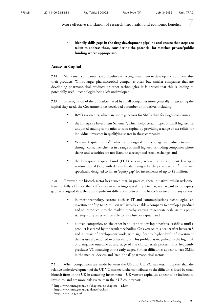identify skills gaps in the drug development pipeline and ensure that steps are **taken to address these, considering the potential for matched private/public funding where appropriate.**

#### **Access to Capital**

7.18 Many small companies face difficulties attracting investment to develop and commercialise their products. Whilst larger pharmaceutical companies often buy smaller companies that are developing pharmaceutical products or other technologies, it is argued that this is leading to potentially-useful technologies being left undeveloped.

7.19 In recognition of the difficulties faced by small companies more generally in attracting the capital they need, the Government has developed a number of initiatives including:

- R&D tax credits, which are more generous for SMEs than for larger companies;
- the Enterprise Investment Scheme<sup>10</sup>, which helps certain types of small higher-risk unquoted trading companies to raise capital by providing a range of tax reliefs for individual investors in qualifying shares in these companies.
- Venture Capital Trusts<sup>11</sup>, which are designed to encourage individuals to invest through collective schemes in a range of small higher-risk trading companies whose shares and securities are not listed on a recognised stock exchange; and
- the Enterprise Capital Fund (ECF) scheme, where the Government leverages venture capital (VC) with debt in funds managed by the private sector<sup>12</sup>. This was specifically designed to fill an 'equity gap' for investments of up to £2 million.

7.20 However, the biotech sector has argued that, in practice, these initiatives, whilst welcome, have not fully addressed their difficulties in attracting capital. In particular, with regard to the 'equity gap', it is argued that there are significant differences between the biotech sector and many others:

- in most technology sectors, such as IT and communications technologies, an investment of up to £4 million will usually enable a company to develop a product and to introduce it to the market, thereby starting to generate cash. At this point start-up companies will be able to raise further capital; and
- biotech companies, on the other hand, cannot develop a positive cashflow until a product is cleared by the regulatory bodies. On average, this occurs after between 8 and 11 years of development work, with significantly higher levels of investment than is usually required in other sectors. This problem is magnified by the high risk of a negative outcome at any stage of the clinical trials process. This frequently precludes VC financing at the early stages. Similar difficulties appear to face SMEs in the medical devices and 'traditional' pharmaceutical sectors.

7.21 When comparisons are made between the US and UK VC markets, it appears that the relative underdevelopment of the UK VC market further contributes to the difficulties faced by small biotech firms in the UK in attracting investment – UK venture capitalists appear to be inclined to invest less and are more risk-averse than their US counterparts.

 $10$  http://www.hmrc.gov.uk/eis/chapter1/eis-chapter1\_1.htm 11 http://www.hmrc.gov.uk/guidance/vct.htm

<sup>12</sup> http://www.sbs.gov.uk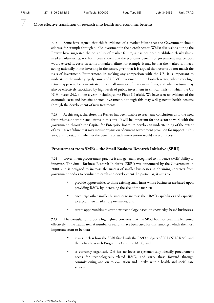7.22 Some have argued that this is evidence of a market failure that the Government should address, for example through public investment in the biotech sector. Whilst discussions during the Review have suggested the possibility of market failure, it has not been established clearly that a market failure exists, nor has it been shown that the economic benefits of government intervention would exceed its costs. In terms of market failure, for example, it may be that the market is, in fact, acting rationally in not investing in the sector, given that it is argued that returns do not match the risks of investment. Furthermore, in making any comparison with the US, it is important to understand the underlying dynamics of US VC investment in the biotech sector, where very high returns appear to be concentrated in a small number of investment firms, and where returns may also be effectively subsidised by high levels of public investment in clinical trials (in which the US NIH invests \$4.2 billion a year, including some Phase III trials). We have seen no evidence of the economic costs and benefits of such investment, although this may well generate health benefits through the development of new treatments.

7.23 At this stage, therefore, the Review has been unable to reach any conclusions as to the need for further support for small firms in this area. It will be important for the sector to work with the government, through the Capital for Enterprise Board, to develop an understanding of the extent of any market failure that may require expansion of current government provision for support in this area, and to establish whether the benefits of such intervention would exceed its costs.

### **Procurement from SMEs – the Small Business Research Initiative (SBRI)**

7.24 Government procurement practice is also generally recognised to influence SMEs' ability to innovate. The Small Business Research Initiative (SBRI) was announced by the Government in 2000, and is designed to increase the success of smaller businesses in obtaining contracts from government bodies to conduct research and development. In particular, it aims to:

- provide opportunities to those existing small firms whose businesses are based upon providing R&D, by increasing the size of the market;
- encourage other smaller businesses to increase their R&D capabilities and capacity, to exploit new market opportunities; and
- create opportunities to start new technology-based or knowledge-based businesses.

7.25 The consultation process highlighted concerns that the SBRI had not been implemented effectively in the health area. A number of reasons have been cited for this, amongst which the most important seem to be that:

- it was unclear how the SBRI fitted with the R&D budgets of DH (NHS R&D and the Policy Research Programme) and the MRC; and
- as currently organised, DH has no locus to systematically identify procurement needs for technologically-related R&D, and carry these forward through commissioning and on to evaluation and uptake within health and social care services.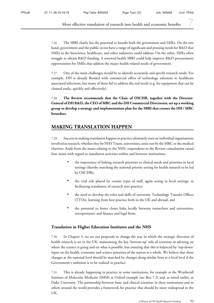7.26 The SBRI clearly has the potential to benefit both the government and SMEs. On the one hand, government and the public sector have a range of significant and pressing needs for R&D that SMEs in the bioscience, healthcare, and other industries could address. On the other, SMEs often struggle to obtain R&D funding. A renewed health SBRI could help improve R&D procurement opportunities for SMEs that address the major health-related needs of government.

7.27 One of the main challenges would be to identify accurately and specify research needs. For example, DH is already flooded with commercial offers of technology solutions to healthcare associated infections, but many of these fail to address the real needs (e.g. for equipment that can be cleaned easily, quickly and effectively).

7.28 **The Review recommends that the Chair of OSCHR, together with the Director-General of DH R&D, the CEO of MRC and the DH Commercial Directorate, set up a working group to develop a strategy and implementation plan for the SBRI that crosses the DH / MRC boundary**.

## **MAKING TRANSLATION HAPPEN**

7.29 Success in making translation happen in practice ultimately rests on individual organisations involved in research, whether they be NHS Trusts, universities, units run by the MRC or the medical charities. Aside from the issues relating to the NHS, respondents to the Review consultation raised four issues with regard to translation activities within and between institutions:

- the importance of linking research priorities to clinical needs and priorities in local settings (thereby matching the national priority setting for health research to be led by OSCHR);
- the vital role played by certain types of staff, again acting in local settings, in facilitating translation of research into practice;
- the need to develop the roles and skills of university Technology Transfer Offices (TTOs), learning from best practice both in the UK and abroad; and
- the potential to foster closer links locally between researchers and universities, entrepreneurs, and finance and legal firms.

#### **Translation in Higher Education Institutes and the NHS**

7.30 In Chapter 5, we set out proposals to change the way in which the strategic direction of health research is set in the UK, maintaining the key 'bottom-up' role of scientists in advising on where the science is going and on what is possible, but ensuring that this is balanced by 'top-down' input on the health, economic and science priorities of the nation as a whole. We believe that these changes at the national level should be matched by changes along similar lines at a local level if the Government's ambition is to be realised in practice.

7.31 This is already happening in practice in some institutions, for example at the Weatherall Institute of Molecular Medicine (IMM) at Oxford example (see Box 7.2) and, as noted earlier, at Duke University. The partnership between basic and clinical scientists in these institutions and in others around the world provides a framework for practice that should be more widespread in the UK.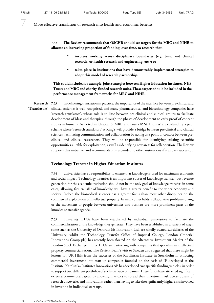7.32 **The Review recommends that OSCHR should set targets for the MRC and NIHR to allocate an increasing proportion of funding, over time, to research that:**

- involves working across disciplinary boundaries (e.g. basic and clinical **research, or health research and engineering, etc.); or**
- takes place in institutions that have demonstrably implemented strategies to **adopt this model of research partnership.**

**This could include, for example, joint strategies between Higher Education Institutes, NHS Trusts and MRC and charity-funded research units. These targets should be included in the performance management frameworks for MRC and NIHR.**

**Research** 7.33 In delivering translation in practice, the importance of the interface between pre-clinical and **'Translators'** clinical activities is well-recognised, and many pharmaceutical and biotechnology companies have 'research translators', whose role is to liase between pre-clinical and clinical groups to facilitate development of ideas and therapies, through the phases of development to early proof-of concept studies in humans. As noted in Chapter 6, MRC and Guy's & St Thomas' are co-funding a pilot scheme where 'research translators' at King's will provide a bridge between pre-clinical and clinical sciences, facilitating communication and collaboration by acting as a point of contact between preclinical and clinical researchers. They will be responsible for identifying existing scientific opportunities suitable for exploitation, as well as identifying new areas for collaboration. The Review supports this initiative, and recommends it is expanded to other institutions if it proves successful.

#### **Technology Transfer in Higher Education Institutes**

7.34 Universities have a responsibility to ensure that knowledge is used for maximum economic and social impact. Technology Transfer is an important subset of knowledge transfer, but revenue generation for the academic institution should not be the only goal of knowledge transfer: in some cases, allowing free transfer of knowledge will have a greater benefit to the wider economy and society. Indeed the biomedical sciences has a greater focus than most other disciplines on the commercial exploitation of intellectual property. In many other fields, collaborative problem-solving or the movement of people between universities and business are more prominent parts of the knowledge transfer agenda.

7.35 University TTOs have been established by individual universities to facilitate the commercialisation of the knowledge they generate. They have been established in a variety of ways: some such as the University of Oxford's Isis Innovation Ltd, are wholly-owned subsidiaries of the University; whilst the Technology Transfer Office of Imperial College, London (Imperial Innovations Group plc) has recently been floated on the Alternative Investment Market of the London Stock Exchange. Other TTOs are partnering with companies that specialise in intellectual property commercialisation. The Review Team's visit to Sweden also suggested that there might be lessons for UK HEIs from the successes of the Karolinska Institute in Stockholm in attracting commercial investment into start-up companies founded on the basis of IP developed at the Institute. Karolinska Institutet Innovations AB has developed two specific funding vehicles, in order to support two different portfolios of such start-up companies. These funds have attracted significant external commercial capital by allowing investors to spread their investment risk across dozens of research discoveries and innovations, rather than having to take the significantly higher risks involved in investing in individual start-ups.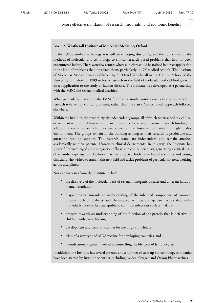#### **Box 7.2: Weatherall Institute of Molecular Medicine, Oxford**

In the 1980s, molecular biology was still an emerging discipline, and the application of the methods of molecular and cell biology to clinical research posed problems that had not been encountered before. There were few centres where clinicians could be trained in direct application to the kind of problems that interested them, particularly in UK medical schools. The Institute of Molecular Medicine was established by Sir David Weatherall in the Clinical School of the University of Oxford in 1989 to foster research in the field of molecular and cell biology with direct application to the study of human disease. The Institute was developed as a partnership with the MRC and several medical charities.

What particularly marks out the IMM from other similar institutions is that its approach to research is driven by clinical problems, rather than the classic 'curiosity-led' approach followed elsewhere.

Within the Institute, there are thirty-six independent groups, all of which are attached to a clinical department within the University and are responsible for raising their own research funding. In addition, there is a core administrative service at the Institute to maintain a high quality environment. The groups remain in the building as long as their research is productive and attracting funding support. The research teams are independent and remain attached academically to their parental University clinical departments. In this way, the Institute has successfully encouraged close integration of basic and clinical scientists, generating a critical mass of scientific expertise and facilities that has attracted both non-clinical scientists and young clinicians who wished to train in this new field and tackle problems of particular interest, working across disciplines.

Notable successes from the Institute include:

- the discovery of the molecular basis of several monogenic diseases and different kinds of mental retardation;
- major progress towards an understanding of the inherited components of common diseases such as diabetes and rheumatoid arthritis and genetic factors that make individuals more or less susceptible to common infections such as malaria;
- progress towards an understanding of the function of the protein that is defective in children with cystic fibrosis;
- development and trials of vaccines for meningitis in children;
- trials of a new type of AIDS vaccine for developing countries; and
- identification of genes involved in controlling the life span of lymphocytes.

In addition, the Institute has several patents, and a number of start-up biotechnology companies have been started by Institute scientists, including Avidex, Oxagen and Oxxon Pharmaccines.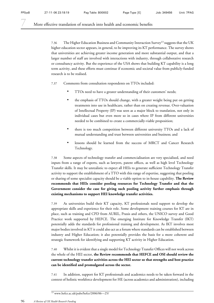7.36 The Higher Education Business and Community Interaction Survey<sup>13</sup> suggests that the UK higher education sector appears, in general, to be improving its KT performance. The survey shows that universities are achieving greater income generation and more substantial output, and that a larger number of staff are involved with interactions with industry, through collaborative research or consultancy activity. But the experience of the USA shows that building KT capability is a long term activity, and these efforts must continue if economic and societal value from publicly-funded research is to be realised.

- 7.37 Comments from consultation respondents on TTOs included:
	- TTOs need to have a greater understanding of their customers' needs;
	- the emphasis of TTOs should change, with a greater weight being put on getting treatments into use in healthcare, rather than on creating revenue. Over-valuation of Intellectual Property (IP) was seen as a major block to translation, not only in individual cases but even more so in cases where IP from different universities needed to be combined to create a commercially-viable proposition;
	- there is too much competition between different university TTOs and a lack of mutual understanding and trust between universities and business; and
	- lessons should be learned from the success of MRCT and Cancer Research Technology.

7.38 Some aspects of technology transfer and commercialisation are very specialised, and need inputs from a range of experts, such as lawyers, patent offices, as well as high level Technology Transfer skills. It may be unrealistic to expect all HEIs to generate sufficient Technology Transfer activity to support the establishment of a TTO with this range of expertise, suggesting that pooling or sharing of some specialist capacity should be a viable option to in-house capability. **The Review recommends that HEIs consider pooling resources for Technology Transfer and that the Government consider the case for giving such pooling activity further emphasis through existing mechanisms to support HEI knowledge transfer activities.**

7.39 As universities build their KT capacity, KT professionals need support to develop the appropriate skills and experience for their role. Some development training courses for KT are in place, such as training and CPD from AURIL, Praxis and others, the UNICO survey and Good Practice work supported by HEFCE. The emerging Institute for Knowledge Transfer (IKT) potentially adds the standards for professional training and development. As IKT involves most major bodies involved in KT it could also act as a forum where standards can be established between industry and Higher Education; it also potentially provides the basis for a more coherent and strategic framework for identifying and supporting KT activity in Higher Education.

7.40 Whilst it is evident that a single model for Technology Transfer Offices will not work across the whole of the HEI sector, **the Review recommends that HEFCE and OSI should review the current technology transfer activities across the HEI sector so that strengths and best practice can be identified and promulgated across the sector.**

7.41 In addition, support for KT professionals and academics needs to be taken forward in the context of holistic workforce development for HE (across academics and administration), including

<sup>13</sup> www.hefce.ac.uk/pubs/hefce/2006/06-25/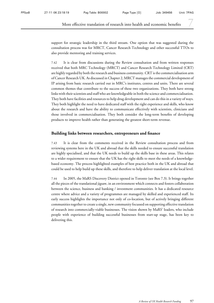support for strategic leadership in the third stream. One option that was suggested during the consultation process was for MRCT, Cancer Research Technology and other successful TTOs to also provide mentoring and training services.

7.42 It is clear from discussions during the Review consultation and from written responses received that both MRC Technology (MRCT) and Cancer Research Technology Limited (CRT) are highly regarded by both the research and business community. CRT is the commercialisation arm of Cancer Research UK. As discussed in Chapter 2, MRCT manages the commercial development of IP arising from basic research carried out in MRC's institutes, centres and units. There are several common themes that contribute to the success of these two organizations. They both have strong links with their scientists and staff who are knowledgeable in both the science and commercialisation. They both have facilities and resources to help drug development and can do this in a variety of ways. They both highlight the need to have dedicated staff with the right experience and skills, who know about the research and have the ability to communicate effectively with scientists, clinicians and those involved in commercialisation. They both consider the long-term benefits of developing products to improve health rather than generating the greatest short-term revenue.

#### **Building links between researchers, entrepreneurs and finance**

7.43 It is clear from the comments received in the Review consultation process and from reviewing systems here in the UK and abroad that the skills needed to ensure successful translation are highly specialised, and that the UK needs to build up the skills base in these areas. This relates to a wider requirement to ensure that the UK has the right skills to meet the needs of a knowledgebased economy. The process highlighted examples of best practice both in the UK and abroad that could be used to help build up these skills, and therefore to help deliver translation at the local level.

7.44 In 2005, the MaRS Discovery District opened in Toronto (see Box 7.3). It brings together all the pieces of the translational jigsaw, in an environment which connects and fosters collaboration between the science, business and banking / investment communities. It has a dedicated resource centre where advice and a variety of programmes are managed by skilled and experienced staff. Its early success highlights the importance not only of co-location, but of actively bringing different communities together to create a single, new community focussed on supporting effective translation of research into commercially-viable businesses. The vision shown by MaRS' leaders, who include people with experience of building successful businesses from start-up stage, has been key to delivering this.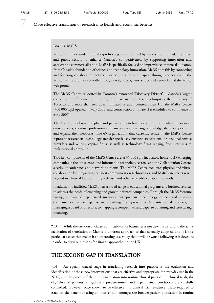#### **Box 7.3: MaRS**

MaRS is an independent, not-for-profit corporation formed by leaders from Canada's business and public sectors to enhance Canada's competitiveness by supporting innovation and accelerating commercialisation. MaRS is specifically focused on improving commercial outcomes from Canada's foundation of science and technology innovation. MaRS does this by connecting and fostering collaboration between science, business and capital through co-location in the MaRS Centre and more broadly through catalytic programs, structured networks and the MaRS web portal.

The MaRS Centre is located in Toronto's renowned 'Discovery District' – Canada's largest concentration of biomedical research, spread across major teaching hospitals, the University of Toronto, and more than two dozen affiliated research centres. Phase I of the MaRS Centre (700,000 sqft) opened in May 2005, and construction on Phase II is scheduled to commence in early 2007.

The MaRS model is to use place and partnerships to build a community in which innovators, entrepreneurs, scientists, professionals and investors can exchange knowledge, share best practices, and expand their networks. The 65 organizations that currently reside in the MaRS Centre represent researchers, technology transfer specialists, business associations, professional service providers and venture capital firms, as well as technology firms ranging from start-ups to multinational companies.

Two key components of the MaRS Centre are: a 35,000 sqft Incubator, home to 25 emerging companies in the life sciences and information technology sectors; and the Collaboration Centre, a series of conference and networking rooms. The MaRS Centre facilitates physical and virtual collaboration by integrating the latest communication technologies, and MaRS extends its reach beyond its physical location using webcasts and other accessible collaboration tools.

In addition to facilities, MaRS offers a broad range of educational programs and business services to address the needs of emerging and growth-oriented companies. Through the MaRS Venture Group, a team of experienced investors, entrepreneurs, technology experts and advisors, companies can access expertise in everything from protecting their intellectual property, to managing a board of directors, to mapping a competitive landscape, to obtaining and structuring financing.

7.45 While the creation of clusters or incubators of businesses is not new the vision and the active facilitation of translation at Mars is a different approach to that normally adopted, and it is this particular aspect that makes it an interesting case study that it will be worth following as it develops in order to draw out lessons for similar approaches in the UK.

### **THE SECOND GAP IN TRANSLATION**

7.46 An equally crucial stage in translating research into practice is the evaluation and identification of those new interventions that are effective and appropriate for everyday use in the NHS, and the process of their implementation into routine clinical practice. In clinical trials, the eligibility of patients is rigorously predetermined and experimental conditions are carefully controlled. However, once shown to be effective in a clinical trial, evidence is also required to establish the benefit of using an intervention amongst the broader patient population in routine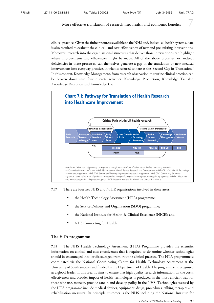clinical practice. Given the finite resources available to the NHS and, indeed, all health systems, data is also required to evaluate the clinical- and cost-effectiveness of new and pre-existing interventions. Moreover, research into the organisational structures that deliver those interventions can highlight where improvements and efficiencies might be made. All of the above processes, or, indeed, deficiencies in these processes, can themselves generate a gap in the translation of new medical interventions into everyday practice, in what is referred to here as the 'Second Gap in Translation.' In this context, Knowledge Management, from research observation to routine clinical practice, can be broken down into four discrete activities: Knowledge Production, Knowledge Transfer, Knowledge Reception and Knowledge Use.



7.47 There are four key NHS and NIHR organisations involved in these areas:

- the Health Technology Assessment (HTA) programme;
- the Service Delivery and Organisation (SDO) programme;
- the National Institute for Health & Clinical Excellence (NICE); and
- NHS Connecting for Health.

#### **The HTA programme**

7.48 The NHS Health Technology Assessment (HTA) Programme provides the scientific information on clinical and cost-effectiveness that is required to determine whether technologies should be encouraged into, or discouraged from, routine clinical practice. The HTA programme is coordinated via the National Coordinating Centre for Health Technology Assessment at the University of Southampton and funded by the Department of Health. The programme is recognised as a global leader in this area. It aims to ensure that high quality research information on the costs, effectiveness and broader impact of health technologies is produced in the most efficient way for those who use, manage, provide care in and develop policy in the NHS. Technologies assessed by the HTA programme include medical devices, equipment, drugs, procedures, talking therapies and rehabilitation measures. Its principle customer is the NHS including the National Institute for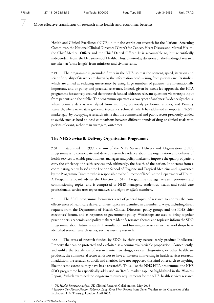Health and Clinical Excellence (NICE), but it also carries out research for the National Screening Committee, the National Clinical Directors ('Czars') for Cancer, Heart Disease and Mental Health, the Chief Medical Officer and the Chief Dental Officer. It is accountable to, but scientifically independent from, the Department of Health. Thus, day-to-day decisions on the funding of research are taken at 'arms-length' from ministers and civil servants.

7.49 The programme is grounded firmly in the NHS, so that the content, speed, iteration and scientific quality of its work are driven by the information needs arising from patient care. Its studies, which are aimed at reducing uncertainty by using large numbers of patients, are internationally important, and of policy and practical relevance. Indeed, given its needs-led approach, the HTA programme has actively ensured that research funded addresses relevant questions via strategic input from patients and the public. The programme operates via two types of analyses: Evidence Synthesis, where primary data is re-analysed from multiple, previously performed studies, and Primary Research, where new data is gathered, typically via clinical trials. It has addressed an important 'R&D market gap' by occupying a research niche that the commercial and public sector previously tended to avoid, such as head-to-head comparisons between different brands of drug or clinical trials with patient-relevant, rather than surrogate, outcomes.

#### **The NHS Service & Delivery Organisation Programme**

7.50 Established in 1999, the aim of the NHS Service Delivery and Organisation (SDO) Programme is to consolidate and develop research evidence about the organisation and delivery of health services to enable practitioners, managers and policy-makers to improve the quality of patient care, the efficiency of health services and, ultimately, the health of the nation. It operates from a coordinating centre based at the London School of Hygiene and Tropical Medicine and is governed by the Programme Director who is responsible to the Director of R&D at the Department of Health. A Programme Board advises the Director on SDO Programme strategy, research priorities and commissioning topics, and is comprised of NHS managers, academics, health and social care professionals, service user representatives and eight *ex-officio* members.

7.51 The SDO programme formulates a set of general topics of research to address the costeffectiveness of healthcare delivery. These topics are identified in a number of ways, including direct requests from the Department of Health Clinical Directors, policy groups and the NHS chief executives' forum, and as responses to government policy. Workshops are used to bring together practitioners, academics and policy makers to identify research themes and topics to inform the SDO Programme about future research. Consultation and listening exercises as well as workshops have identified several research issues, such as nursing research.

7.52 The areas of research funded by SDO, by their very nature, rarely produce Intellectual Property that can be protected and exploited as a commercially-viable proposition. Consequently, and unlike the translation of research into new drugs, devices, diagnostics, or other healthcare products, the commercial sector tends not to have an interest in investing in health services research. In addition, the research councils and charities have not supported this kind of research to anything like the same extent as they have basic research<sup>14</sup>. Thus, like the NHS HTA programme, the NHS SDO programme has specifically addressed an 'R&D market gap'. As highlighted in the Wanless Report,<sup>15</sup> which examined the long-term resource requirements for the NHS, health services research

<sup>14</sup> *UK Health Research Analysis*. UK Clinical Research Collaboration. May 2006

<sup>15</sup>*Securing Our Future Health: Taking A Long-Term View*. Report from Derek Wanless to the Chancellor of the Exchequer, HM Treasury, London. April 2002.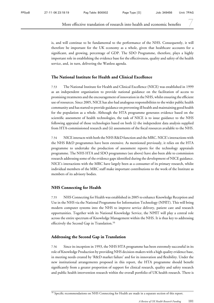is, and will continue to be fundamental to the performance of the NHS. Consequently, it will therefore be important for the UK economy as a whole, given that healthcare accounts for a significant, and growing, percentage of GDP. The SDO Programme, therefore, plays a highly important role in establishing the evidence base for the effectiveness, quality and safety of the health service, and, in turn, delivering the Wanless agenda.

#### **The National Institute for Health and Clinical Excellence**

7.53 The National Institute for Health and Clinical Excellence (NICE) was established in 1999 as an independent organisation to provide national guidance on the facilitation of access to promising treatments and the encouragement of innovation in the NHS, whilst ensuring the efficient use of resources. Since 2005, NICE has also had analogous responsibilities to the wider public health community and has started to provide guidance on preventing ill health and maintaining good health for the population as a whole. Although the HTA programme generates evidence based on the scientific assessment of health technologies, the task of NICE is to issue guidance to the NHS following appraisal of those technologies based on both (i) the independent data analysis supplied from HTA-commissioned research and (ii) assessments of the fiscal resources available to the NHS.

7.54 NICE interacts with both the NHS R&D function and the MRC. NICE's interactions with the NHS R&D programmes have been extensive. As mentioned previously, it relies on the HTA programme to undertake the production of assessment reports for the technology appraisals programme. The NHS HTA and SDO programmes (see above) have also been able to commission research addressing some of the evidence gaps identified during the development of NICE guidance. NICE's interactions with the MRC have largely been as a consumer of its primary research, whilst individual members of the MRC staff make important contributions to the work of the Institute as members of its advisory bodies.

#### **NHS Connecting for Health**

7.55 NHS Connecting for Health was established in 2005 to enhance Knowledge Reception and Use in the NHS via the National Programme for Information Technology (NPfIT). This will bring modern computer systems into the NHS to improve service delivery, patient care and research opportunities. Together with its National Knowledge Service, the NPfIT will play a central role across the entire spectrum of Knowledge Management within the NHS. It is thus key to addressing effectively the Second Gap in Translation.<sup>16</sup>

#### **Addressing the Second Gap in Translation**

7.56 Since its inception in 1993, the NHS HTA programme has been extremely successful in its role of Knowledge Production by providing NHS decision-makers with a high quality evidence base, in meeting needs created by 'R&D market failure' and for its innovation and flexibility. Under the new institutional arrangements proposed in this report, the HTA programme should benefit significantly from a greater proportion of support for clinical research, quality and safety research and public health intervention research within the overall portfolio of UK health research. There is

<sup>&</sup>lt;sup>16</sup> Specific recommendations on NHS Connecting for Health are made in a separate section of this report.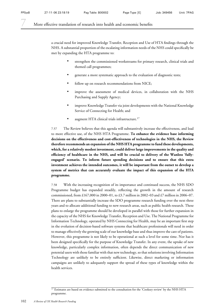a crucial need for improved Knowledge Transfer, Reception and Use of HTA findings through the NHS. A substantial proportion of the escalating information needs of the NHS could specifically be met by expanding the HTA programme to:

- strengthen the commissioned workstreams for primary research, clinical trials and themed call programmes;
- generate a more systematic approach to the evaluation of diagnostic tests;
- follow up on research recommendations from NICE;
- improve the assessment of medical devices, in collaboration with the NHS Purchasing and Supply Agency;
- improve Knowledge Transfer via joint developments with the National Knowledge Service of Connecting for Health; and
- augment HTA clinical trials infrastructure.<sup>17</sup>

7.57 The Review believes that this agenda will substantively increase the effectiveness, and lead to more effective use, of the NHS HTA Programme. **To enhance the evidence base informing decisions on the effectiveness and cost-effectiveness of technologies in the NHS, the Review therefore recommends an expansion of the NHS HTA programme to fund these developments, which, for a relatively modest investment, could deliver large improvements in the quality and efficiency of healthcare in the NHS, and will be crucial to delivery of the Wanless 'fullyengaged' scenario. To inform future spending decisions and to ensure that this extra investment achieves the intended outcomes, it will be important from the outset to develop a system of metrics that can accurately evaluate the impact of this expansion of the HTA programme.**

7.58 With the increasing recognition of its importance and continued success, the NHS SDO Programme budget has expanded steadily, reflecting the growth in the amount of research commissioned, from £167,000 in 2000–01, to £3.7 million in 2002–03 and £7 million in 2006–07. There are plans to substantially increase the SDO programme research funding over the next three years and to allocate additional funding to new research areas, such as public health research. These plans to enlarge the programme should be developed in parallel with those for further expansion in the capacity of the NHS for Knowledge Transfer, Reception and Use. The National Programme for Information Technology, operated by NHS Connecting for Health, may be an important first step in the evolution of decision-based software systems that healthcare professionals will need in order to manage effectively the growing scale of our knowledge base and thus improve the care of patients. However, this programme is not likely to be operational at such a level for some time. Nor has it been designed specifically for the purpose of Knowledge Transfer. In any event, the uptake of new knowledge, particularly complex information, often depends the direct communication of new potential users with those familiar with that new technology, so that solutions involving Information Technology are unlikely to be entirely sufficient. Likewise, direct marketing or information campaigns are unlikely to adequately support the spread of these types of knowledge within the health services.

<sup>&</sup>lt;sup>17</sup> Estimates are based on evidence submitted to the consultation for the 'Cooksey review' by the NHS HTA programme.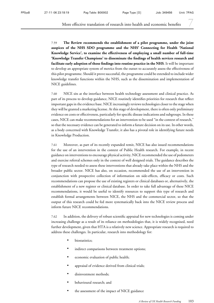#### More effective translation of research into health and economic benefits 7

7.59 **The Review recommends the establishment of a pilot programme, under the joint auspices of the NHS SDO programme and the NHS' Connecting for Health 'National Knowledge Service', to examine the effectiveness of employing a small number of full-time 'Knowledge Transfer Champions' to disseminate the findings of health services research and facilitate early adoption of those findings into routine practice in the NHS**. It will be important to develop an appropriate system of metrics from the outset to accurately assess the effectiveness of this pilot programme. Should it prove successful, the programme could be extended to include wider knowledge transfer functions within the NHS, such as the dissemination and implementation of NICE guidelines.

7.60 NICE sits at the interface between health technology assessment and clinical practice. As part of its process to develop guidance, NICE routinely identifies priorities for research that reflect important gaps in the evidence base. NICE increasingly reviews technologies closer to the stage when they will be granted a marketing license. At this stage of development, there is often only preliminary evidence on costs or effectiveness, particularly for specific disease indications and subgroups. In these cases, NICE can make recommendations for an intervention to be used "in the context of research," so that the necessary evidence can be generated to inform a future decision on its use. In other words, as a body concerned with Knowledge Transfer, it also has a pivotal role in identifying future needs in Knowledge Production.

7.61 Moreover, as part of its recently expanded remit, NICE has also issued recommendations for the use of an intervention in the context of Public Health research. For example, in recent guidance on interventions to encourage physical activity, NICE recommended the use of pedometers and exercise referral schemes only in the context of well designed trials. The guidance describes the type of research needed to assess these interventions that already take place within the NHS and the broader public sector. NICE has also, on occasion, recommended the use of an intervention in conjunction with prospective collection of information on side-effects, efficacy or costs. Such recommendations can propose the use of existing registers or clinical databases or, alternatively, the establishment of a new register or clinical database. In order to take full advantage of these NICE recommendations, it would be useful to identify resources to support this type of research and establish formal arrangements between NICE, the NHS and the commercial sector, so that the output of this research could be fed more systematically back into the NICE review process and inform future NICE recommendations.

7.62 In addition, the delivery of robust scientific appraisal for new technologies is coming under increasing challenge as a result of its reliance on methodologies that, it is widely recognised, need further development, given that HTA is a relatively new science. Appropriate research is required to address these challenges. In particular, research into methodology for:

- biostatistics;
- indirect comparisons between treatment options;
- economic evaluation of public health;
- appraisal of evidence derived from clinical trials;
- disinvestment methods;
- behavioural research; and
- the assessment of the impact of NICE guidance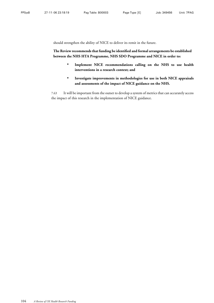should strengthen the ability of NICE to deliver its remit in the future.

**The Review recommends that funding be identified and formal arrangements be established between the NHS HTA Programme, NHS SDO Programme and NICE in order to:**

- **Implement NICE recommendations calling on the NHS to use health interventions in a research context; and**
- **Investigate improvements in methodologies for use in both NICE appraisals and assessments of the impact of NICE guidance on the NHS.**

7.63 It will be important from the outset to develop a system of metrics that can accurately access the impact of this research in the implementation of NICE guidance.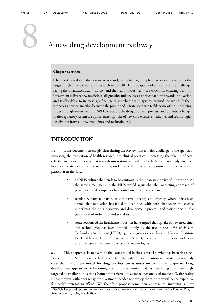#### **Chapter overview**

Chapter 4 noted that the private sector and, in particular, the pharmaceutical industry, is the largest single investor in health research in the UK. This Chapter looks at some of the challenges facing the pharmaceutical industry, and the health industries more widely, in ensuring that this investment delivers new medicines, diagnostics and devices at a price that both rewards innovation and is affordable to increasingly financially-stretched health systems around the world. It then proposes a new partnership between the public and private sectors to tackle some of the underlying issues through investment in R&D to support the drug discovery process, and potential changes to the regulatory system to support faster up-take of new cost-effective medicines and technologies (as distinct from all new medicines and technologies).

## **INTRODUCTION**

8.1 It has become increasingly clear during the Review that a major challenge to the agenda of increasing the translation of health research into clinical practice is increasing the take-up of costeffective medicines in a way that rewards innovation but is also affordable to increasingly stretched healthcare systems around the world. Respondents to the Review have pointed to three barriers in particular in the UK:

- an NHS culture that tends to be cautious, rather than supportive of innovation. At the same time, many in the NHS would argue that the marketing approach of pharmaceutical companies has contributed to this problem;
- regulatory barriers, particularly in terms of safety and efficacy, where it has been argued that regulation has failed to keep pace with both changes in the science underlying the drug discovery and development process, and patient and public perception of individual and social risk; and
- some sections of the healthcare industries have argued that uptake of new medicines and technologies has been limited unduly by the use in the NHS of Health Technology Assessment (HTA), e.g. by organisations such as the National Institute for Health and Clinical Excellence (NICE), to assess the clinical- and costeffectiveness of medicines, devices and technologies.

8.2 This chapter seeks to examine the issues raised in these areas, i.e. what has been described as the 'Critical Path to new medical products'1. Its underlying contention is that it is increasingly clear that the current model for drug development is unsustainable in the long-term. Drug development appears to be becoming ever more expensive, and, as new drugs are increasingly targeted at smaller populations (sometimes referred to as more 'personalised medicine'), the reality is that they will either not repay the investment needed to develop them, or they will be too expensive for health systems to afford. We therefore propose some new approaches, involving a 'new

<sup>&</sup>lt;sup>1</sup> See 'Challenge and opportunity on the critical path to new medical products: view from the US Food & Drug Administration', FDA, March 2004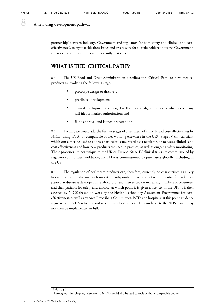partnership' between industry, Government and regulators (of both safety and clinical- and costeffectiveness), to try to tackle these issues and create wins for all stakeholders: industry, Government, the wider economy and, most importantly, patients.

### **WHAT IS THE 'CRITICAL PATH'?**

8.3 The US Food and Drug Administration describes the 'Critical Path' to new medical products as involving the following stages:

- prototype design or discovery;
- preclinical development;
- clinical development (i.e. Stage I III clinical trials), at the end of which a company will file for market authorisation; and
- filing approval and launch preparation.<sup>2</sup>

8.4 To this, we would add the further stages of assessment of clinical- and cost-effectiveness by NICE (using HTA) or comparable bodies working elsewhere in the  $UK<sup>3</sup>$ ; Stage IV clinical trials, which can either be used to address particular issues raised by a regulator, or to assess clinical- and cost-effectiveness and how new products are used in practice; as well as ongoing safety monitoring. These processes are not unique to the UK or Europe. Stage IV clinical trials are commissioned by regulatory authorities worldwide, and HTA is commissioned by purchasers globally, including in the US.

8.5 The regulation of healthcare products can, therefore, currently be characterised as a very linear process, but also one with uncertain end-points: a new product with potential for tackling a particular disease is developed in a laboratory; and then tested on increasing numbers of volunteers and then patients for safety and efficacy, at which point it is given a licence; in the UK, it is then assessed by NICE (based on work by the Health Technology Assessment Programme) for costeffectiveness, as well as by Area Prescribing Committees, PCTs and hospitals; at this point guidance is given to the NHS as to how and when it may best be used. This guidance to the NHS may or may not then be implemented in full.

 $\overline{2}$  Ibid., pg 4.

<sup>&</sup>lt;sup>3</sup> Throughout this chapter, references to NICE should also be read to include those comparable bodies.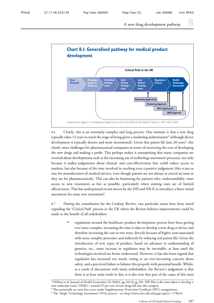

8.6 Clearly, this is an extremely complex and long process. One estimate is that a new drug typically takes 12 years to reach the stage of being given a marketing authorisation<sup>4</sup> (although device development is typically shorter and more incremental). Given that patent life lasts 20 years<sup>5</sup>, this clearly raises challenges for pharmaceutical companies in terms of recovering the cost of developing the new drugs and making a profit. This perhaps makes it unsurprising that many companies are worried about developments such as the increasing use of technology assessment processes, not only because it makes judgements about clinical- and cost-effectiveness that could reduce access to markets, but also because of the time involved in reaching even a positive judgement (this is just as true for manufacturers of medical devices, even though patents are not always as crucial an issue as they are for pharmaceuticals). This can also be frustrating for patients who, understandably, want access to new treatments as fast as possible, particularly when existing ones are of limited effectiveness. This has underpinned recent moves by the DH and NICE to introduce a faster initial assessment for some new treatments $6$ .

8.7 During the consultation for the Cooksey Review, two particular issues have been raised regarding the 'Critical Path' process in the UK where the Review believes improvements could be made to the benefit of all stakeholders:

> regulations around the healthcare product development process have been getting ever more complex, increasing the time it takes to develop a new drug or device and therefore increasing the cost in two ways: directly because of higher costs associated with more complex processes, and indirectly by reducing real patent life. Given the introduction of new types of product, based on advances in understanding of genetics, etc., some increase in regulation may be inevitable, at least until the technologies involved are better understood. However, it has also been argued that regulation has increased too much, owing to an ever-increasing concern about safety, and a perceived failure to balance this properly with potential benefit. Whilst, as a result of discussions with many stakeholders, the Review's judgement is that there is at least some truth in this, it is also true that part of the cause of this issue

 $4$  DiMasi et al, Journal of Health Economics 22 (2003), pg 164 & pg 181. NB This is the time taken to develop a new molecular entity (NME)—around 35 per cent of new drugs fall into this category.

<sup>5</sup> Plus potentially an extra four years under Supplementary Protection Certificate (SPC) arrangements

<sup>&</sup>lt;sup>6</sup> The 'Single Technology Assessment' (STA) process – see http://www.nice.nhs.uk/page.aspx?o = 278616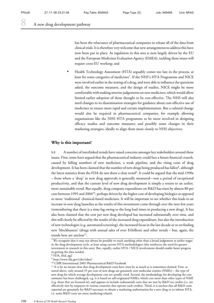has been the reluctance of pharmaceutical companies to release all of the data from clinical trials. It is therefore very welcome that new arrangements to address this have now been put in place. As regulation in this area is now largely driven by the EU and the European Medicines Evaluation Agency (EMEA), tackling these issues will require cross-EU working; and

Health Technology Assessment (HTA) arguably comes too late in the process, at least for some categories of medicines<sup>7</sup>. If the NHS's HTA Programme and NICE were involved earlier in the testing of a drug, and were able to influence the questions asked, the outcome measures, and the design of studies, NICE might be more comfortable with making interim judgements on new medicines, which would allow limited earlier adoption of those thought to be cost-effective. The NHS will also need changes to its dissemination strategies for guidance about cost-effective use of medicines to ensure more rapid and certain implementation. But a cultural change would also be required in pharmaceutical companies, for example allowing organisations like the NHS HTA programme to be more involved in designing efficacy studies and outcome measures; and possibly some changes in their marketing strategies, ideally to align them more closely to NHS objectives.

#### **Why is this important?**

8.8 A number of interlinked trends have raised concerns amongst key stakeholders around these issues. First, some have argued that the pharmaceutical industry could face a future financial crunch, caused by falling numbers of new medicines, a weak pipeline, and the rising costs of drug development. It has been claimed that the number of new drugs being produced has fallen<sup>8</sup>, although the latest statistics from the FDA do not show a clear trend9. It could be argued that the mid-1990s – from where a 'drop' in new drug approvals is generally measured—was a period of exceptional productivity, and that the current level of new drug development is simply a return to an earlier, more sustainable trend. But equally, drug company expenditure on R&D has risen by almost 80 per cent between 1995 and 2004<sup>10</sup>, perhaps driven by the higher cost of developing biologics as opposed to more 'traditional' chemical-based medicines. It will be important to see whether this leads to an increase in new drug launches as the results of this investment come through over the next few years (remembering that there is a time-lag owing to the long lead times in producing a new drug). It has also been claimed that the cost per new drug developed has increased substantially over time, and this will clearly be affected by the results of the increased drug expenditure, but also the introduction of new technologies (e.g. automated screening), the increased focus in the last decade or so on finding new 'blockbusters' (drugs with annual sales of over \$1billion) and other trends – but, again, the trends here are unclear<sup>11</sup>

 $\sqrt{7}$  We recognise that it may not always be possible to reach anything other than a broad judgement at earlier stages in the drug development cycle, at least using current HTA methodologies (this reinforces the need for greater investment in research in this area). But, equally, earlier HTA / NICE involvement should enable faster progress in getting the data needed.

<sup>8</sup> FDA, ibid, pg2

<sup>9</sup> http://www.fda.gov/cder/rdmt/

<sup>10</sup> CMR International 2005 Pharmaceutical R&D Factbook

<sup>&</sup>lt;sup>11</sup> It is by no means clear that drug development costs have risen by as much as is sometimes claimed. First, as noted above, only around 35 per cent of new drugs are genuinely new molecular entities (NMEs) – the type of new drug for which average development cost are usually cited. Second, the methodology for developing the cost estimates has been challenged, e.g. it is based on self-originated NMEs, which cost more than other types of NME (e.g. those that are licensed in), and appears to include (substantial) costs that are met by R&D tax credits (i.e. are effectively met by taxpayers in various countries that operate such credits). Third, it is unclear that all R&D costs reported are genuinely for R&D necessary to obtain a marketing authorisation for a new drug or to inform HTA, i.e. some R&D costs are more marketing-related.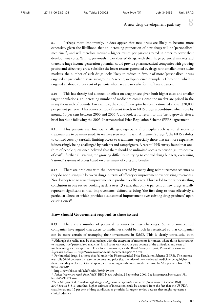8.9 Perhaps more importantly, it does appear that new drugs are likely to become more expensive, given the likelihood that an increasing proportion of new drugs will be 'personalised' medicine<sup>12</sup>, and will therefore require a higher return per patient treated in order to cover their development costs. Whilst, previously, 'blockbuster' drugs, with their huge potential markets and therefore huge income-generation potential, could provide pharmaceutical companies with growing profits and effectively cross-subsidise the lower returns generated by drugs with smaller, more niche markets, the number of such drugs looks likely to reduce in favour of more 'personalised' drugs targeted at particular disease sub-groups. A recent, well-publicised example is Herceptin, which is targeted at about 20 per cent of patients who have a particular form of breast cancer.

8.10 This has already had a knock-on effect on drug prices: given both higher costs and smaller target populations, an increasing number of medicines coming onto the market are priced in the many thousands of pounds. For example, the cost of Herceptin has been estimated at over £20,000 per patient per year. This comes on top of recent trends in NHS drugs expenditure, which rose by around 50 per cent between 2000 and 2005<sup>13</sup>, and look set to return to this 'trend growth' after a brief interlude following the 2005 Pharmaceutical Price Regulation Scheme (PPRS) agreement.

8.11 This presents real financial challenges, especially if principles such as equal access to treatment are to be maintained. As we have seen recently with Alzheimer's drugs<sup>14</sup>, the NHS's ability to control costs by carefully limiting access to treatments, especially those that are more expensive, is increasingly being challenged by patients and campaigners. A recent IPPR survey found that onethird of people questioned believed that there should be unlimited access to new drugs irrespective of  $cost^{15}$ , further illustrating the growing difficulty in trying to control drugs budgets, even using 'rational' systems of access based on assessment of costs and benefits.

8.12 There are problems with the incentives created by many drug reimbursement schemes as they do not distinguish between drugs in terms of efficacy or improvement over existing treatments. Nor do they tend to reward improvements in productive efficiency. This has led to the rather startling conclusion in one review, looking at data over 13 years, that only 6 per cent of new drugs actually represent significant clinical improvements, defined as being 'the first drug to treat effectively a particular illness or which provides a substantial improvement over existing drug products' upon existing ones<sup>16</sup>.

### **How should Government respond to these issues?**

8.13 There are a number of potential responses to these challenges. Some pharmaceutical companies have argued that access to medicines should be much less restricted so that companies can be more certain of recouping their investments in R&D. This is clearly unrealistic, both

*A Review of UK Health Research Funding* 109

<sup>&</sup>lt;sup>12</sup> Although the reality may be that, perhaps with the exception of treatments for cancer, where this is just starting to happen, true 'personalised medicine' is still some way away, in part because of the difficulties and costs of implementing such an approach. For a fuller discussion, see the Royal Society's report, *Personalised medicines: hopes and realities* — http://www.royalsoc.ac.uk/document.asp?id%3780

<sup>&</sup>lt;sup>13</sup> For branded drugs, i.e. those that fall under the Pharmaceutical Price Regulation Scheme (PPRS). The increase was split 60:40 between increases in volume and price (i.e. the price of newly-released medicines being higher than those they replaced). Overall spend, i.e. including non-branded medicines, rose by 60.7 per cent from 1999/ 00 to 2004/05.

<sup>14</sup> http://news.bbc.co.uk/1/hi/health/6036519.stm

<sup>15</sup> *Public 'expect too much from NHS'*, BBC News website, 2 September 2006. See http://news.bbc.co.uk/1/hi/ health/5298824.stm

<sup>16</sup> S G Morgan et al, *'Breakthrough drugs' and growth in expenditure on prescription drugs in Canada*, BMJ, 2005;331:815–816. Another, higher estimate of innovation could be deduced from the fact that the US FDA classifies around 15 per cent of drug candidates as priorities for urgent review because they might represent a clinical advance.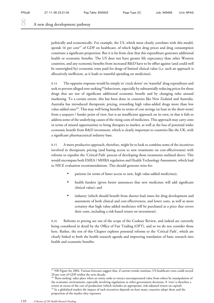politically and economically. For example, the US, which most closely correlates with this model, spends 16 per cent<sup>17</sup> of GDP on healthcare, of which higher drug prices and drug consumption constitute a significant proportion. But it is far from clear that this expenditure generates additional health or economic benefits. The US does not have greater life expectancy than other Western countries, and any economic benefits from increased R&D have to be offset against (and could well be outweighed by) economic rents paid for drugs of limited clinical value (i.e. such an approach is allocatively inefficient, as it leads to wasteful spending on medicines).

8.14 The opposite response would be simply to 'crack down' on 'wasteful' drug expenditure and seek to prevent alleged rent-seeking<sup>18</sup> behaviours, especially by substantially reducing prices for those drugs that are not of significant additional economic benefit and by changing rules around marketing. To a certain extent, this has been done in countries like New Zealand and Australia. Australia has introduced therapeutic pricing, rewarding high value-added drugs more than low value-added ones<sup>19</sup>. This may well bring benefits in terms of cost savings (at least in the short-term) from a taxpayer / funder point of view, but is an insufficient approach on its own, in that it fails to address some of the underlying causes of the rising costs of medicines. This approach may carry costs in terms of missed opportunities to bring therapies to market, as well as the loss of potential wider economic benefit from R&D investment, which is clearly important to countries like the UK, with a significant pharmaceutical industry base.

8.15 A more productive approach, therefore, might be to look to combine some of the incentives involved in therapeutic pricing (and basing access to new treatments on cost-effectiveness) with reforms to expedite the 'Critical Path' process of developing those treatments outlined above. This would encompass both EMEA / MHRA regulation and Health Technology Assessment, which lead to NICE evaluation recommendations. This should generate wins for:

- patients (in terms of faster access to new, high value-added medicines);
- health funders (given better assurances that new medicines will add significant clinical value); and
- industry (which should benefit from shorter lead times for drug development and assessment of both clinical and cost-effectiveness, and lower costs, as well as more certainty that high value-added medicines will be purchased at a price that covers their costs, including a risk-based return on investment).

8.16 Reforms to pricing are out of the scope of the Cooksey Review, and indeed are currently being considered in detail by the Office of Fair Trading (OFT), and so we do not consider those here. Rather, the rest of this Chapter explores potential reforms to the 'Critical Path', which are clearly linked to both the health research agenda and improving translation of basic research into health and economic benefits.

<sup>&</sup>lt;sup>17</sup> NB Figure for 2004. Various forecasts suggest that, if current trends continue, US healthcare costs could exceed 20 per cent of GDP within the next decade.

<sup>&</sup>lt;sup>18</sup> 'Rent-seeking' takes place when an entity seeks to extract uncompensated value from others by manipulation of the economic environment, especially involving regulations or other government decisions. A 'rent' is therefore a return in excess of the cost of production (which includes an appropriate, risk-adjusted return on capital). <sup>19</sup> In a globalised market the impact of such incentives depends on how many countries adopt them and the proportion of the market they represent.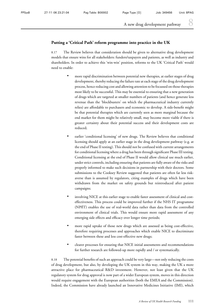### **Putting a 'Critical Path' reform programme into practice in the UK**

8.17 The Review believes that consideration should be given to alternative drug development models that ensure wins for all stakeholders: funders/taxpayers and patients, as well as industry and shareholders. In order to achieve this 'win-win' position, reforms to the UK 'Critical Path' would need to enable:

- more rapid discrimination between potential new therapies, at earlier stages of drug development, thereby reducing the failure rate at each stage of the drug development process, hence reducing cost and allowing attention to be focussed on those therapies most likely to be successful. This may be essential to ensuring that a new generation of drugs which are targeted at smaller numbers of patients (and hence generate less revenue than the 'blockbusters' on which the pharmaceutical industry currently relies) are affordable to purchasers and economic to develop. A side-benefit might be that potential therapies which are currently seen as more marginal because the end market for them might be relatively small, may become more viable if there is greater certainty about their potential success and their development costs are reduced;
- earlier 'conditional licensing' of new drugs. The Review believes that conditional licensing should apply at an earlier stage in the drug development pathway (e.g. at the end of Phase II testing). This should not be confused with current arrangements for conditional licensing where a drug has been through significant Phase III testing. Conditional licensing at the end of Phase II would allow clinical use much earlier, under strict controls, including ensuring that patients are fully aware of the risks and properly informed to make such decisions in partnership with their doctors. Some submissions to the Cooksey Review suggested that patients are often far less riskaverse than is assumed by regulators, citing examples of drugs which have been withdrawn from the market on safety grounds but reintroduced after patient campaigns;
- involving NICE at this earlier stage to enable faster assessment of clinical and costeffectiveness. This process could be improved further if the NHS IT programme (NPfIT) enables the use of real-world data rather than data from the controlled environment of clinical trials. This would ensure more rapid assessment of any emerging side effects and efficacy over longer time periods;
- more rapid uptake of those new drugs which are assessed as being cost-effective, therefore requiring processes and approaches which enable NICE to discriminate faster between these and less cost-effective new drugs;
- clearer processes for ensuring that NICE initial assessments and recommendations for further research are followed-up more rapidly and / or systematically.

8.18 The potential benefits of such an approach could be very large—not only reducing the costs of drug development, but also, by developing the UK system in this way, making the UK a more attractive place for pharmaceutical R&D investment. However, not least given that the UK regulatory system for drug approval is now part of a wider European system, moves in this direction would require engagement with the European authorities (both the EMEA and the Commission). Indeed, the Commission have already launched an Innovative Medicines Initiative (IMI), which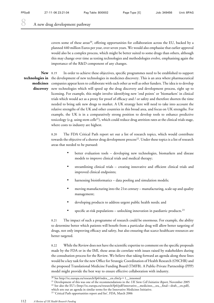covers some of these areas<sup>20</sup>, offering opportunities for collaboration across the EU, backed by a planned 440 million Euros per year, over seven years. We would also emphasise that earlier approval would also be a complex process, which might be better suited to some drugs than others, although this may change over time as testing technologies and methodologies evolve, emphasising again the importance of the R&D component of any changes.

**New** 8.19 In order to achieve these objectives, specific programmes need to be established to support **technologies in** the development of new technologies in medicines discovery. This is an area where pharmaceutical **medicines** companies appear keen to collaborate with each other as well as other funders. The idea is to develop **discovery** new technologies which will speed up the drug discovery and development process, right up to licensing. For example, this might involve identifying new 'end points' or 'biomarkers' in clinical trials which would act as a proxy for proof of efficacy and / or safety and therefore shorten the time needed to bring safe new drugs to market. A UK strategy here will need to take into account the relative strengths of the UK and other countries in this broad area, and focus on UK strengths. For example, the UK is in a comparatively strong position to develop tools to enhance predictive toxicology (e.g. using stem cells<sup>21</sup>), which could reduce drug attrition rates at the clinical trials stage, where costs to industry are highest.

> 8.20 The FDA Critical Path report set out a list of research topics, which would contribute towards the objective of a shorter drug development process<sup>22</sup>. Under these topics is a list of research areas that needed to be pursued:

- better evaluation tools developing new technologies, biomarkers and disease models to improve clinical trials and medical therapy;
- streamlining clinical trials creating innovative and efficient clinical trials and improved clinical endpoints;
- harnessing bioinformatics data pooling and simulation models;
- moving manufacturing into the 21st century manufacturing, scale-up and quality management;
- developing products to address urgent public health needs; and
- specific at-risk populations unlocking innovation in paediatric products.<sup>23</sup>

8.21 The impact of such a programme of research could be enormous. For example, the ability to determine better which patients will benefit from a particular drug will allow better targeting of drugs, not only improving efficacy and safety, but also ensuring that scarce healthcare resources are better targeted.

8.22 While the Review does not have the scientific expertise to comment on the specific proposals made by the FDA or in the IMI, these areas do correlate with issues raised by stakeholders during the consultation process for the Review. We believe that taking forward an agenda along these lines would be a key task for the new Office for Strategic Coordination of Health Research (OSCHR) and the proposed Translational Medicine Funding Board (TMFB). A Public-Private Partnership (PPP) model might provide the best way to ensure effective collaboration with industry.

<sup>&</sup>lt;sup>20</sup> See http://ec.europa.eu/research/fp6/index\_en.cfm?p = 1\_innomed<br><sup>21</sup> Development of this was one of the recommendations in the *UK Stem Cell Initiative Report*, November 2005 <sup>22</sup> See also the EU's (http://ec.europa.eu/research/fp6/pdf/innovative—medicines—sra—final—draft—en.pdf), which sets out an agenda in similar terms for the Innovative Medicines Initiative.

<sup>&</sup>lt;sup>23</sup> 'Critical Path opportunities report and list', FDA, March 2006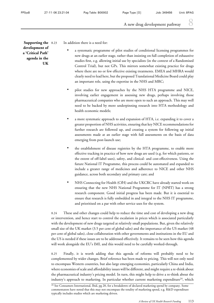**development of a 'Critical Path' agenda in the UK**

**Supporting the** 8.23 In addition there is a need for:

- a systematic programme of pilot studies of conditional licensing programmes for new drugs at an earlier stage, rather than insisting on full completion of exhaustive studies first, e.g. allowing initial use by specialists (in the context of a Randomised Control Trial), but not GPs. This mirrors somewhat existing practice for drugs where there are no or few effective existing treatments. EMEA and MHRA would clearly need to lead here, but the proposed Translational Medicine Board could play an important role, using the expertise in the NHS and MRC;
- pilot studies for new approaches by the NHS HTA programme and NICE, involving earlier engagement in assessing new drugs, perhaps involving those pharmaceutical companies who are more open to such an approach. This may well need to be backed by more underpinning research into HTA methodology and health economic models;
- a more systematic approach to and expansion of HTA, i.e. expanding it to cover a greater proportion of NHS activities, ensuring that key NICE recommendations for further research are followed up, and creating a system for following up initial assessments made at an earlier stage with full assessments on the basis of data emerging from post-launch use;
- the establishment of disease registries by the HTA programme, to enable more effective tracking in practice of how new drugs are used (e.g. for which patients, or the extent of off-label uses), safety, and clinical- and cost-effectiveness. Using the future National IT Programme, this process could be automated and expanded to include a greater range of medicines and adherence to NICE and other NHS guidance, across both secondary and primary care; and
- NHS Connecting for Health (CfH) and the UKCRC have already started work on ensuring that the new NHS National Programme for IT (NPfIT) has a strong research component. Good initial progress has been made. But it is essential to ensure that research is fully embedded in and integral to the NHS IT programme, and prioritised on a par with other service uses for the system.

8.24 These and other changes could help to reduce the time and cost of developing a new drug or intervention, and hence start to control the escalation in prices which is associated particularly with the development of new drugs targeted at relatively small populations. But, given the relatively small size of the UK market (3.5 per cent of global sales) and the importance of the US market (48 per cent of global sales), close collaboration with other governments and institutions in the EU and the US is needed if these issues are to be addressed effectively. It remains to be seen how this agenda will work alongside the EU's IMI, and this would need to be carefully worked-through.

8.25 Finally, it is worth adding that this agenda of reforms will probably need to be complemented by wider changes. Brief reference has been made to pricing. This will not only need to encompass Western countries, but also large emerging economies, particularly China and India, where economies of scale and affordability issues will be different, and might require a re-think about the pharmaceutical industry's pricing model. In turn, this might help to drive a re-think about the industry's approach to marketing. In particular whether current marketing expenditure<sup>24</sup>, which

<sup>&</sup>lt;sup>24</sup> See Consumers International, Ibid, pg 20, for a breakdown of declared marketing spend by company. Some commentators have noted that this may not encompass the totality of marketing spend, e.g. R&D expenditure typically includes studies which are marketing driven.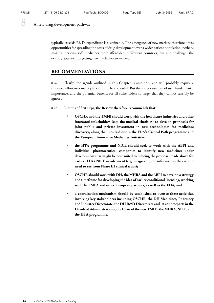typically exceeds R&D expenditure is sustainable. The emergence of new markets therefore offers opportunities for spreading the costs of drug development over a wider patient population, perhaps making 'personalised' medicines more affordable in Western countries, but also challenges the existing approach to getting new medicines to market.

## **RECOMMENDATIONS**

8.26 Clearly, the agenda outlined in this Chapter is ambitious and will probably require a sustained effort over many years if it is to be successful. But the issues raised are of such fundamental importance, and the potential benefits for all stakeholders so large, that they cannot sensibly be ignored.

8.27 In terms of first steps, **the Review therefore recommends that**:

- **OSCHR and the TMFB should work with the healthcare industries and other interested stakeholders (e.g. the medical charities) to develop proposals for joint public and private investment in new technologies for medicines discovery, along the lines laid out in the FDA's Critical Path programme and the European Innovative Medicines Initiative;**
- **the HTA programme and NICE should seek to work with the ABPI and individual pharmaceutical companies to identify new medicines under development that might be best suited to piloting the proposal made above for earlier HTA / NICE involvement (e.g. in agreeing the information they would need to see from Phase III clinical trials);**
- **OSCHR should work with DH, the MHRA and the ABPI to develop a strategy and timeframe for developing the idea of earlier conditional licensing, working with the EMEA and other European partners, as well as the FDA; and**
- **a coordination mechanism should be established to oversee these activities, involving key stakeholders including OSCHR, the DH Medicines, Pharmacy and Industry Directorate, the DH R&D Directorate and its counterparts in the Devolved Administrations, the Chair of the new TMFB, the MHRA, NICE, and the HTA programme.**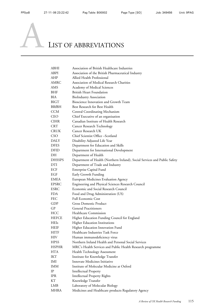# LIST OF ABBREVIATIONS

| ABHI        | Association of British Healthcare Industries                               |
|-------------|----------------------------------------------------------------------------|
| ABPI        | Association of the British Pharmaceutical Industry                         |
| AHP         | Allied Health Professional                                                 |
| AMRC        | Association of Medical Research Charities                                  |
| AMS         | Academy of Medical Sciences                                                |
| BHF         | <b>British Heart Foundation</b>                                            |
| BIA         | <b>BioIndustry Association</b>                                             |
| BIGT        | Bioscience Innovation and Growth Team                                      |
| BRfBH       | Best Research for Best Health                                              |
| <b>CCM</b>  | <b>Central Coordinating Mechanism</b>                                      |
| CEO         | Chief Executive of an organisation                                         |
| CIHR        | Canadian Institute of Health Research                                      |
| CRT         | <b>Cancer Research Technology</b>                                          |
| CRUK        | Cancer Research UK                                                         |
| CSO         | Chief Scientist Office -Scotland                                           |
| DALY        | Disability Adjusted Life Year                                              |
| DFES        | Department for Education and Skills                                        |
| DFID        | Department for International Development                                   |
| DH          | Department of Health                                                       |
| DHSSPS      | Department of Health (Northern Ireland), Social Services and Public Safety |
| DTI         | Department of Trade and Industry                                           |
| ECF         | <b>Enterprise Capital Fund</b>                                             |
| EGF         | Early Growth Funding                                                       |
| EMEA        | European Medicines Evaluation Agency                                       |
| EPSRC       | Engineering and Physical Sciences Research Council                         |
| ESRC        | Economic and Social Research Council                                       |
| FDA         | Food and Drug Administration (US)                                          |
| FEC         | <b>Full Economic Cost</b>                                                  |
| GDP         | <b>Gross Domestic Product</b>                                              |
| GP          | <b>General Practitioners</b>                                               |
| HCC         | Healthcare Commission                                                      |
| HEFCE       | Higher Education Funding Council for England                               |
| HEIs        | <b>Higher Education Institutions</b>                                       |
| <b>HEIF</b> | Higher Education Innovation Fund                                           |
| HITF        | Healthcare Industries Task Force                                           |
| HIV         | Human immunodeficiency virus                                               |
| HPSS        | Northern Ireland Health and Personal Social Services                       |
| HSPHR       | MRC's Health Services and Public Health Research programme                 |
| HTA         | Health Technology Assessment                                               |
| IKT         | Institute for Knowledge Transfer                                           |
| IMI         | Innovate Medicines Initiative                                              |
| IMM         | Institute of Molecular Medicine at Oxford                                  |
| IP          | <b>Intellectual Property</b>                                               |
| IPR         | Intellectual Property Rights                                               |
| KТ          | Knowledge Transfer                                                         |
| LMB         | Laboratory of Molecular Biology                                            |
| MHRA        | Medicines and Healthcare products Regulatory Agency                        |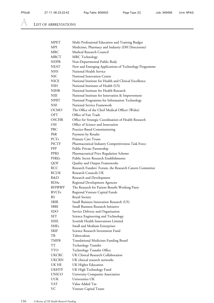LIST OF ABBREVIATIONS

| <b>MPET</b>   | Multi Professional Education and Training Budget        |
|---------------|---------------------------------------------------------|
| <b>MPI</b>    | Medicines, Pharmacy and Industry (DH Directorate)       |
| MRC           | Medical Research Council                                |
| <b>MRCT</b>   | <b>MRC</b> Technology                                   |
| <b>NDPB</b>   | Non-Departmental Public Body                            |
| <b>NEAT</b>   | New and Emerging Applications of Technology Programme   |
| <b>NHS</b>    | National Health Service                                 |
| NIC           | National Innovation Centre                              |
| <b>NICE</b>   | National Institute for Health and Clinical Excellence   |
| NIH           | National Institutes of Health (US)                      |
| <b>NIHR</b>   | National Institute for Health Research                  |
| NIII          | National Institute for Innovation & Improvement         |
| NPfIT         | National Programme for Information Technology           |
| <b>NSF</b>    | National Service Framework                              |
| OCMO          | The Office of the Chief Medical Officer (Wales)         |
| OFT           | Office of Fair Trade                                    |
| OSCHR         | Office for Strategic Coordination of Health Research    |
| OSI           | Office of Science and Innovation                        |
| PBC           | Practice-Based Commissioning                            |
| PbR           | Payment by Results                                      |
| <b>PCTs</b>   | Primary Care Trusts                                     |
| <b>PICTF</b>  | Pharmaceutical Industry Competitiveness Task Force      |
| PPP           | Public Private Partnership                              |
| <b>PPRS</b>   | Pharmaceutical Price Regulation Scheme                  |
| <b>PSREs</b>  | Public Sector Research Establishments                   |
| QOF           | Quality and Output Frameworks                           |
| <b>RCC</b>    | Research Funders' Forum, the Research Careers Committee |
| <b>RCUK</b>   | Research Councils UK                                    |
| R&D           | Research and Development                                |
| <b>RDAs</b>   | Regional Development Agencies                           |
| <b>RFPBWP</b> | The Research for Patient Benefit Working Party          |
| <b>RVCFs</b>  | Regional Venture Capital Funds                          |
| RS            | Royal Society                                           |
| SBIR          | Small Buisness Innovation Research (US)                 |
| SBRI          | Small Business Research Initiative                      |
| SDO           | Service Delivery and Organisation                       |
| SET           | Science Engineering and Technology                      |
| SHIL          | Scottish Health Innovations Limited                     |
| SMEs          | Small and Medium Enterprises                            |
| <b>SRIF</b>   | Science Research Investment Fund                        |
| TВ            | Tuberculosis                                            |
| TMFB          | Translational Medicines Funding Board                   |
| TT            | Technology Transfer                                     |
| TTO           | <b>Technology Transfer Office</b>                       |
| UKCRC         | UK Clinical Research Collaboration                      |
| <b>UKCRN</b>  | UK clinical research networks                           |
| UK HE         | UK Higher Education                                     |
| UKHTF         | UK High Technology Fund                                 |
| <b>UNICO</b>  | University Companies Association                        |
| UUK           | Universities UK                                         |
| VAT           | Value Added Tax                                         |
| VC            | Venture Capital Trusts                                  |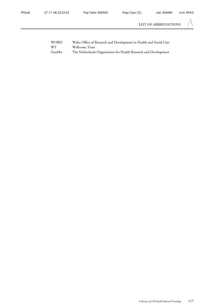LIST OF ABBREVIATIONS

| <b>WORD</b> | Wales Office of Research and Development in Health and Social Care |
|-------------|--------------------------------------------------------------------|
| WТ          | Wellcome Trust                                                     |
| ZonMw       | The Netherlands Organisation for Health Research and Development   |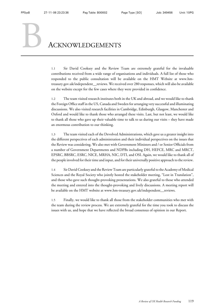# **ACKNOWLEDGEMENTS**

1.1 Sir David Cooksey and the Review Team are extremely grateful for the invaluable contributions received from a wide range of organisations and individuals. A full list of those who responded to the public consultation will be available on the HMT Website at www.hmtreasury.gov.uk/independent—reviews. We received over 280 responses, which will also be available on the website except for the few cases where they were provided in confidence.

1.2 The team visited research institutes both in the UK and abroad, and we would like to thank the Foreign Office staff in the US, Canada and Sweden for arranging very successful and illuminating discussions. We also visited research facilities in Cambridge, Edinburgh, Glasgow, Manchester and Oxford and would like to thank those who arranged these visits. Last, but not least, we would like to thank all those who gave up their valuable time to talk to us during our visits – they have made an enormous contribution to our thinking.

1.3 The team visited each of the Devolved Administrations, which gave us a greater insight into the different perspectives of each administration and their individual perspectives on the issues that the Review was considering. We also met with Government Ministers and / or Senior Officials from a number of Government Departments and NDPBs including DH, HEFCE, MRC and MRCT, EPSRC, BBSRC, ESRC, NICE, MRHA, NIC, DTI, and OSI. Again, we would like to thank all of the people involved for their time and input, and for their universally positive approach to the review.

1.4 Sir David Cooksey and the Review Team are particularly grateful to the Academy of Medical Sciences and the Royal Society who jointly hosted the stakeholder meeting, "Lost in Translation", and those who gave such thought-provoking presentations. We also grateful to those who attended the meeting and entered into the thought-provoking and lively discussions. A meeting report will be available on the HMT website at www.hm-treasury.gov.uk/independent—reviews.

1.5 Finally, we would like to thank all those from the stakeholder communities who met with the team during the review process. We are extremely grateful for the time you took to discuss the issues with us, and hope that we have reflected the broad consensus of opinion in our Report.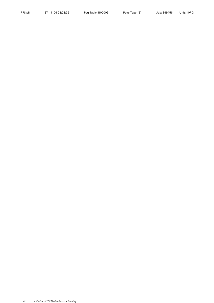PPSysB 27-11-06 23:23:36 Pag Table: B00003 Page Type [E] Job: 349456 Unit: 10PG